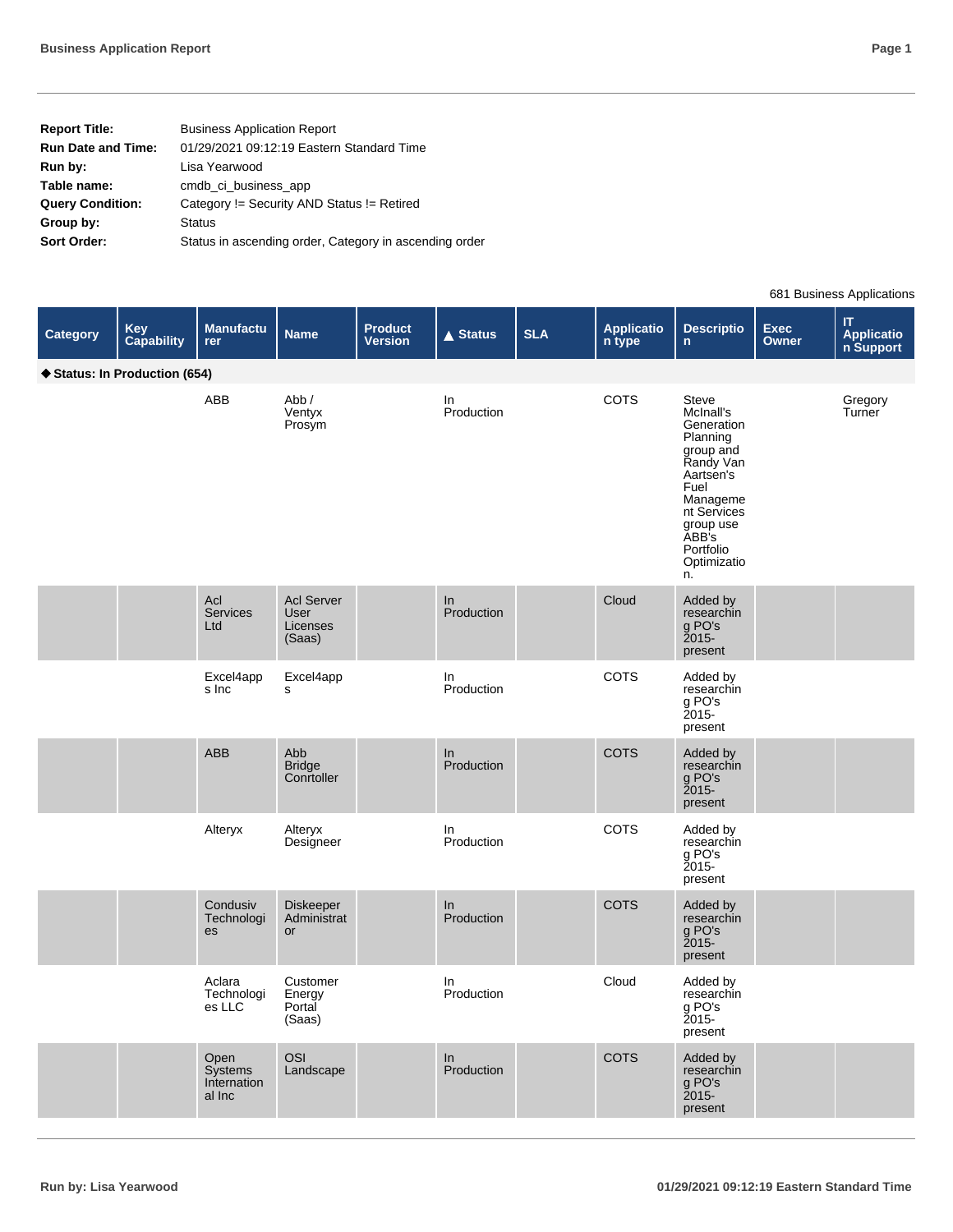|--|--|

| <b>Report Title:</b>      | <b>Business Application Report</b>                     |
|---------------------------|--------------------------------------------------------|
| <b>Run Date and Time:</b> | 01/29/2021 09:12:19 Eastern Standard Time              |
| Run by:                   | Lisa Yearwood                                          |
| Table name:               | cmdb ci business app                                   |
| <b>Query Condition:</b>   | Category != Security AND Status != Retired             |
| Group by:                 | <b>Status</b>                                          |
| Sort Order:               | Status in ascending order, Category in ascending order |

681 Business Applications

|                 |                             |                                          |                                                 |                                  |                    |            |                      |                                                                                                                                                                                |               | $\sim$ . Duonioco i ippiivatione                                 |
|-----------------|-----------------------------|------------------------------------------|-------------------------------------------------|----------------------------------|--------------------|------------|----------------------|--------------------------------------------------------------------------------------------------------------------------------------------------------------------------------|---------------|------------------------------------------------------------------|
| <b>Category</b> | <b>Key</b><br>Capability    | <b>Manufactu</b><br>rer                  | <b>Name</b>                                     | <b>Product</b><br><b>Version</b> | $\triangle$ Status | <b>SLA</b> | Applicatio<br>n type | <b>Descriptio</b><br>$\mathsf{n}$                                                                                                                                              | Exec<br>Owner | $\mathsf{I}\mathsf{T}$<br><b>Application</b><br><b>n Support</b> |
|                 | Status: In Production (654) |                                          |                                                 |                                  |                    |            |                      |                                                                                                                                                                                |               |                                                                  |
|                 |                             | ABB                                      | Abb /<br>Ventyx<br>Prosym                       |                                  | In<br>Production   |            | COTS                 | Steve<br>McInall's<br>Generation<br>Planning<br>group and<br>Randy Van<br>Aartsen's<br>Fuel<br>Manageme<br>nt Services<br>group use<br>ABB's<br>Portfolio<br>Optimizatio<br>n. |               | Gregory<br>Turner                                                |
|                 |                             | Acl<br><b>Services</b><br>Ltd            | <b>Acl Server</b><br>User<br>Licenses<br>(Saas) |                                  | In<br>Production   |            | Cloud                | Added by<br>researchin<br>g PO's<br>present                                                                                                                                    |               |                                                                  |
|                 |                             | Excel4app<br>s Inc                       | Excel4app<br>s                                  |                                  | In<br>Production   |            | COTS                 | Added by<br>researchin<br>g PO's<br><b>2015-</b><br>present                                                                                                                    |               |                                                                  |
|                 |                             | ABB                                      | Abb<br><b>Bridge</b><br>Conrtoller              |                                  | In<br>Production   |            | COTS                 | Added by<br>researchin<br>g PO's<br>$2015 -$<br>present                                                                                                                        |               |                                                                  |
|                 |                             | Alteryx                                  | Alteryx<br>Designeer                            |                                  | In<br>Production   |            | COTS                 | Added by<br>researchin<br>g PO's<br><b>2015-</b><br>present                                                                                                                    |               |                                                                  |
|                 |                             | Condusiv<br>Technologi<br>es             | Diskeeper<br>Administrat<br>or                  |                                  | In<br>Production   |            | <b>COTS</b>          | Added by<br>researchin<br>g PO's<br>$2015 -$<br>present                                                                                                                        |               |                                                                  |
|                 |                             | Aclara<br>Technologi<br>es LLC           | Customer<br>Energy<br>Portal<br>(Saas)          |                                  | In<br>Production   |            | Cloud                | Added by<br>researchin<br>g PO's<br>$2015 -$<br>present                                                                                                                        |               |                                                                  |
|                 |                             | Open<br>Systems<br>Internation<br>al Inc | OSI<br>Landscape                                |                                  | In<br>Production   |            | COTS                 | Added by<br>researchin<br>g PO's<br>present                                                                                                                                    |               |                                                                  |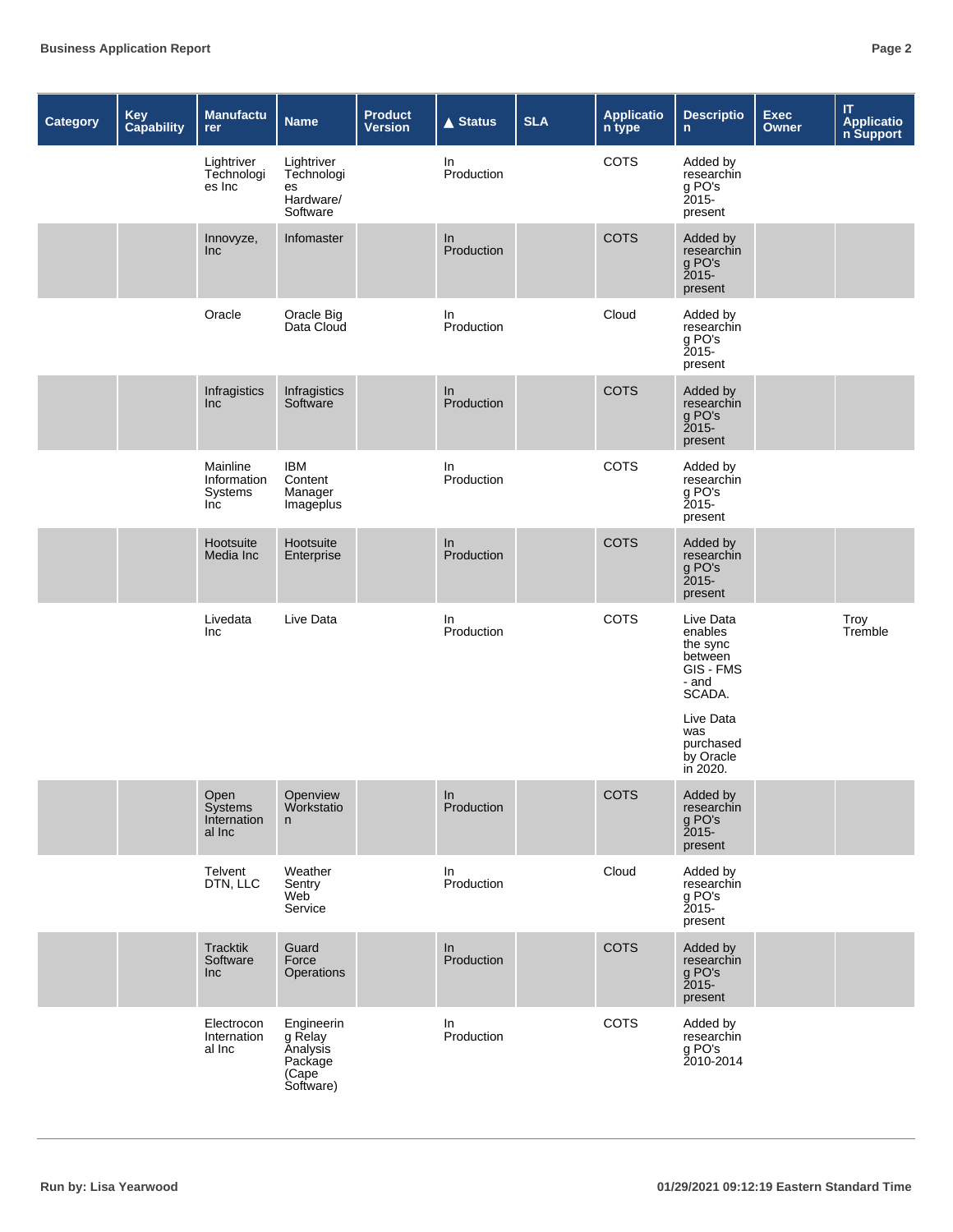| Category | Key<br>Capability | Manufactu<br>rer                          | <b>Name</b>                                                        | <b>Product</b><br><b>Version</b> | <b>▲ Status</b>  | <b>SLA</b> | <b>Applicatio</b><br>n type | <b>Descriptio</b><br>$\mathsf{n}$                                           | <b>Exec</b><br>Owner | $\mathsf{I}\mathsf{T}$<br><b>Applicatio</b><br>n Support |
|----------|-------------------|-------------------------------------------|--------------------------------------------------------------------|----------------------------------|------------------|------------|-----------------------------|-----------------------------------------------------------------------------|----------------------|----------------------------------------------------------|
|          |                   | Lightriver<br>Technologi<br>es Inc        | Lightriver<br>Technologi<br>es<br>Hardware/<br>Software            |                                  | In<br>Production |            | COTS                        | Added by<br>researchin<br>g PO's<br>2015-<br>present                        |                      |                                                          |
|          |                   | Innovyze,<br>Inc                          | Infomaster                                                         |                                  | In<br>Production |            | <b>COTS</b>                 | Added by<br>researchin<br>g PO's<br>present                                 |                      |                                                          |
|          |                   | Oracle                                    | Oracle Big<br>Data Cloud                                           |                                  | In<br>Production |            | Cloud                       | Added by<br>researchin<br>g PO's<br><b>2015-</b><br>present                 |                      |                                                          |
|          |                   | Infragistics<br>Inc                       | Infragistics<br>Software                                           |                                  | In<br>Production |            | <b>COTS</b>                 | Added by<br>researchin<br>g PO's<br>present                                 |                      |                                                          |
|          |                   | Mainline<br>Information<br>Systems<br>Inc | <b>IBM</b><br>Content<br>Manager<br>Imageplus                      |                                  | In<br>Production |            | COTS                        | Added by<br>researchin<br>g PO's<br>Ž015-<br>present                        |                      |                                                          |
|          |                   | Hootsuite<br>Media Inc                    | Hootsuite<br>Enterprise                                            |                                  | In<br>Production |            | COTS                        | Added by<br>researchin<br>g PO's<br>$2015 -$<br>present                     |                      |                                                          |
|          |                   | Livedata<br>Inc                           | Live Data                                                          |                                  | In<br>Production |            | COTS                        | Live Data<br>enables<br>the sync<br>between<br>GIS - FMS<br>- and<br>SCADA. |                      | Troy<br>Tremble                                          |
|          |                   |                                           |                                                                    |                                  |                  |            |                             | Live Data<br>was<br>purchased<br>by Oracle<br>in 2020.                      |                      |                                                          |
|          |                   | Open<br>Systems<br>Internation<br>al Inc  | Openview<br>Workstatio<br>n                                        |                                  | In<br>Production |            | <b>COTS</b>                 | Added by<br>researchin<br>g PO's<br>present                                 |                      |                                                          |
|          |                   | Telvent<br>DTN, LLC                       | Weather<br>Sentry<br>Web<br>Service                                |                                  | In<br>Production |            | Cloud                       | Added by<br>researchin<br>g PO's<br>2015-<br>present                        |                      |                                                          |
|          |                   | <b>Tracktik</b><br>Software<br>Inc        | Guard<br>Force<br>Operations                                       |                                  | In<br>Production |            | COTS                        | Added by<br>researchin<br>g PO's<br>present                                 |                      |                                                          |
|          |                   | Electrocon<br>Internation<br>al Inc       | Engineerin<br>g Relay<br>Analysis<br>Package<br>(Cape<br>Software) |                                  | In<br>Production |            | COTS                        | Added by<br>researchin<br>g PO's<br>2010-2014                               |                      |                                                          |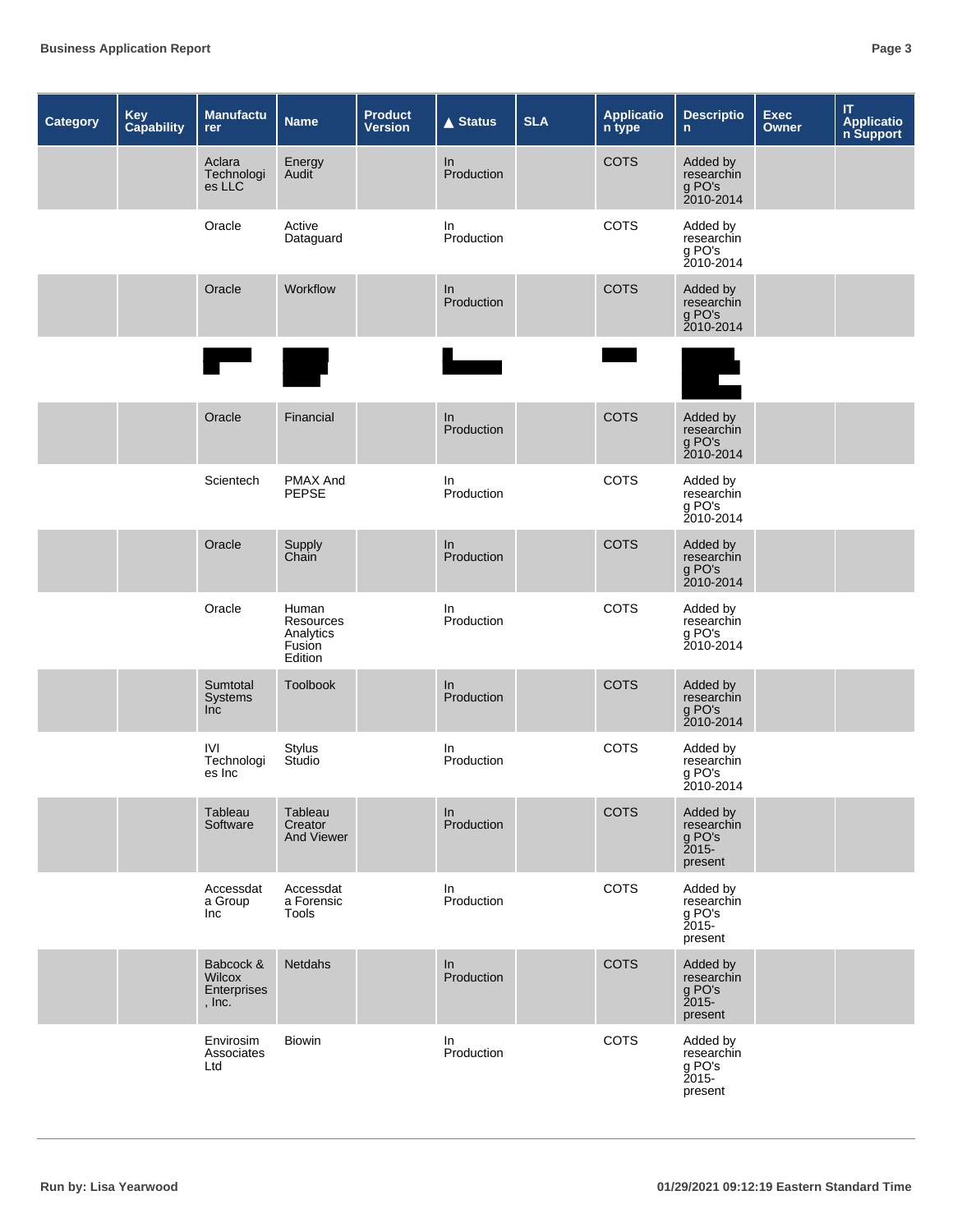| <b>Category</b> | Key<br>Capability | Manufactu<br>rer                                      | <b>Name</b>                                          | <b>Product</b><br><b>Version</b> | <b>▲ Status</b>     | <b>SLA</b> | <b>Applicatio</b><br>n type | <b>Descriptio</b><br>$\mathsf{n}$                       | Exec<br>Owner | $\mathsf{I}\mathsf{T}$<br><b>Applicatio</b><br>n Support |
|-----------------|-------------------|-------------------------------------------------------|------------------------------------------------------|----------------------------------|---------------------|------------|-----------------------------|---------------------------------------------------------|---------------|----------------------------------------------------------|
|                 |                   | Aclara<br>Technologi<br>es LLC                        | Energy<br>Audit                                      |                                  | In<br>Production    |            | <b>COTS</b>                 | Added by<br>researchin<br>g PO's<br>2010-2014           |               |                                                          |
|                 |                   | Oracle                                                | Active<br>Dataguard                                  |                                  | In<br>Production    |            | COTS                        | Added by<br>researchin<br>g PO's<br>2010-2014           |               |                                                          |
|                 |                   | Oracle                                                | Workflow                                             |                                  | ln<br>Production    |            | COTS                        | Added by<br>researchin<br>g PO's<br>2010-2014           |               |                                                          |
|                 |                   |                                                       |                                                      |                                  |                     |            |                             |                                                         |               |                                                          |
|                 |                   | Oracle                                                | Financial                                            |                                  | In<br>Production    |            | <b>COTS</b>                 | Added by<br>researchin<br>g PO's<br>2010-2014           |               |                                                          |
|                 |                   | Scientech                                             | <b>PMAX And</b><br><b>PEPSE</b>                      |                                  | In<br>Production    |            | COTS                        | Added by<br>researchin<br>g PO's<br>2010-2014           |               |                                                          |
|                 |                   | Oracle                                                | Supply<br>Chain                                      |                                  | In<br>Production    |            | <b>COTS</b>                 | Added by<br>researchin<br>g PO's<br>2010-2014           |               |                                                          |
|                 |                   | Oracle                                                | Human<br>Resources<br>Analytics<br>Fusion<br>Edition |                                  | In<br>Production    |            | COTS                        | Added by<br>researchin<br>g PO's<br>2010-2014           |               |                                                          |
|                 |                   | Sumtotal<br>Systems<br>Inc                            | Toolbook                                             |                                  | In<br>Production    |            | <b>COTS</b>                 | Added by<br>researchin<br>g PO's<br>2010-2014           |               |                                                          |
|                 |                   | <b>IVI</b><br>Technologi<br>es Inc                    | <b>Stylus</b><br>Studio                              |                                  | In<br>Production    |            | COTS                        | Added by<br>researchin<br>g PO's<br>2010-2014           |               |                                                          |
|                 |                   | Tableau<br>Software                                   | Tableau<br>Creator<br>And Viewer                     |                                  | $\ln$<br>Production |            | COTS                        | Added by<br>researchin<br>g PO's<br>present             |               |                                                          |
|                 |                   | Accessdat<br>a Group<br>Inc                           | Accessdat<br>a Forensic<br>Tools                     |                                  | In<br>Production    |            | COTS                        | Added by<br>researchin<br>g PO's<br>$2015 -$<br>present |               |                                                          |
|                 |                   | Babcock &<br><b>Wilcox</b><br>Enterprises<br>, $Inc.$ | Netdahs                                              |                                  | ln<br>Production    |            | COTS                        | Added by<br>researchin<br>g PO's<br>present             |               |                                                          |
|                 |                   | Envirosim<br>Associates<br>Ltd                        | <b>Biowin</b>                                        |                                  | In<br>Production    |            | COTS                        | Added by<br>researchin<br>g PO's<br>2015-<br>present    |               |                                                          |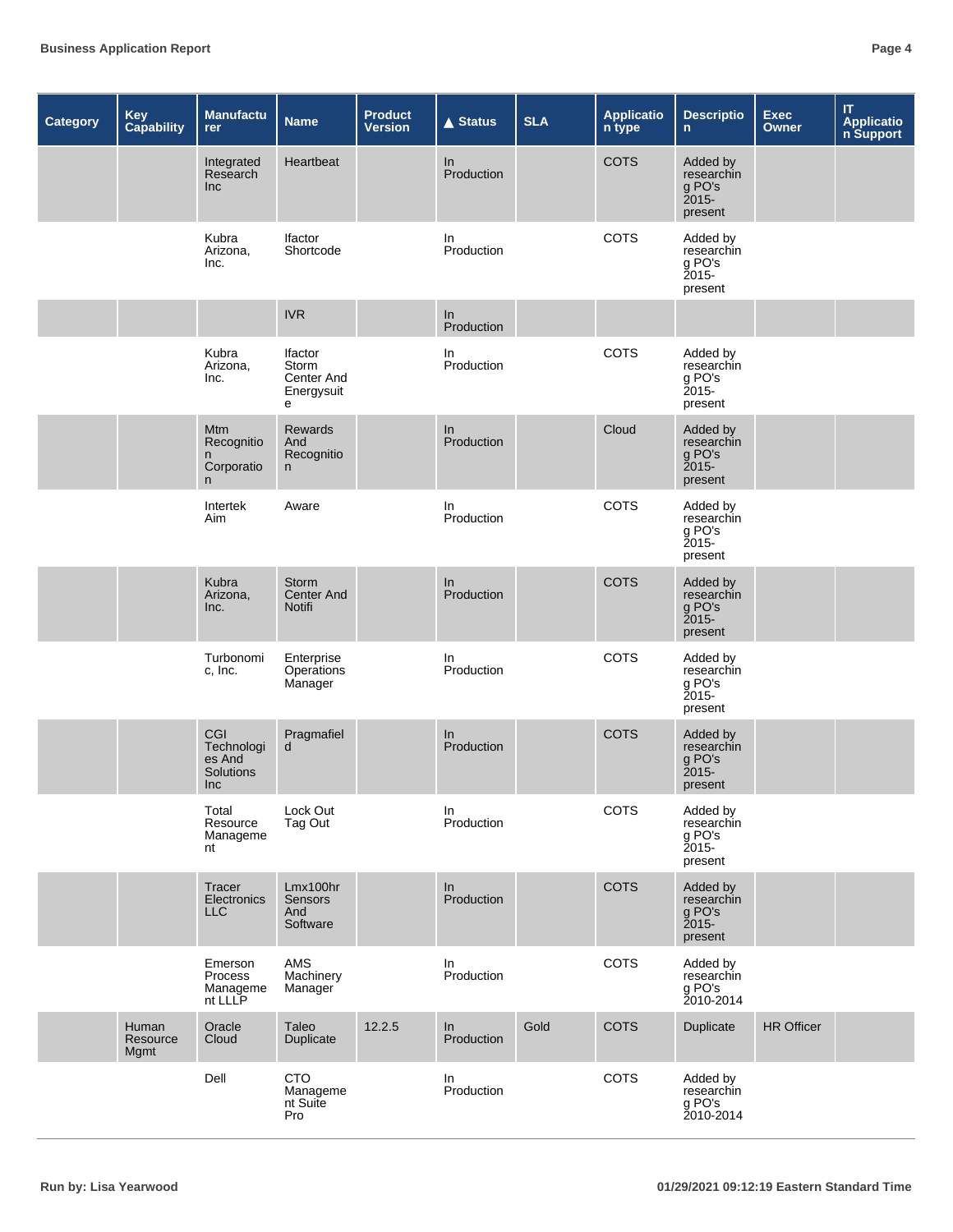| Category | Key<br><b>Capability</b>  | <b>Manufactu</b><br>rer                              | <b>Name</b>                                              | <b>Product</b><br><b>Version</b> | <b>▲ Status</b>  | <b>SLA</b> | <b>Applicatio</b><br>n type | <b>Descriptio</b><br>$\mathbf n$                        | <b>Exec</b><br>Owner | $\mathsf{I}\mathsf{T}$<br>Applicatio<br>n Support |
|----------|---------------------------|------------------------------------------------------|----------------------------------------------------------|----------------------------------|------------------|------------|-----------------------------|---------------------------------------------------------|----------------------|---------------------------------------------------|
|          |                           | Integrated<br>Research<br>Inc                        | Heartbeat                                                |                                  | In<br>Production |            | <b>COTS</b>                 | Added by<br>researchin<br>g PO's<br>$2015 -$<br>present |                      |                                                   |
|          |                           | Kubra<br>Arizona,<br>Inc.                            | <b>Ifactor</b><br>Shortcode                              |                                  | In<br>Production |            | COTS                        | Added by<br>researchin<br>g PO's<br>Ž015-<br>present    |                      |                                                   |
|          |                           |                                                      | <b>IVR</b>                                               |                                  | In<br>Production |            |                             |                                                         |                      |                                                   |
|          |                           | Kubra<br>Arizona,<br>Inc.                            | <b>Ifactor</b><br>Storm<br>Center And<br>Energysuit<br>е |                                  | In<br>Production |            | COTS                        | Added by<br>researchin<br>g PO's<br>$2015 -$<br>present |                      |                                                   |
|          |                           | Mtm<br>Recognitio<br>n<br>Corporatio<br>$\mathsf{n}$ | Rewards<br>And<br>Recognitio<br>n                        |                                  | ln<br>Production |            | Cloud                       | Added by<br>researchin<br>g PO's<br>2015-<br>present    |                      |                                                   |
|          |                           | Intertek<br>Aim                                      | Aware                                                    |                                  | In<br>Production |            | COTS                        | Added by<br>researchin<br>g PO's<br>$2015 -$<br>present |                      |                                                   |
|          |                           | Kubra<br>Arizona,<br>Inc.                            | <b>Storm</b><br><b>Center And</b><br>Notifi              |                                  | In<br>Production |            | <b>COTS</b>                 | Added by<br>researchin<br>g PO's<br>$2015 -$<br>present |                      |                                                   |
|          |                           | Turbonomi<br>c, Inc.                                 | Enterprise<br>Operations<br>Manager                      |                                  | In<br>Production |            | COTS                        | Added by<br>researchin<br>g PO's<br>Ž015-<br>present    |                      |                                                   |
|          |                           | CGI<br>Technologi<br>es And<br>Solutions<br>Inc      | Pragmafiel<br>d                                          |                                  | In<br>Production |            | <b>COTS</b>                 | Added by<br>researchin<br>g PO's<br>$2015 -$<br>present |                      |                                                   |
|          |                           | Total<br>Resource<br>Manageme<br>nt                  | Lock Out<br>Tag Out                                      |                                  | In<br>Production |            | COTS                        | Added by<br>researchin<br>g PO's<br>2015-<br>present    |                      |                                                   |
|          |                           | Tracer<br>Electronics<br><b>LLC</b>                  | Lmx100hr<br><b>Sensors</b><br>And<br>Software            |                                  | ln<br>Production |            | <b>COTS</b>                 | Added by<br>researchin<br>g PO's<br>2015-<br>present    |                      |                                                   |
|          |                           | Emerson<br>Process<br>Manageme<br>nt LLLP            | AMS<br>Machinery<br>Manager                              |                                  | In<br>Production |            | COTS                        | Added by<br>researchin<br>g PO's<br>2010-2014           |                      |                                                   |
|          | Human<br>Resource<br>Mgmt | Oracle<br>Cloud                                      | Taleo<br>Duplicate                                       | 12.2.5                           | ln<br>Production | Gold       | <b>COTS</b>                 | Duplicate                                               | <b>HR Officer</b>    |                                                   |
|          |                           | Dell                                                 | <b>CTO</b><br>Manageme<br>nt Suite<br>Pro                |                                  | In<br>Production |            | COTS                        | Added by<br>researchin<br>g PO's<br>2010-2014           |                      |                                                   |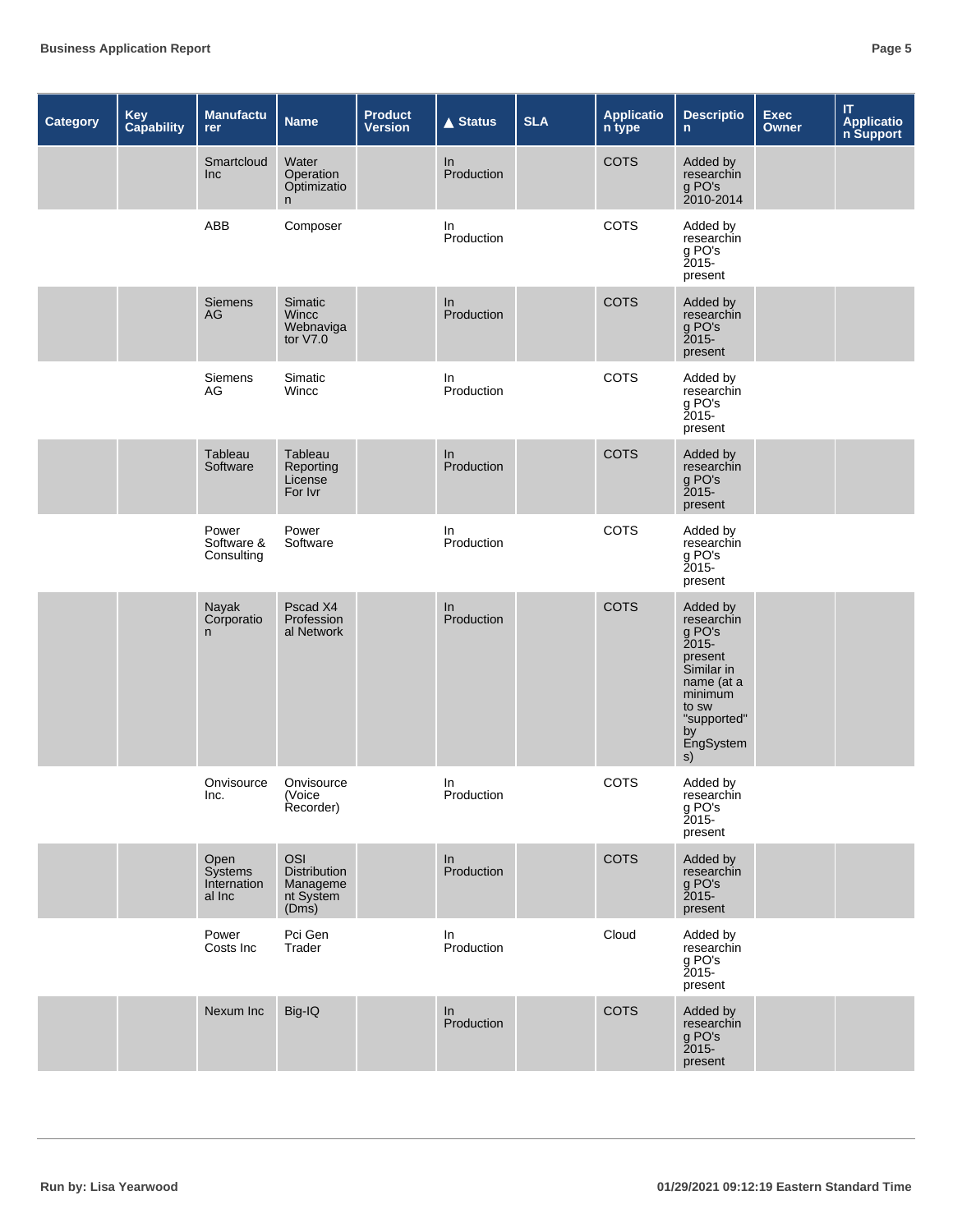| <b>Category</b> | Key<br>Capability | Manufactu<br>rer                         | <b>Name</b>                                                         | <b>Product</b><br><b>Version</b> | <b>▲ Status</b>  | <b>SLA</b> | <b>Applicatio</b><br>n type | <b>Descriptio</b><br>$\mathsf{n}$                                                                                                            | <b>Exec</b><br><b>Owner</b> | $\mathsf{I}\mathsf{T}$<br><b>Applicatio</b><br>n Support |
|-----------------|-------------------|------------------------------------------|---------------------------------------------------------------------|----------------------------------|------------------|------------|-----------------------------|----------------------------------------------------------------------------------------------------------------------------------------------|-----------------------------|----------------------------------------------------------|
|                 |                   | Smartcloud<br>Inc                        | Water<br>Operation<br>Optimizatio<br>n.                             |                                  | In<br>Production |            | <b>COTS</b>                 | Added by<br>researchin<br>g PO's<br>2010-2014                                                                                                |                             |                                                          |
|                 |                   | ABB                                      | Composer                                                            |                                  | In<br>Production |            | COTS                        | Added by<br>researchin<br>g PO's<br><b>2015-</b><br>present                                                                                  |                             |                                                          |
|                 |                   | <b>Siemens</b><br>AG                     | <b>Simatic</b><br><b>Wincc</b><br>Webnaviga<br>tor $V7.0$           |                                  | In<br>Production |            | <b>COTS</b>                 | Added by<br>researchin<br>g PO's<br>present                                                                                                  |                             |                                                          |
|                 |                   | Siemens<br>AG                            | Simatic<br>Wincc                                                    |                                  | In<br>Production |            | COTS                        | Added by<br>researchin<br>g PO's<br>present                                                                                                  |                             |                                                          |
|                 |                   | Tableau<br>Software                      | Tableau<br>Reporting<br>License<br>For Ivr                          |                                  | In<br>Production |            | <b>COTS</b>                 | Added by<br>researchin<br>g PO's<br>$2015 -$<br>present                                                                                      |                             |                                                          |
|                 |                   | Power<br>Software &<br>Consulting        | Power<br>Software                                                   |                                  | In<br>Production |            | COTS                        | Added by<br>researchin<br>g PO's<br>present                                                                                                  |                             |                                                          |
|                 |                   | Nayak<br>Corporatio<br>n.                | Pscad X4<br>Profession<br>al Network                                |                                  | In<br>Production |            | <b>COTS</b>                 | Added by<br>researchin<br>g PO's<br>2015-<br>present<br>Similar in<br>name (at a<br>minimum<br>to sw<br>"supported"<br>by<br>EngSystem<br>s) |                             |                                                          |
|                 |                   | Onvisource<br>Inc.                       | Onvisource<br>(Voice<br>Recorder)                                   |                                  | In<br>Production |            | COTS                        | Added by<br>researchin<br>g PO's<br>2015-<br>present                                                                                         |                             |                                                          |
|                 |                   | Open<br>Systems<br>Internation<br>al Inc | <b>OSI</b><br><b>Distribution</b><br>Manageme<br>nt System<br>(Dms) |                                  | ln<br>Production |            | <b>COTS</b>                 | Added by<br>researchin<br>g PO's<br>present                                                                                                  |                             |                                                          |
|                 |                   | Power<br>Costs Inc                       | Pci Gen<br>Trader                                                   |                                  | In<br>Production |            | Cloud                       | Added by<br>researchin<br>g PO's<br>2015-<br>present                                                                                         |                             |                                                          |
|                 |                   | Nexum Inc                                | Big-IQ                                                              |                                  | ln<br>Production |            | <b>COTS</b>                 | Added by<br>researchin<br>g PO's<br>present                                                                                                  |                             |                                                          |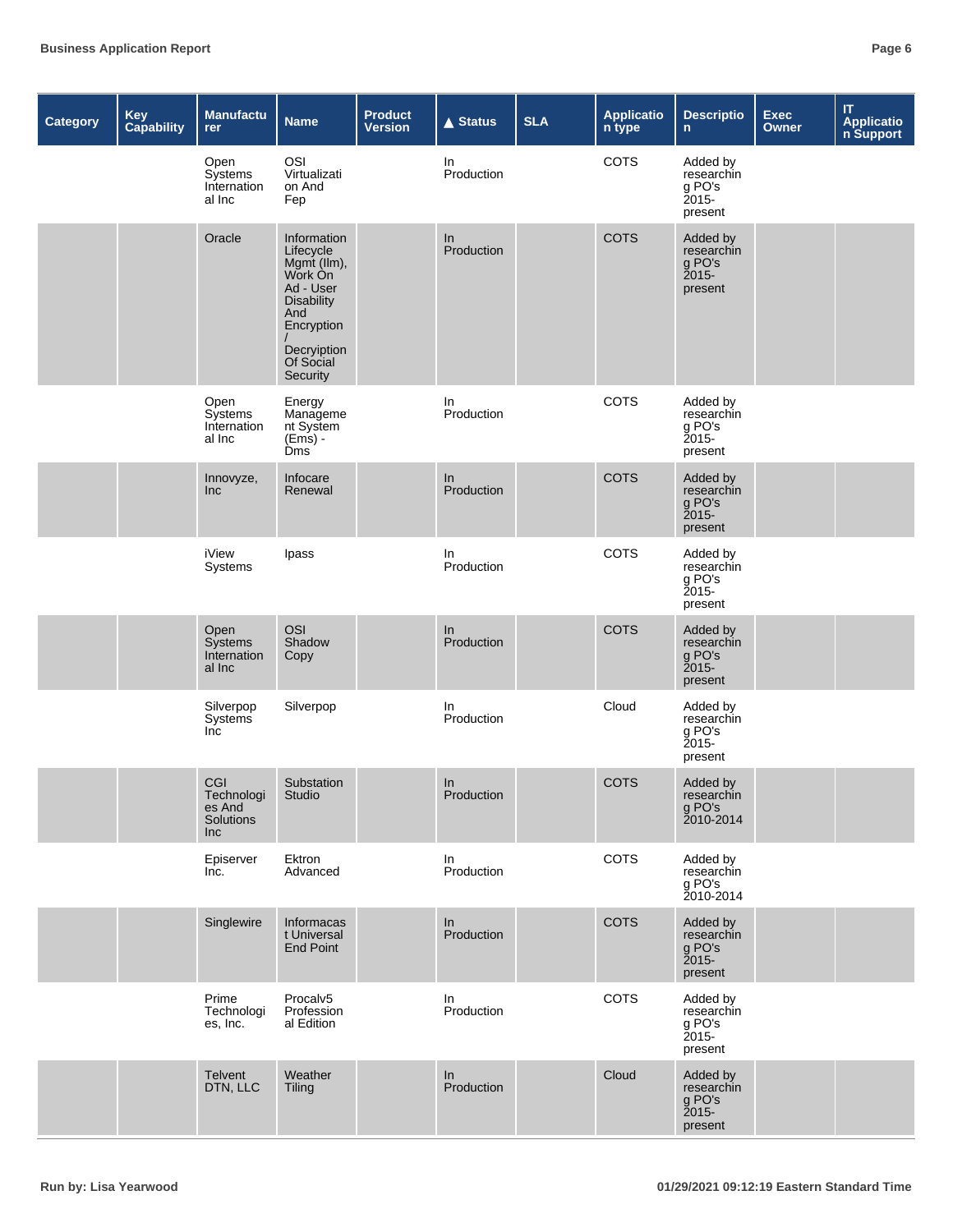| <b>Category</b> | Key<br><b>Capability</b> | Manufactu<br>rer                                | <b>Name</b>                                                                                                                                       | <b>Product</b><br><b>Version</b> | <b>▲ Status</b>   | <b>SLA</b> | <b>Applicatio</b><br>n type | <b>Descriptio</b><br>$\mathsf{n}$                       | <b>Exec</b><br>Owner | $\sf IT$<br><b>Applicatio</b><br>n Support |
|-----------------|--------------------------|-------------------------------------------------|---------------------------------------------------------------------------------------------------------------------------------------------------|----------------------------------|-------------------|------------|-----------------------------|---------------------------------------------------------|----------------------|--------------------------------------------|
|                 |                          | Open<br>Systems<br>Internation<br>al Inc        | OSI<br>Virtualizati<br>on And<br>Fep                                                                                                              |                                  | In.<br>Production |            | COTS                        | Added by<br>researchin<br>g PO's<br>Ž015-<br>present    |                      |                                            |
|                 |                          | Oracle                                          | Information<br>Lifecycle<br>Mgmt (Ilm),<br>Work On<br>Ad - User<br><b>Disability</b><br>And<br>Encryption<br>Decryiption<br>Of Social<br>Security |                                  | In<br>Production  |            | <b>COTS</b>                 | Added by<br>researchin<br>g PO's<br>$2015 -$<br>present |                      |                                            |
|                 |                          | Open<br>Systems<br>Internation<br>al Inc        | Energy<br>Manageme<br>nt System<br>$(Ems) -$<br><b>Dms</b>                                                                                        |                                  | In<br>Production  |            | COTS                        | Added by<br>researchin<br>g PO's<br>$2015 -$<br>present |                      |                                            |
|                 |                          | Innovyze,<br>Inc                                | Infocare<br>Renewal                                                                                                                               |                                  | In<br>Production  |            | <b>COTS</b>                 | Added by<br>researchin<br>g PO's<br>$2015 -$<br>present |                      |                                            |
|                 |                          | <b>iView</b><br>Systems                         | Ipass                                                                                                                                             |                                  | In<br>Production  |            | COTS                        | Added by<br>researchin<br>g PO's<br>Ž015-<br>present    |                      |                                            |
|                 |                          | Open<br>Systems<br>Internation<br>al Inc        | OSI<br>Shadow<br>Copy                                                                                                                             |                                  | In<br>Production  |            | <b>COTS</b>                 | Added by<br>researchin<br>g PO's<br>$2015 -$<br>present |                      |                                            |
|                 |                          | Silverpop<br><b>Systems</b><br>Inc              | Silverpop                                                                                                                                         |                                  | In.<br>Production |            | Cloud                       | Added by<br>researchin<br>g PO's<br>present             |                      |                                            |
|                 |                          | CGI<br>Technologi<br>es And<br>Solutions<br>Inc | Substation<br>Studio                                                                                                                              |                                  | In<br>Production  |            | <b>COTS</b>                 | Added by<br>researchin<br>g PO's<br>2010-2014           |                      |                                            |
|                 |                          | Episerver<br>Inc.                               | Ektron<br>Advanced                                                                                                                                |                                  | In.<br>Production |            | COTS                        | Added by<br>researchin<br>g PO's<br>2010-2014           |                      |                                            |
|                 |                          | Singlewire                                      | Informacas<br>t Universal<br><b>End Point</b>                                                                                                     |                                  | In<br>Production  |            | COTS                        | Added by<br>researchin<br>g PO's<br>present             |                      |                                            |
|                 |                          | Prime<br>Technologi<br>es, Inc.                 | Procalv5<br>Profession<br>al Edition                                                                                                              |                                  | In<br>Production  |            | COTS                        | Added by<br>researchin<br>g PO's<br>$2015 -$<br>present |                      |                                            |
|                 |                          | Telvent<br>DTN, LLC                             | Weather<br><b>Tiling</b>                                                                                                                          |                                  | In<br>Production  |            | Cloud                       | Added by<br>researchin<br>g PO's<br>present             |                      |                                            |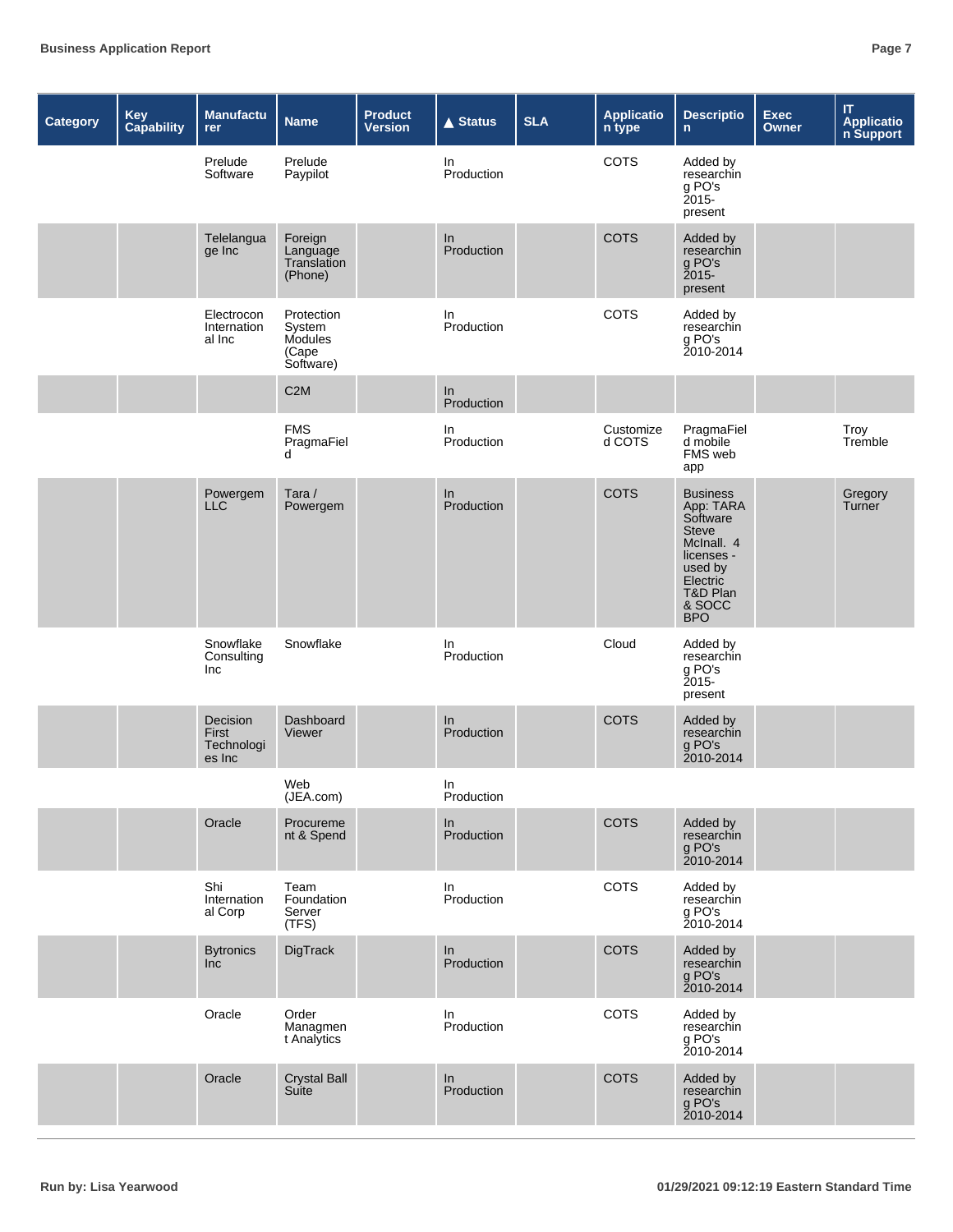| <b>Category</b> | Key<br>Capability | Manufactu<br>rer                          | <b>Name</b>                                           | <b>Product</b><br><b>Version</b> | <b>▲ Status</b>     | <b>SLA</b> | <b>Applicatio</b><br>n type | <b>Descriptio</b><br>$\mathsf{n}$                                                                                                               | <b>Exec</b><br><b>Owner</b> | $\mathsf{I}\mathsf{T}$<br>Applicatio<br>n Support |
|-----------------|-------------------|-------------------------------------------|-------------------------------------------------------|----------------------------------|---------------------|------------|-----------------------------|-------------------------------------------------------------------------------------------------------------------------------------------------|-----------------------------|---------------------------------------------------|
|                 |                   | Prelude<br>Software                       | Prelude<br>Paypilot                                   |                                  | In.<br>Production   |            | <b>COTS</b>                 | Added by<br>researchin<br>g PO's<br>Ž015-<br>present                                                                                            |                             |                                                   |
|                 |                   | Telelangua<br>ge Inc                      | Foreign<br>Language<br>Translation<br>(Phone)         |                                  | In<br>Production    |            | <b>COTS</b>                 | Added by<br>researchin<br>g PO's<br>present                                                                                                     |                             |                                                   |
|                 |                   | Electrocon<br>Internation<br>al Inc       | Protection<br>System<br>Modules<br>(Cape<br>Software) |                                  | In.<br>Production   |            | COTS                        | Added by<br>researchin<br>g PO's<br>2010-2014                                                                                                   |                             |                                                   |
|                 |                   |                                           | C <sub>2</sub> M                                      |                                  | In<br>Production    |            |                             |                                                                                                                                                 |                             |                                                   |
|                 |                   |                                           | <b>FMS</b><br>PragmaFiel<br>d                         |                                  | In<br>Production    |            | Customize<br>d COTS         | PragmaFiel<br>d mobile<br>FMS web<br>app                                                                                                        |                             | Troy<br>Tremble                                   |
|                 |                   | Powergem<br><b>LLC</b>                    | Tara/<br>Powergem                                     |                                  | ln<br>Production    |            | <b>COTS</b>                 | <b>Business</b><br>App: TARA<br>Software<br><b>Steve</b><br>McInall. 4<br>licenses -<br>used by<br>Electric<br>T&D Plan<br>& SOCC<br><b>BPO</b> |                             | Gregory<br>Turner                                 |
|                 |                   | Snowflake<br>Consulting<br>Inc            | Snowflake                                             |                                  | In.<br>Production   |            | Cloud                       | Added by<br>researchin<br>g PO's<br>Ž015-<br>present                                                                                            |                             |                                                   |
|                 |                   | Decision<br>First<br>Technologi<br>es Inc | Dashboard<br>Viewer                                   |                                  | In<br>Production    |            | <b>COTS</b>                 | Added by<br>researchin<br>g PO's<br>2010-2014                                                                                                   |                             |                                                   |
|                 |                   |                                           | Web<br>(JEA.com)                                      |                                  | In<br>Production    |            |                             |                                                                                                                                                 |                             |                                                   |
|                 |                   | Oracle                                    | Procureme<br>nt & Spend                               |                                  | In<br>Production    |            | COTS                        | Added by<br>researchin<br>g PO's<br>2010-2014                                                                                                   |                             |                                                   |
|                 |                   | Shi<br>Internation<br>al Corp             | Team<br>Foundation<br>Server<br>(TFS)                 |                                  | In.<br>Production   |            | <b>COTS</b>                 | Added by<br>researchin<br>g PO's<br>2010-2014                                                                                                   |                             |                                                   |
|                 |                   | <b>Bytronics</b><br>Inc                   | DigTrack                                              |                                  | $\ln$<br>Production |            | COTS                        | Added by<br>researchin<br>g PO's<br>2010-2014                                                                                                   |                             |                                                   |
|                 |                   | Oracle                                    | Order<br>Managmen<br>t Analytics                      |                                  | In<br>Production    |            | COTS                        | Added by<br>researchin<br>g PO's<br>2010-2014                                                                                                   |                             |                                                   |
|                 |                   | Oracle                                    | <b>Crystal Ball</b><br>Suite                          |                                  | In<br>Production    |            | <b>COTS</b>                 | Added by<br>researchin<br>g PO's<br>2010-2014                                                                                                   |                             |                                                   |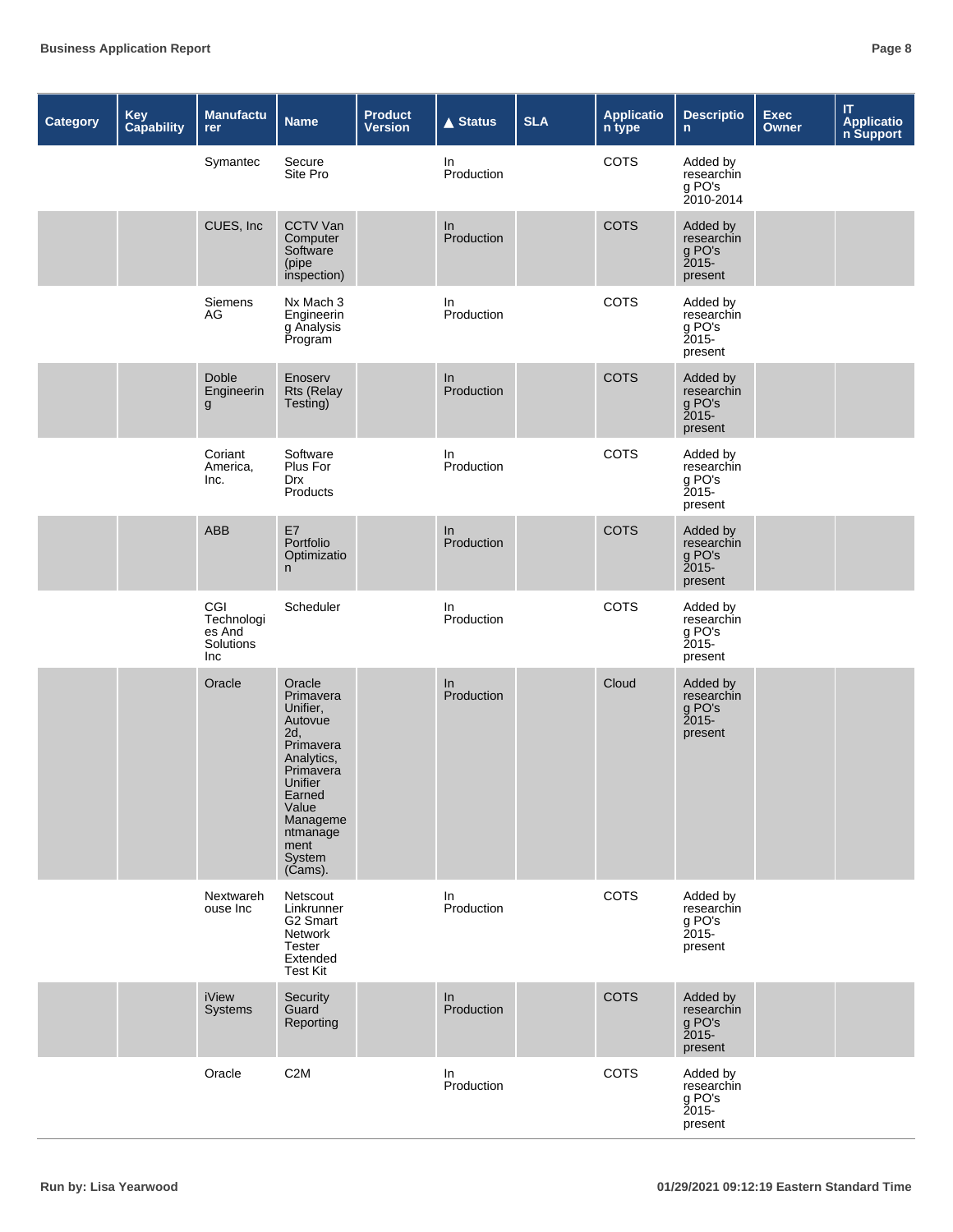| <b>Category</b> | Key<br><b>Capability</b> | <b>Manufactu</b><br>rer                         | <b>Name</b>                                                                                                                                                                  | <b>Product</b><br><b>Version</b> | $\triangle$ Status | <b>SLA</b> | <b>Applicatio</b><br>n type | <b>Descriptio</b><br>$\mathsf{n}$                           | Exec<br>Owner | $\mathsf{I}\mathsf{T}$<br><b>Application</b><br><b>n</b> Support |
|-----------------|--------------------------|-------------------------------------------------|------------------------------------------------------------------------------------------------------------------------------------------------------------------------------|----------------------------------|--------------------|------------|-----------------------------|-------------------------------------------------------------|---------------|------------------------------------------------------------------|
|                 |                          | Symantec                                        | Secure<br>Site Pro                                                                                                                                                           |                                  | In<br>Production   |            | COTS                        | Added by<br>researchin<br>g PO's<br>2010-2014               |               |                                                                  |
|                 |                          | CUES, Inc                                       | CCTV Van<br>Computer<br>Software<br>(pipe<br>inspection)                                                                                                                     |                                  | In<br>Production   |            | <b>COTS</b>                 | Added by<br>researchin<br>g PO's<br>present                 |               |                                                                  |
|                 |                          | Siemens<br>AG                                   | Nx Mach 3<br>Engineerin<br>g Analysis<br>Program                                                                                                                             |                                  | In<br>Production   |            | COTS                        | Added by<br>researchin<br>g PO's<br>Ž015-<br>present        |               |                                                                  |
|                 |                          | Doble<br>Engineerin<br>$\mathsf{g}$             | Enoserv<br><b>Rts (Relay</b><br>Testing)                                                                                                                                     |                                  | In<br>Production   |            | <b>COTS</b>                 | Added by<br>researchin<br>g PO's<br>present                 |               |                                                                  |
|                 |                          | Coriant<br>America,<br>Inc.                     | Software<br>Plus For<br><b>Drx</b><br>Products                                                                                                                               |                                  | In<br>Production   |            | COTS                        | Added by<br>researchin<br>g PO's<br>present                 |               |                                                                  |
|                 |                          | <b>ABB</b>                                      | E7<br>Portfolio<br>Optimizatio<br>n                                                                                                                                          |                                  | In<br>Production   |            | <b>COTS</b>                 | Added by<br>researchin<br>g PO's<br>present                 |               |                                                                  |
|                 |                          | CGI<br>Technologi<br>es And<br>Solutions<br>Inc | Scheduler                                                                                                                                                                    |                                  | In.<br>Production  |            | COTS                        | Added by<br>researchin<br>g PO's<br><b>2015-</b><br>present |               |                                                                  |
|                 |                          | Oracle                                          | Oracle<br>Primavera<br>Unifier,<br>Autovue<br>2d,<br>Primavera<br>Analytics,<br>Primavera<br>Unifier<br>Earned<br>Value<br>Manageme<br>ntmanage<br>ment<br>System<br>(Cams). |                                  | In<br>Production   |            | Cloud                       | Added by<br>researchin<br>g PO's<br>present                 |               |                                                                  |
|                 |                          | Nextwareh<br>ouse Inc                           | Netscout<br>Linkrunner<br>G <sub>2</sub> Smart<br>Network<br><b>Tester</b><br>Extended<br><b>Test Kit</b>                                                                    |                                  | In<br>Production   |            | COTS                        | Added by<br>researchin<br>g PO's<br>$2015 -$<br>present     |               |                                                                  |
|                 |                          | iView<br>Systems                                | Security<br>Guard<br>Reporting                                                                                                                                               |                                  | In<br>Production   |            | <b>COTS</b>                 | Added by<br>researchin<br>g PO's<br>$2015 -$<br>present     |               |                                                                  |
|                 |                          | Oracle                                          | C <sub>2</sub> M                                                                                                                                                             |                                  | In<br>Production   |            | COTS                        | Added by<br>researchin<br>g PO's<br>2015-<br>present        |               |                                                                  |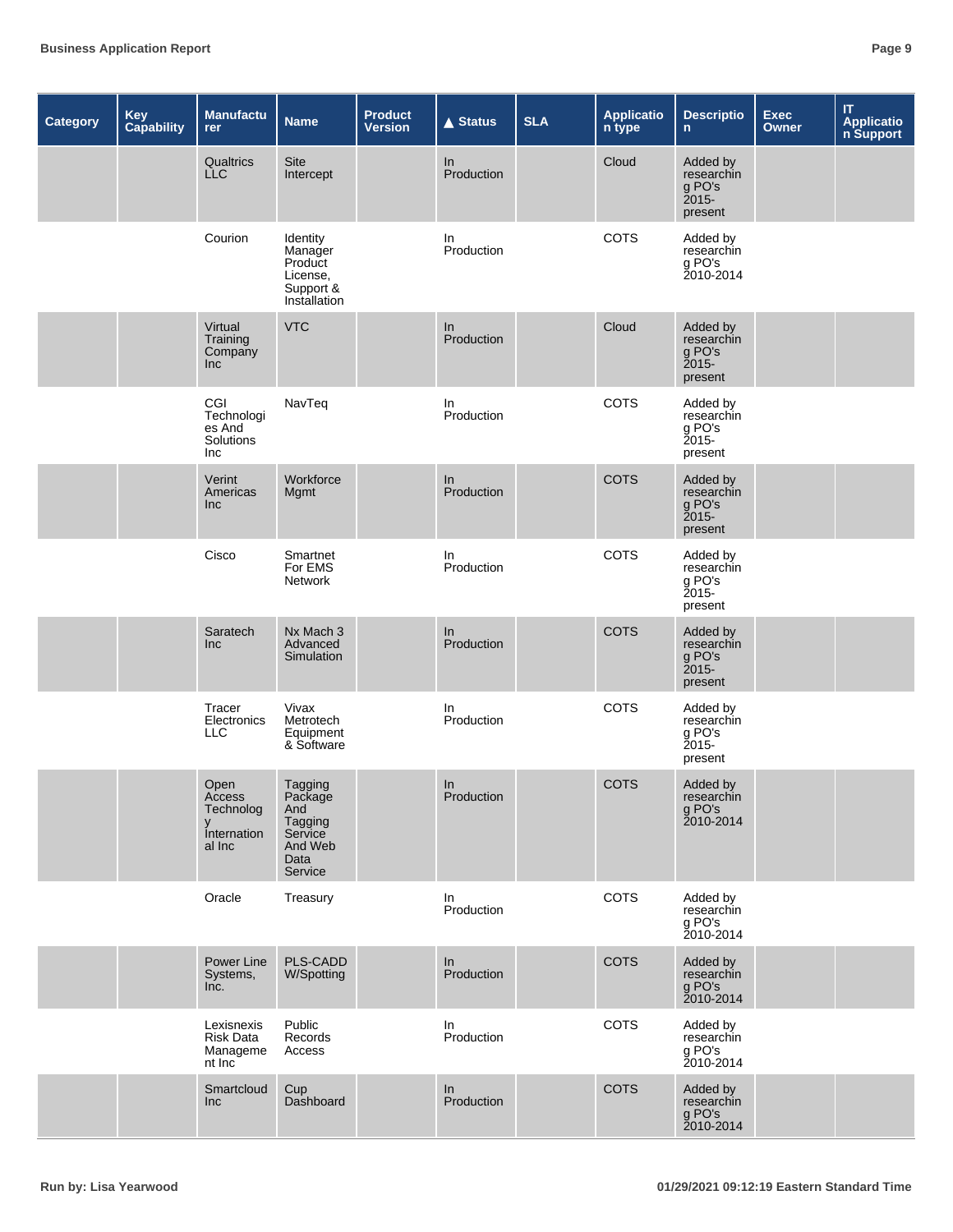| <b>Category</b> | Key<br>Capability | Manufactu<br>rer                                          | <b>Name</b>                                                                        | <b>Product</b><br><b>Version</b> | $\triangle$ Status  | <b>SLA</b> | <b>Applicatio</b><br>n type | <b>Descriptio</b><br>$\mathsf{n}$                           | <b>Exec</b><br>Owner | $\mathsf{I}\mathsf{T}$<br>Applicatio<br>n Support |
|-----------------|-------------------|-----------------------------------------------------------|------------------------------------------------------------------------------------|----------------------------------|---------------------|------------|-----------------------------|-------------------------------------------------------------|----------------------|---------------------------------------------------|
|                 |                   | Qualtrics<br><b>LLC</b>                                   | Site<br>Intercept                                                                  |                                  | In<br>Production    |            | Cloud                       | Added by<br>researchin<br>g PO's<br>present                 |                      |                                                   |
|                 |                   | Courion                                                   | Identity<br>Manager<br>Product<br>License,<br>Support <sup>8</sup><br>Installation |                                  | In.<br>Production   |            | <b>COTS</b>                 | Added by<br>researchin<br>g PO's<br>2010-2014               |                      |                                                   |
|                 |                   | Virtual<br>Training<br>Company<br>Inc                     | <b>VTC</b>                                                                         |                                  | In<br>Production    |            | Cloud                       | Added by<br>researchin<br>g PO's<br>2015-<br>present        |                      |                                                   |
|                 |                   | CGI<br>Technologi<br>es And<br>Solutions<br>Inc           | NavTeq                                                                             |                                  | In<br>Production    |            | <b>COTS</b>                 | Added by<br>researchin<br>g PO's<br><b>2015-</b><br>present |                      |                                                   |
|                 |                   | Verint<br>Americas<br>Inc                                 | Workforce<br>Mgmt                                                                  |                                  | In<br>Production    |            | <b>COTS</b>                 | Added by<br>researchin<br>g PO's<br>$2015 -$<br>present     |                      |                                                   |
|                 |                   | Cisco                                                     | Smartnet<br>For EMS<br>Network                                                     |                                  | In<br>Production    |            | <b>COTS</b>                 | Added by<br>researchin<br>g PO's<br>Ž015-<br>present        |                      |                                                   |
|                 |                   | Saratech<br>Inc                                           | Nx Mach 3<br>Advanced<br>Simulation                                                |                                  | In<br>Production    |            | <b>COTS</b>                 | Added by<br>researchin<br>g PO's<br>$2015 -$<br>present     |                      |                                                   |
|                 |                   | Tracer<br>Electronics<br><b>LLC</b>                       | Vivax<br>Metrotech<br>Equipment<br>& Software                                      |                                  | In.<br>Production   |            | <b>COTS</b>                 | Added by<br>researchin<br>g PO's<br>$2015 -$<br>present     |                      |                                                   |
|                 |                   | Open<br>Access<br>Technolog<br>y<br>Internation<br>al Inc | Tagging<br>Package<br>And<br>Tagging<br>Service<br>And Web<br>Data<br>Service      |                                  | $\ln$<br>Production |            | COTS                        | Added by<br>researchin<br>g PO's<br>2010-2014               |                      |                                                   |
|                 |                   | Oracle                                                    | Treasury                                                                           |                                  | In<br>Production    |            | COTS                        | Added by<br>researchin<br>g PO's<br>2010-2014               |                      |                                                   |
|                 |                   | Power Line<br>Systems,<br>Inc.                            | PLS-CADD<br>W/Spotting                                                             |                                  | In<br>Production    |            | <b>COTS</b>                 | Added by<br>researchin<br>g PO's<br>2010-2014               |                      |                                                   |
|                 |                   | Lexisnexis<br><b>Risk Data</b><br>Manageme<br>nt Inc      | Public<br>Records<br>Access                                                        |                                  | In.<br>Production   |            | <b>COTS</b>                 | Added by<br>researchin<br>g PO's<br>2010-2014               |                      |                                                   |
|                 |                   | Smartcloud<br>Inc                                         | Cup<br>Dashboard                                                                   |                                  | In.<br>Production   |            | <b>COTS</b>                 | Added by<br>researchin<br>g PO's<br>2010-2014               |                      |                                                   |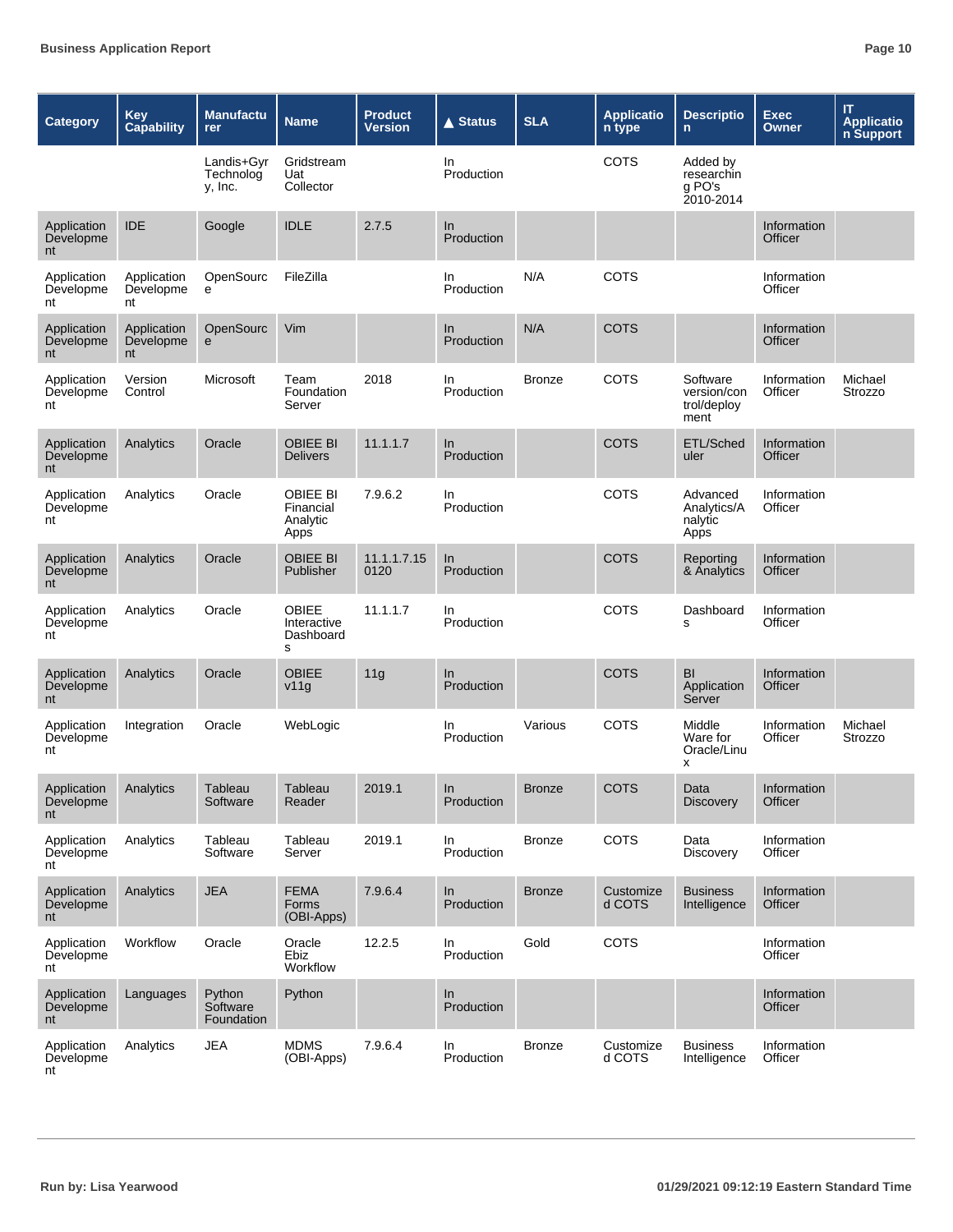| <b>Category</b>                          | <b>Key</b><br><b>Capability</b> | <b>Manufactu</b><br>rer            | <b>Name</b>                                      | <b>Product</b><br><b>Version</b> | <b>▲ Status</b>   | <b>SLA</b>    | <b>Applicatio</b><br>n type | <b>Descriptio</b><br>n                         | <b>Exec</b><br>Owner   | IT<br><b>Applicatio</b><br>n Support |
|------------------------------------------|---------------------------------|------------------------------------|--------------------------------------------------|----------------------------------|-------------------|---------------|-----------------------------|------------------------------------------------|------------------------|--------------------------------------|
|                                          |                                 | Landis+Gyr<br>Technolog<br>y, Inc. | Gridstream<br>Uat<br>Collector                   |                                  | In.<br>Production |               | <b>COTS</b>                 | Added by<br>researchin<br>g PO's<br>2010-2014  |                        |                                      |
| Application<br>Developme<br>nt           | <b>IDE</b>                      | Google                             | <b>IDLE</b>                                      | 2.7.5                            | In<br>Production  |               |                             |                                                | Information<br>Officer |                                      |
| Application<br>Developme<br>nt           | Application<br>Developme<br>nt  | OpenSourc<br>e                     | FileZilla                                        |                                  | In<br>Production  | N/A           | COTS                        |                                                | Information<br>Officer |                                      |
| Application<br>Developme<br>nt           | Application<br>Developme<br>nt  | OpenSourc<br>e                     | Vim                                              |                                  | In<br>Production  | N/A           | <b>COTS</b>                 |                                                | Information<br>Officer |                                      |
| Application<br>Developme<br>nt           | Version<br>Control              | Microsoft                          | Team<br>Foundation<br>Server                     | 2018                             | In<br>Production  | Bronze        | COTS                        | Software<br>version/con<br>trol/deploy<br>ment | Information<br>Officer | Michael<br>Strozzo                   |
| Application<br>Developme<br>nt           | Analytics                       | Oracle                             | <b>OBIEE BI</b><br><b>Delivers</b>               | 11.1.1.7                         | In<br>Production  |               | <b>COTS</b>                 | ETL/Sched<br>uler                              | Information<br>Officer |                                      |
| Application<br>Developme<br>nt           | Analytics                       | Oracle                             | <b>OBIEE BI</b><br>Financial<br>Analytic<br>Apps | 7.9.6.2                          | In.<br>Production |               | <b>COTS</b>                 | Advanced<br>Analytics/A<br>nalytic<br>Apps     | Information<br>Officer |                                      |
| Application<br>Developme<br>nt           | Analytics                       | Oracle                             | <b>OBIEE BI</b><br>Publisher                     | 11.1.1.7.15<br>0120              | In<br>Production  |               | <b>COTS</b>                 | Reporting<br>& Analytics                       | Information<br>Officer |                                      |
| Application<br>Developme<br>nt           | Analytics                       | Oracle                             | <b>OBIEE</b><br>Interactive<br>Dashboard<br>s    | 11.1.1.7                         | In.<br>Production |               | COTS                        | Dashboard<br>s                                 | Information<br>Officer |                                      |
| Application<br>Developme<br>nt           | Analytics                       | Oracle                             | <b>OBIEE</b><br>v11g                             | 11g                              | In<br>Production  |               | <b>COTS</b>                 | BI<br>Application<br>Server                    | Information<br>Officer |                                      |
| Application<br>Developme<br>nt           | Integration                     | Oracle                             | WebLogic                                         |                                  | In<br>Production  | Various       | COTS                        | Middle<br>Ware for<br>Oracle/Linu<br>X         | Information<br>Officer | Michael<br>Strozzo                   |
| Application Analytics<br>Developme<br>nt |                                 | Tableau<br>Software                | Tableau<br>Reader                                | 2019.1                           | In<br>Production  | <b>Bronze</b> | COTS                        | Data<br><b>Discovery</b>                       | Information<br>Officer |                                      |
| Application<br>Developme<br>nt           | Analytics                       | Tableau<br>Software                | Tableau<br>Server                                | 2019.1                           | In<br>Production  | <b>Bronze</b> | COTS                        | Data<br><b>Discovery</b>                       | Information<br>Officer |                                      |
| Application<br>Developme<br>nt           | Analytics                       | <b>JEA</b>                         | <b>FEMA</b><br>Forms<br>(OBI-Apps)               | 7.9.6.4                          | In<br>Production  | <b>Bronze</b> | Customize<br>d COTS         | <b>Business</b><br>Intelligence                | Information<br>Officer |                                      |
| Application<br>Developme<br>nt           | Workflow                        | Oracle                             | Oracle<br>Ebiz<br>Workflow                       | 12.2.5                           | In<br>Production  | Gold          | COTS                        |                                                | Information<br>Officer |                                      |
| Application<br>Developme<br>nt           | Languages                       | Python<br>Software<br>Foundation   | Python                                           |                                  | In<br>Production  |               |                             |                                                | Information<br>Officer |                                      |
| Application<br>Developme<br>nt           | Analytics                       | <b>JEA</b>                         | <b>MDMS</b><br>(OBI-Apps)                        | 7.9.6.4                          | In<br>Production  | <b>Bronze</b> | Customize<br>d COTS         | <b>Business</b><br>Intelligence                | Information<br>Officer |                                      |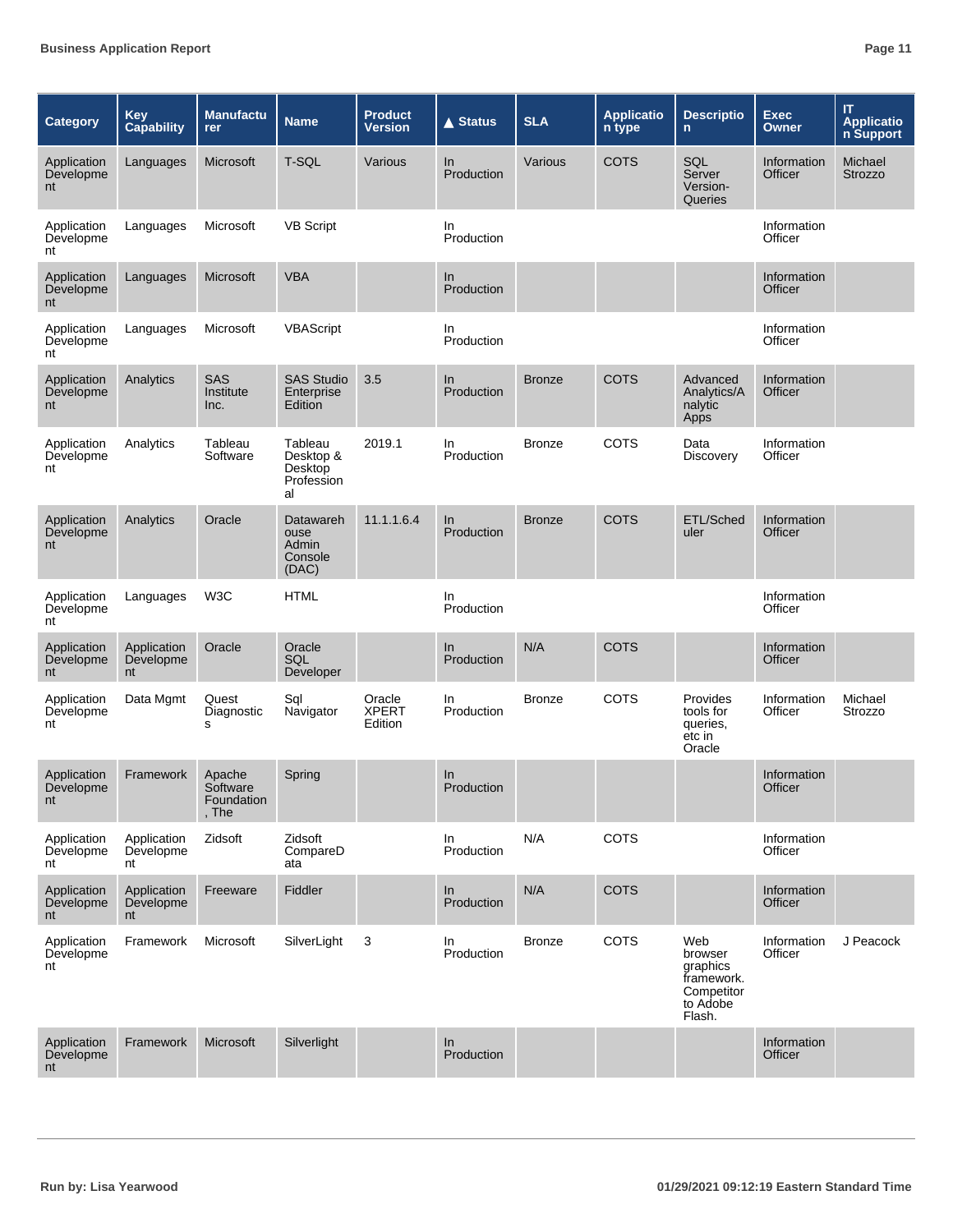| Category                       | <b>Key</b><br><b>Capability</b> | <b>Manufactu</b><br>rer                   | <b>Name</b>                                         | <b>Product</b><br><b>Version</b>  | <b>▲ Status</b>     | <b>SLA</b>    | <b>Applicatio</b><br>n type | <b>Descriptio</b><br>$\mathsf{n}$                                            | <b>Exec</b><br>Owner   | $\mathsf{I}\mathsf{T}$<br><b>Applicatio</b><br>n Support |
|--------------------------------|---------------------------------|-------------------------------------------|-----------------------------------------------------|-----------------------------------|---------------------|---------------|-----------------------------|------------------------------------------------------------------------------|------------------------|----------------------------------------------------------|
| Application<br>Developme<br>nt | Languages                       | Microsoft                                 | T-SQL                                               | Various                           | In.<br>Production   | Various       | <b>COTS</b>                 | SQL<br>Server<br>Version-<br>Queries                                         | Information<br>Officer | Michael<br><b>Strozzo</b>                                |
| Application<br>Developme<br>nt | Languages                       | Microsoft                                 | <b>VB Script</b>                                    |                                   | In<br>Production    |               |                             |                                                                              | Information<br>Officer |                                                          |
| Application<br>Developme<br>nt | Languages                       | Microsoft                                 | <b>VBA</b>                                          |                                   | In<br>Production    |               |                             |                                                                              | Information<br>Officer |                                                          |
| Application<br>Developme<br>nt | Languages                       | Microsoft                                 | VBAScript                                           |                                   | In<br>Production    |               |                             |                                                                              | Information<br>Officer |                                                          |
| Application<br>Developme<br>nt | Analytics                       | SAS<br>Institute<br>Inc.                  | <b>SAS Studio</b><br>Enterprise<br>Edition          | 3.5                               | In<br>Production    | <b>Bronze</b> | <b>COTS</b>                 | Advanced<br>Analytics/A<br>nalytic<br>Apps                                   | Information<br>Officer |                                                          |
| Application<br>Developme<br>nt | Analytics                       | Tableau<br>Software                       | Tableau<br>Desktop &<br>Desktop<br>Profession<br>al | 2019.1                            | In.<br>Production   | <b>Bronze</b> | COTS                        | Data<br>Discovery                                                            | Information<br>Officer |                                                          |
| Application<br>Developme<br>nt | Analytics                       | Oracle                                    | Datawareh<br>ouse<br>Admin<br>Console<br>(DAC)      | 11.1.1.6.4                        | In<br>Production    | <b>Bronze</b> | <b>COTS</b>                 | ETL/Sched<br>uler                                                            | Information<br>Officer |                                                          |
| Application<br>Developme<br>nt | Languages                       | W <sub>3</sub> C                          | <b>HTML</b>                                         |                                   | In.<br>Production   |               |                             |                                                                              | Information<br>Officer |                                                          |
| Application<br>Developme<br>nt | Application<br>Developme<br>nt  | Oracle                                    | Oracle<br>SQL<br>Developer                          |                                   | $\ln$<br>Production | N/A           | <b>COTS</b>                 |                                                                              | Information<br>Officer |                                                          |
| Application<br>Developme<br>nt | Data Mgmt                       | Quest<br>Diagnostic<br>s                  | Sql<br>Navigator                                    | Oracle<br><b>XPERT</b><br>Edition | In.<br>Production   | <b>Bronze</b> | <b>COTS</b>                 | Provides<br>tools for<br>queries,<br>etc in<br>Oracle                        | Information<br>Officer | Michael<br>Strozzo                                       |
| Application<br>Developme<br>nt | Framework                       | Apache<br>Software<br>Foundation<br>, The | Spring                                              |                                   | $\ln$<br>Production |               |                             |                                                                              | Information<br>Officer |                                                          |
| Application<br>Developme<br>nt | Application<br>Developme<br>nt  | Zidsoft                                   | Zidsoft<br>CompareD<br>ata                          |                                   | In<br>Production    | N/A           | COTS                        |                                                                              | Information<br>Officer |                                                          |
| Application<br>Developme<br>nt | Application<br>Developme<br>nt  | Freeware                                  | Fiddler                                             |                                   | In<br>Production    | N/A           | <b>COTS</b>                 |                                                                              | Information<br>Officer |                                                          |
| Application<br>Developme<br>nt | Framework                       | Microsoft                                 | SilverLight                                         | 3                                 | In<br>Production    | <b>Bronze</b> | <b>COTS</b>                 | Web<br>browser<br>graphics<br>framework.<br>Competitor<br>to Adobe<br>Flash. | Information<br>Officer | J Peacock                                                |
| Application<br>Developme<br>nt | Framework                       | Microsoft                                 | Silverlight                                         |                                   | In<br>Production    |               |                             |                                                                              | Information<br>Officer |                                                          |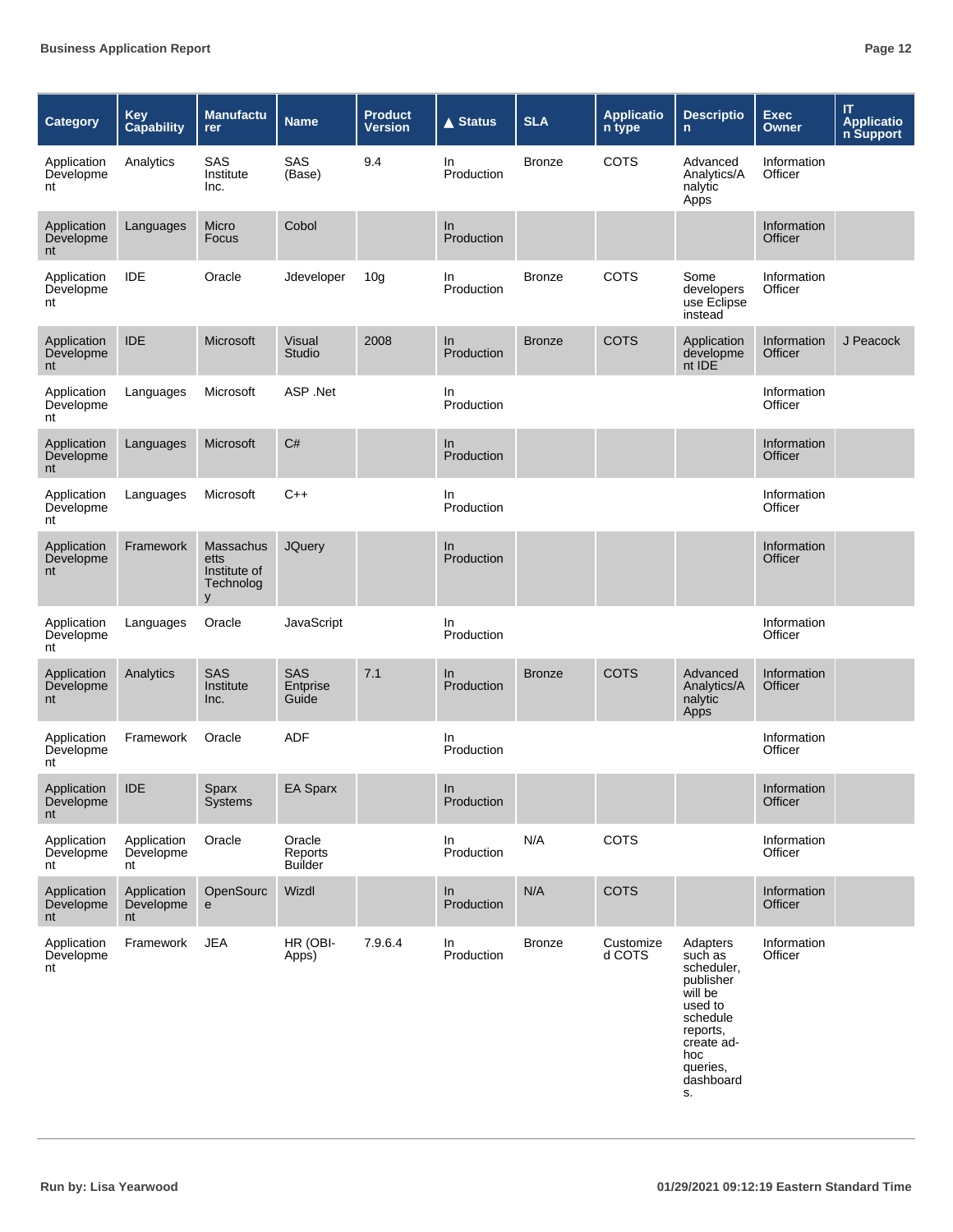| <b>Category</b>                    | <b>Key</b><br><b>Capability</b> | <b>Manufactu</b><br>rer                             | <b>Name</b>                         | <b>Product</b><br><b>Version</b> | <b>▲ Status</b>         | <b>SLA</b>    | <b>Applicatio</b><br>n type | <b>Descriptio</b><br>n.                                                                                                                          | <b>Exec</b><br><b>Owner</b>   | IT<br><b>Applicatio</b><br>n Support |
|------------------------------------|---------------------------------|-----------------------------------------------------|-------------------------------------|----------------------------------|-------------------------|---------------|-----------------------------|--------------------------------------------------------------------------------------------------------------------------------------------------|-------------------------------|--------------------------------------|
| Application<br>Developme<br>nt     | Analytics                       | SAS<br>Institute<br>Inc.                            | SAS<br>(Base)                       | 9.4                              | In<br>Production        | <b>Bronze</b> | <b>COTS</b>                 | Advanced<br>Analytics/A<br>nalytic<br>Apps                                                                                                       | Information<br>Officer        |                                      |
| Application<br>Developme<br>nt     | Languages                       | Micro<br>Focus                                      | Cobol                               |                                  | In<br>Production        |               |                             |                                                                                                                                                  | Information<br>Officer        |                                      |
| Application<br>Developme<br>nt     | <b>IDE</b>                      | Oracle                                              | Jdeveloper                          | 10 <sub>g</sub>                  | In<br>Production        | <b>Bronze</b> | <b>COTS</b>                 | Some<br>developers<br>use Eclipse<br>instead                                                                                                     | Information<br>Officer        |                                      |
| Application<br>Developme<br>nt     | <b>IDE</b>                      | Microsoft                                           | Visual<br><b>Studio</b>             | 2008                             | In<br>Production        | <b>Bronze</b> | <b>COTS</b>                 | Application<br>developme<br>nt IDE                                                                                                               | Information<br>Officer        | J Peacock                            |
| Application<br>Developme<br>nt     | Languages                       | Microsoft                                           | ASP .Net                            |                                  | In<br>Production        |               |                             |                                                                                                                                                  | Information<br>Officer        |                                      |
| Application<br>Developme<br>nt     | Languages                       | Microsoft                                           | C#                                  |                                  | In<br>Production        |               |                             |                                                                                                                                                  | Information<br><b>Officer</b> |                                      |
| Application<br>Developme<br>nt     | Languages                       | Microsoft                                           | $C++$                               |                                  | In<br>Production        |               |                             |                                                                                                                                                  | Information<br>Officer        |                                      |
| Application<br>Developme<br>nt     | Framework                       | Massachus<br>etts<br>Institute of<br>Technolog<br>y | <b>JQuery</b>                       |                                  | In<br>Production        |               |                             |                                                                                                                                                  | Information<br>Officer        |                                      |
| Application<br>Developme<br>nt     | Languages                       | Oracle                                              | JavaScript                          |                                  | <b>In</b><br>Production |               |                             |                                                                                                                                                  | Information<br>Officer        |                                      |
| Application<br>Developme<br>nt     | Analytics                       | SAS<br>Institute<br>Inc.                            | SAS<br>Entprise<br>Guide            | 7.1                              | In<br>Production        | <b>Bronze</b> | <b>COTS</b>                 | Advanced<br>Analytics/A<br>nalytic<br>Apps                                                                                                       | Information<br>Officer        |                                      |
| Application<br>Developme<br>nt     | Framework                       | Oracle                                              | <b>ADF</b>                          |                                  | In.<br>Production       |               |                             |                                                                                                                                                  | Information<br>Officer        |                                      |
| Application IDE<br>Developme<br>nt |                                 | Sparx<br>Systems                                    | EA Sparx                            |                                  | In<br>Production        |               |                             |                                                                                                                                                  | Information<br>Officer        |                                      |
| Application<br>Developme<br>nt     | Application<br>Developme<br>nt  | Oracle                                              | Oracle<br>Reports<br><b>Builder</b> |                                  | In<br>Production        | N/A           | COTS                        |                                                                                                                                                  | Information<br>Officer        |                                      |
| Application<br>Developme<br>nt     | Application<br>Developme<br>nt  | OpenSourc<br>$\mathbf e$                            | Wizdl                               |                                  | In<br>Production        | N/A           | <b>COTS</b>                 |                                                                                                                                                  | Information<br>Officer        |                                      |
| Application<br>Developme<br>nt     | Framework                       | <b>JEA</b>                                          | HR (OBI-<br>Apps)                   | 7.9.6.4                          | In<br>Production        | <b>Bronze</b> | Customize<br>d COTS         | Adapters<br>such as<br>scheduler,<br>publisher<br>will be<br>used to<br>schedule<br>reports,<br>create ad-<br>hoc<br>queries,<br>dashboard<br>S. | Information<br>Officer        |                                      |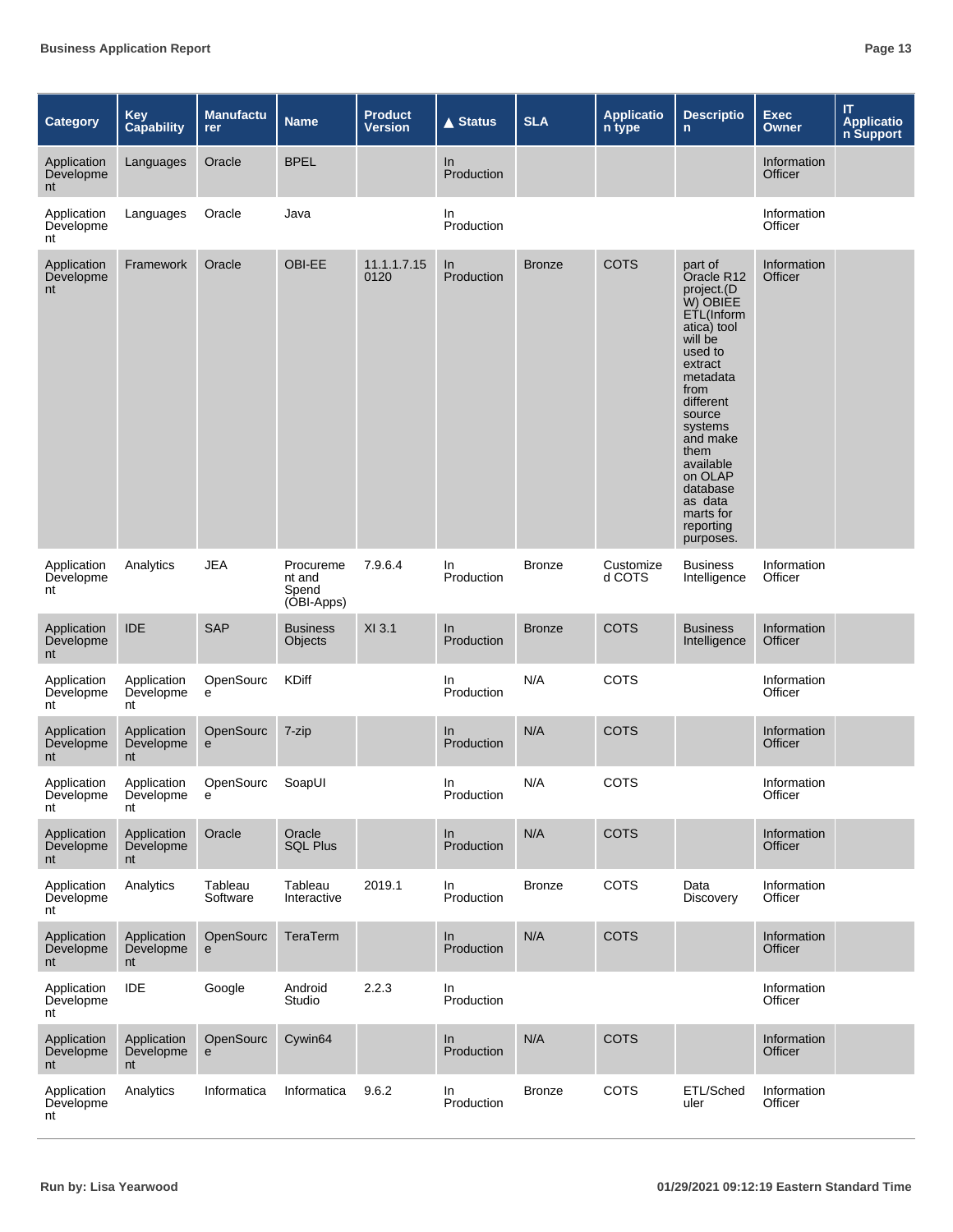| Category                       | <b>Key</b><br><b>Capability</b> | <b>Manufactu</b><br>rer | <b>Name</b>                                | <b>Product</b><br>Version | <b>▲ Status</b>   | <b>SLA</b>    | <b>Applicatio</b><br>n type | <b>Descriptio</b><br>$\mathsf{n}$                                                                                                                                                                                                                                             | <b>Exec</b><br><b>Owner</b>   | IT<br><b>Applicatio</b><br>n Support |
|--------------------------------|---------------------------------|-------------------------|--------------------------------------------|---------------------------|-------------------|---------------|-----------------------------|-------------------------------------------------------------------------------------------------------------------------------------------------------------------------------------------------------------------------------------------------------------------------------|-------------------------------|--------------------------------------|
| Application<br>Developme<br>nt | Languages                       | Oracle                  | <b>BPEL</b>                                |                           | In<br>Production  |               |                             |                                                                                                                                                                                                                                                                               | Information<br><b>Officer</b> |                                      |
| Application<br>Developme<br>nt | Languages                       | Oracle                  | Java                                       |                           | In.<br>Production |               |                             |                                                                                                                                                                                                                                                                               | Information<br>Officer        |                                      |
| Application<br>Developme<br>nt | Framework                       | Oracle                  | OBI-EE                                     | 11.1.1.7.15<br>0120       | In<br>Production  | <b>Bronze</b> | <b>COTS</b>                 | part of<br>Oracle R12<br>project.(D<br>W) OBIÈE<br>ETL(Inform<br>atica) tool<br>will be<br>used to<br>extract<br>metadata<br>from<br>different<br>source<br>systems<br>and make<br>them<br>available<br>on OLAP<br>database<br>as data<br>marts for<br>reporting<br>purposes. | Information<br>Officer        |                                      |
| Application<br>Developme<br>nt | Analytics                       | <b>JEA</b>              | Procureme<br>nt and<br>Spend<br>(OBI-Apps) | 7.9.6.4                   | In<br>Production  | <b>Bronze</b> | Customize<br>d COTS         | <b>Business</b><br>Intelligence                                                                                                                                                                                                                                               | Information<br>Officer        |                                      |
| Application<br>Developme<br>nt | <b>IDE</b>                      | <b>SAP</b>              | <b>Business</b><br>Objects                 | XI 3.1                    | In<br>Production  | <b>Bronze</b> | <b>COTS</b>                 | <b>Business</b><br>Intelligence                                                                                                                                                                                                                                               | Information<br>Officer        |                                      |
| Application<br>Developme<br>nt | Application<br>Developme<br>nt  | OpenSourc<br>e          | KDiff                                      |                           | In.<br>Production | N/A           | COTS                        |                                                                                                                                                                                                                                                                               | Information<br>Officer        |                                      |
| Application<br>Developme<br>nt | Application<br>Developme<br>nt  | OpenSourc<br>e          | 7-zip                                      |                           | In<br>Production  | N/A           | <b>COTS</b>                 |                                                                                                                                                                                                                                                                               | Information<br>Officer        |                                      |
| Application<br>Developme<br>nt | Application<br>Developme<br>nt  | OpenSourc<br>e          | SoapUI                                     |                           | In<br>Production  | N/A           | <b>COTS</b>                 |                                                                                                                                                                                                                                                                               | Information<br>Officer        |                                      |
| Application<br>Developme<br>nt | Application<br>Developme<br>nt  | Oracle                  | Oracle<br><b>SQL Plus</b>                  |                           | In<br>Production  | N/A           | COTS                        |                                                                                                                                                                                                                                                                               | Information<br>Officer        |                                      |
| Application<br>Developme<br>nt | Analytics                       | Tableau<br>Software     | Tableau<br>Interactive                     | 2019.1                    | In<br>Production  | <b>Bronze</b> | COTS                        | Data<br>Discovery                                                                                                                                                                                                                                                             | Information<br>Officer        |                                      |
| Application<br>Developme<br>nt | Application<br>Developme<br>nt  | OpenSourc<br>e          | TeraTerm                                   |                           | In<br>Production  | N/A           | COTS                        |                                                                                                                                                                                                                                                                               | Information<br>Officer        |                                      |
| Application<br>Developme<br>nt | IDE                             | Google                  | Android<br>Studio                          | 2.2.3                     | In<br>Production  |               |                             |                                                                                                                                                                                                                                                                               | Information<br>Officer        |                                      |
| Application<br>Developme<br>nt | Application<br>Developme<br>nt  | OpenSourc<br>e          | Cywin64                                    |                           | ln<br>Production  | N/A           | COTS                        |                                                                                                                                                                                                                                                                               | Information<br>Officer        |                                      |
| Application<br>Developme<br>nt | Analytics                       | Informatica             | Informatica                                | 9.6.2                     | In<br>Production  | <b>Bronze</b> | COTS                        | ETL/Sched<br>uler                                                                                                                                                                                                                                                             | Information<br>Officer        |                                      |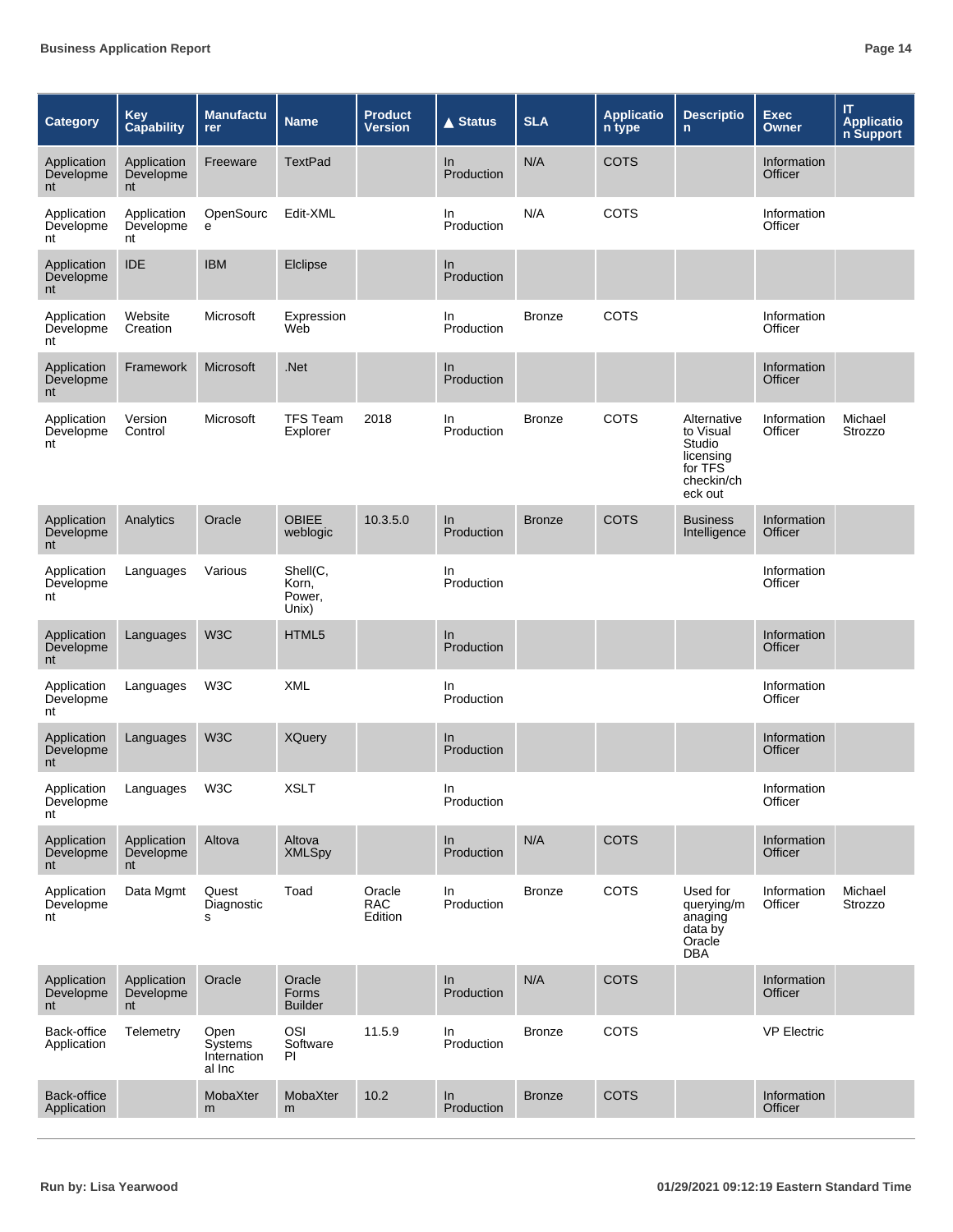| <b>Category</b>                | <b>Key</b><br><b>Capability</b> | <b>Manufactu</b><br><b>rer</b>           | <b>Name</b>                          | <b>Product</b><br><b>Version</b> | <b>▲ Status</b>     | <b>SLA</b>    | <b>Applicatio</b><br>n type | <b>Descriptio</b><br>$\mathsf{n}$                                                   | <b>Exec</b><br><b>Owner</b>   | IT<br><b>Applicatio</b><br>n Support |
|--------------------------------|---------------------------------|------------------------------------------|--------------------------------------|----------------------------------|---------------------|---------------|-----------------------------|-------------------------------------------------------------------------------------|-------------------------------|--------------------------------------|
| Application<br>Developme<br>nt | Application<br>Developme<br>nt  | Freeware                                 | <b>TextPad</b>                       |                                  | In<br>Production    | N/A           | <b>COTS</b>                 |                                                                                     | Information<br>Officer        |                                      |
| Application<br>Developme<br>nt | Application<br>Developme<br>nt  | OpenSourc<br>e                           | Edit-XML                             |                                  | ln.<br>Production   | N/A           | <b>COTS</b>                 |                                                                                     | Information<br>Officer        |                                      |
| Application<br>Developme<br>nt | <b>IDE</b>                      | <b>IBM</b>                               | Elclipse                             |                                  | In<br>Production    |               |                             |                                                                                     |                               |                                      |
| Application<br>Developme<br>nt | Website<br>Creation             | Microsoft                                | Expression<br>Web                    |                                  | In.<br>Production   | <b>Bronze</b> | COTS                        |                                                                                     | Information<br>Officer        |                                      |
| Application<br>Developme<br>nt | Framework                       | Microsoft                                | .Net                                 |                                  | In<br>Production    |               |                             |                                                                                     | Information<br>Officer        |                                      |
| Application<br>Developme<br>nt | Version<br>Control              | Microsoft                                | <b>TFS Team</b><br>Explorer          | 2018                             | ln.<br>Production   | <b>Bronze</b> | COTS                        | Alternative<br>to Visual<br>Studio<br>licensing<br>for TFS<br>checkin/ch<br>eck out | Information<br>Officer        | Michael<br>Strozzo                   |
| Application<br>Developme<br>nt | Analytics                       | Oracle                                   | <b>OBIEE</b><br>weblogic             | 10.3.5.0                         | In<br>Production    | <b>Bronze</b> | <b>COTS</b>                 | <b>Business</b><br>Intelligence                                                     | Information<br><b>Officer</b> |                                      |
| Application<br>Developme<br>nt | Languages                       | Various                                  | Shell(C,<br>Korn,<br>Power,<br>Unix) |                                  | In<br>Production    |               |                             |                                                                                     | Information<br>Officer        |                                      |
| Application<br>Developme<br>nt | Languages                       | W <sub>3</sub> C                         | HTML5                                |                                  | $\ln$<br>Production |               |                             |                                                                                     | Information<br><b>Officer</b> |                                      |
| Application<br>Developme<br>nt | Languages                       | W <sub>3</sub> C                         | <b>XML</b>                           |                                  | In<br>Production    |               |                             |                                                                                     | Information<br>Officer        |                                      |
| Application<br>Developme<br>nt | Languages                       | W <sub>3</sub> C                         | <b>XQuery</b>                        |                                  | In.<br>Production   |               |                             |                                                                                     | Information<br><b>Officer</b> |                                      |
| Application<br>Developme<br>nt | Languages                       | W3C                                      | XSLT                                 |                                  | In<br>Production    |               |                             |                                                                                     | Information<br>Officer        |                                      |
| Application<br>Developme<br>nt | Application<br>Developme<br>nt  | Altova                                   | Altova<br><b>XMLSpy</b>              |                                  | In<br>Production    | N/A           | <b>COTS</b>                 |                                                                                     | Information<br>Officer        |                                      |
| Application<br>Developme<br>nt | Data Mgmt                       | Quest<br>Diagnostic<br>s                 | Toad                                 | Oracle<br><b>RAC</b><br>Edition  | In<br>Production    | <b>Bronze</b> | <b>COTS</b>                 | Used for<br>querying/m<br>anaging<br>data by<br>Oracle<br><b>DBA</b>                | Information<br>Officer        | Michael<br>Strozzo                   |
| Application<br>Developme<br>nt | Application<br>Developme<br>nt  | Oracle                                   | Oracle<br>Forms<br><b>Builder</b>    |                                  | ln<br>Production    | N/A           | <b>COTS</b>                 |                                                                                     | Information<br>Officer        |                                      |
| Back-office<br>Application     | Telemetry                       | Open<br>Systems<br>Internation<br>al Inc | OSI<br>Software<br>ΡI                | 11.5.9                           | In<br>Production    | <b>Bronze</b> | <b>COTS</b>                 |                                                                                     | <b>VP Electric</b>            |                                      |
| Back-office<br>Application     |                                 | MobaXter<br>m                            | MobaXter<br>m                        | 10.2                             | In<br>Production    | <b>Bronze</b> | <b>COTS</b>                 |                                                                                     | Information<br>Officer        |                                      |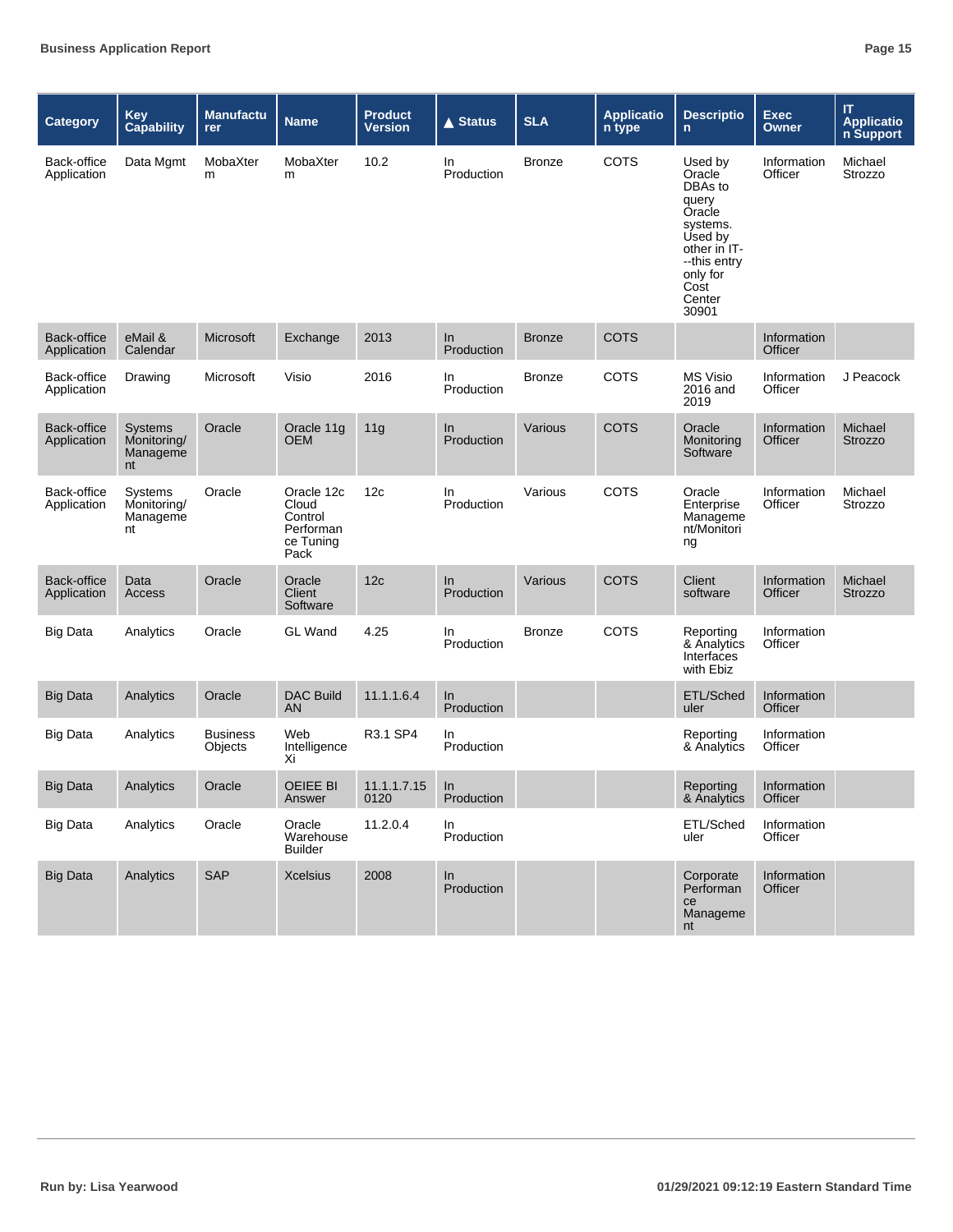| <b>Category</b>            | <b>Key</b><br><b>Capability</b>                 | <b>Manufactu</b><br>rer    | <b>Name</b>                                                      | <b>Product</b><br><b>Version</b> | <b>▲ Status</b>     | <b>SLA</b>    | <b>Applicatio</b><br>n type | <b>Descriptio</b><br>n                                                                                                                        | <b>Exec</b><br><b>Owner</b> | $\mathsf{I}\mathsf{T}$<br><b>Applicatio</b><br>n Support |
|----------------------------|-------------------------------------------------|----------------------------|------------------------------------------------------------------|----------------------------------|---------------------|---------------|-----------------------------|-----------------------------------------------------------------------------------------------------------------------------------------------|-----------------------------|----------------------------------------------------------|
| Back-office<br>Application | Data Mgmt                                       | MobaXter<br>m              | MobaXter<br>m                                                    | 10.2                             | In<br>Production    | <b>Bronze</b> | <b>COTS</b>                 | Used by<br>Oracle<br>DBAs to<br>query<br>Oracle<br>systems.<br>Used by<br>other in IT-<br>--this entry<br>only for<br>Cost<br>Center<br>30901 | Information<br>Officer      | Michael<br>Strozzo                                       |
| Back-office<br>Application | eMail &<br>Calendar                             | Microsoft                  | Exchange                                                         | 2013                             | In<br>Production    | <b>Bronze</b> | <b>COTS</b>                 |                                                                                                                                               | Information<br>Officer      |                                                          |
| Back-office<br>Application | Drawing                                         | Microsoft                  | Visio                                                            | 2016                             | In<br>Production    | <b>Bronze</b> | <b>COTS</b>                 | <b>MS Visio</b><br>2016 and<br>2019                                                                                                           | Information<br>Officer      | J Peacock                                                |
| Back-office<br>Application | <b>Systems</b><br>Monitoring/<br>Manageme<br>nt | Oracle                     | Oracle 11g<br><b>OEM</b>                                         | 11g                              | In<br>Production    | Various       | <b>COTS</b>                 | Oracle<br>Monitoring<br>Software                                                                                                              | Information<br>Officer      | Michael<br>Strozzo                                       |
| Back-office<br>Application | Systems<br>Monitoring/<br>Manageme<br>nt        | Oracle                     | Oracle 12c<br>Cloud<br>Control<br>Performan<br>ce Tuning<br>Pack | 12c                              | In.<br>Production   | Various       | <b>COTS</b>                 | Oracle<br>Enterprise<br>Manageme<br>nt/Monitori<br>ng                                                                                         | Information<br>Officer      | Michael<br>Strozzo                                       |
| Back-office<br>Application | Data<br>Access                                  | Oracle                     | Oracle<br>Client<br>Software                                     | 12c                              | $\ln$<br>Production | Various       | <b>COTS</b>                 | Client<br>software                                                                                                                            | Information<br>Officer      | Michael<br><b>Strozzo</b>                                |
| <b>Big Data</b>            | Analytics                                       | Oracle                     | <b>GL</b> Wand                                                   | 4.25                             | In<br>Production    | <b>Bronze</b> | <b>COTS</b>                 | Reporting<br>& Analytics<br>Interfaces<br>with Ebiz                                                                                           | Information<br>Officer      |                                                          |
| <b>Big Data</b>            | Analytics                                       | Oracle                     | <b>DAC Build</b><br>AN                                           | 11.1.1.6.4                       | In<br>Production    |               |                             | ETL/Sched<br>uler                                                                                                                             | Information<br>Officer      |                                                          |
| <b>Big Data</b>            | Analytics                                       | <b>Business</b><br>Objects | Web<br>Intelligence<br>Xi                                        | R3.1 SP4                         | In<br>Production    |               |                             | Reporting<br>& Analytics                                                                                                                      | Information<br>Officer      |                                                          |
| <b>Big Data</b>            | Analytics                                       | Oracle                     | OEIEE BI<br>Answer                                               | $11.1.1.7.15$ In<br>0120         | Production          |               |                             | Reporting Information<br>& Analytics                                                                                                          | Officer                     |                                                          |
| <b>Big Data</b>            | Analytics                                       | Oracle                     | Oracle<br>Warehouse<br><b>Builder</b>                            | 11.2.0.4                         | In<br>Production    |               |                             | ETL/Sched<br>uler                                                                                                                             | Information<br>Officer      |                                                          |
| <b>Big Data</b>            | Analytics                                       | SAP                        | <b>Xcelsius</b>                                                  | 2008                             | In<br>Production    |               |                             | Corporate<br>Performan<br>ce<br>Manageme<br>nt                                                                                                | Information<br>Officer      |                                                          |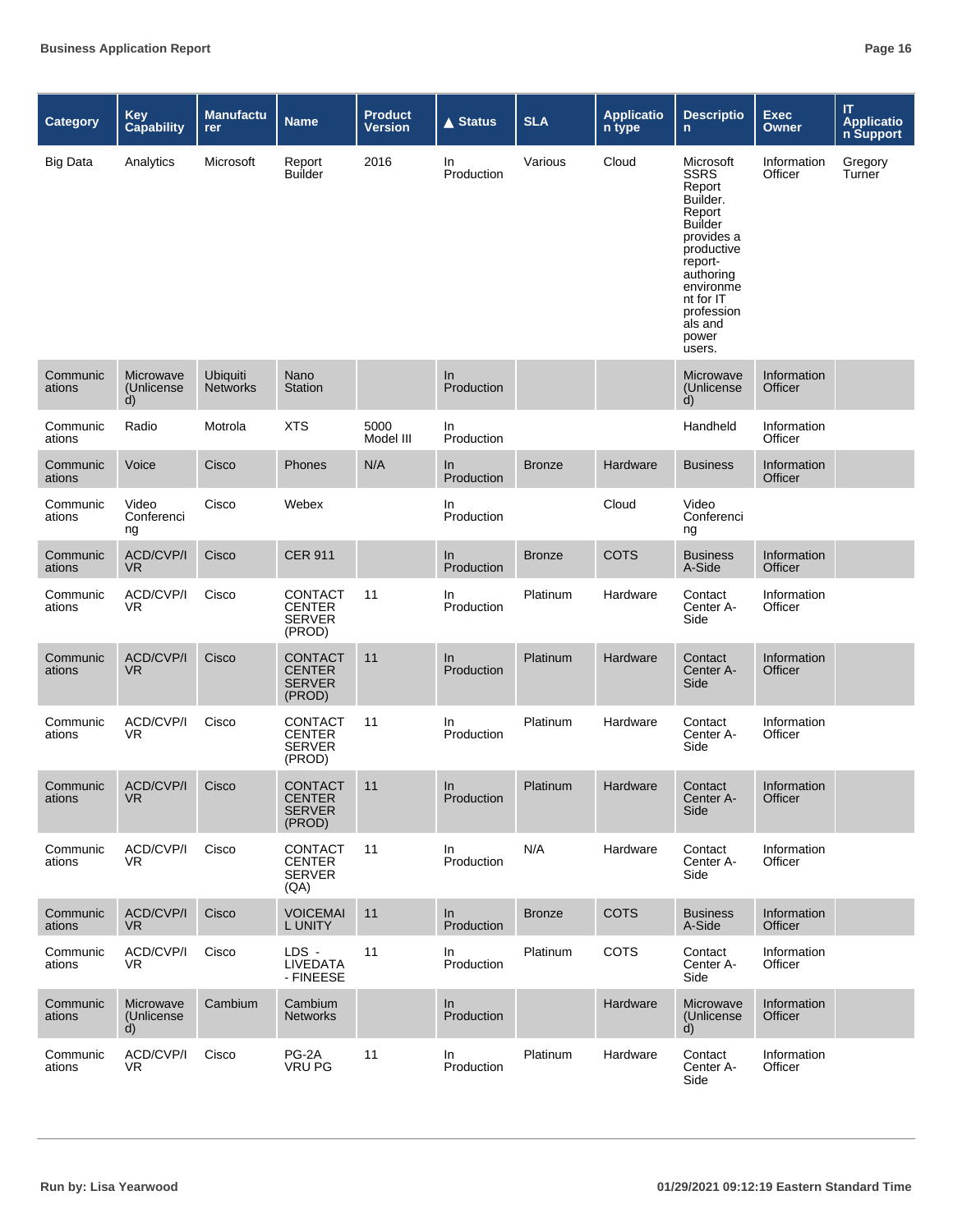| <b>Category</b>    | <b>Key</b><br><b>Capability</b>         | <b>Manufactu</b><br>rer            | <b>Name</b>                                                | <b>Product</b><br>Version | <b>▲ Status</b>   | <b>SLA</b>    | <b>Applicatio</b><br>n type | <b>Descriptio</b><br>$\mathsf{n}$                                                                                                                                                                    | <b>Exec</b><br>Owner   | IT.<br>Applicatio<br>n Support |
|--------------------|-----------------------------------------|------------------------------------|------------------------------------------------------------|---------------------------|-------------------|---------------|-----------------------------|------------------------------------------------------------------------------------------------------------------------------------------------------------------------------------------------------|------------------------|--------------------------------|
| <b>Big Data</b>    | Analytics                               | Microsoft                          | Report<br><b>Builder</b>                                   | 2016                      | In<br>Production  | Various       | Cloud                       | Microsoft<br><b>SSRS</b><br>Report<br>Builder.<br>Report<br><b>Builder</b><br>provides a<br>productive<br>report-<br>authoring<br>environme<br>nt for IT<br>profession<br>als and<br>power<br>users. | Information<br>Officer | Gregory<br>Turner              |
| Communic<br>ations | Microwave<br>(Unlicense<br>d)           | <b>Ubiquiti</b><br><b>Networks</b> | Nano<br><b>Station</b>                                     |                           | In<br>Production  |               |                             | Microwave<br>(Unlicense<br>d)                                                                                                                                                                        | Information<br>Officer |                                |
| Communic<br>ations | Radio                                   | Motrola                            | <b>XTS</b>                                                 | 5000<br>Model III         | In<br>Production  |               |                             | Handheld                                                                                                                                                                                             | Information<br>Officer |                                |
| Communic<br>ations | Voice                                   | Cisco                              | Phones                                                     | N/A                       | In.<br>Production | <b>Bronze</b> | Hardware                    | <b>Business</b>                                                                                                                                                                                      | Information<br>Officer |                                |
| Communic<br>ations | Video<br>Conferenci<br>ng               | Cisco                              | Webex                                                      |                           | In<br>Production  |               | Cloud                       | Video<br>Conferenci<br>ng                                                                                                                                                                            |                        |                                |
| Communic<br>ations | ACD/CVP/I<br>VR.                        | Cisco                              | <b>CER 911</b>                                             |                           | In<br>Production  | <b>Bronze</b> | <b>COTS</b>                 | <b>Business</b><br>A-Side                                                                                                                                                                            | Information<br>Officer |                                |
| Communic<br>ations | ACD/CVP/I<br>VR                         | Cisco                              | CONTACT<br><b>CENTER</b><br><b>SERVER</b><br>(PROD)        | 11                        | In.<br>Production | Platinum      | Hardware                    | Contact<br>Center A-<br>Side                                                                                                                                                                         | Information<br>Officer |                                |
| Communic<br>ations | ACD/CVP/I<br><b>VR</b>                  | Cisco                              | <b>CONTACT</b><br><b>CENTER</b><br><b>SERVER</b><br>(PROD) | 11                        | In.<br>Production | Platinum      | Hardware                    | Contact<br>Center A-<br>Side                                                                                                                                                                         | Information<br>Officer |                                |
| Communic<br>ations | ACD/CVP/I<br>VR.                        | Cisco                              | <b>CONTACT</b><br><b>CENTER</b><br><b>SERVER</b><br>(PROD) | 11                        | In<br>Production  | Platinum      | Hardware                    | Contact<br>Center A-<br>Side                                                                                                                                                                         | Information<br>Officer |                                |
| ations             | Communic ACD/CVP/I<br><b>VR</b>         | Cisco                              | CONTACT 11<br><b>CENTER</b><br><b>SERVER</b><br>(PROD)     |                           | In<br>Production  | Platinum      | Hardware                    | Contact<br>Center A-<br>Side                                                                                                                                                                         | Information<br>Officer |                                |
| Communic<br>ations | ACD/CVP/I<br>VR.                        | Cisco                              | <b>CONTACT</b><br>CENTER<br>SERVER<br>(QA)                 | 11                        | In<br>Production  | N/A           | Hardware                    | Contact<br>Center A-<br>Side                                                                                                                                                                         | Information<br>Officer |                                |
| Communic<br>ations | <b>ACD/CVP/I</b><br>VR.                 | Cisco                              | <b>VOICEMAI</b><br>L UNITY                                 | 11                        | In<br>Production  | <b>Bronze</b> | <b>COTS</b>                 | <b>Business</b><br>A-Side                                                                                                                                                                            | Information<br>Officer |                                |
| Communic<br>ations | ACD/CVP/I<br>VR.                        | Cisco                              | LDS -<br>LIVEDATA<br>- FINEESE                             | 11                        | In<br>Production  | Platinum      | <b>COTS</b>                 | Contact<br>Center A-<br>Side                                                                                                                                                                         | Information<br>Officer |                                |
| Communic<br>ations | Microwave<br>(Unlicense<br>$\mathsf{d}$ | Cambium                            | Cambium<br><b>Networks</b>                                 |                           | In<br>Production  |               | Hardware                    | Microwave<br>(Unlicense)<br>d)                                                                                                                                                                       | Information<br>Officer |                                |
| Communic<br>ations | ACD/CVP/I<br>VR.                        | Cisco                              | PG-2A<br><b>VRU PG</b>                                     | 11                        | In<br>Production  | Platinum      | Hardware                    | Contact<br>Center A-<br>Side                                                                                                                                                                         | Information<br>Officer |                                |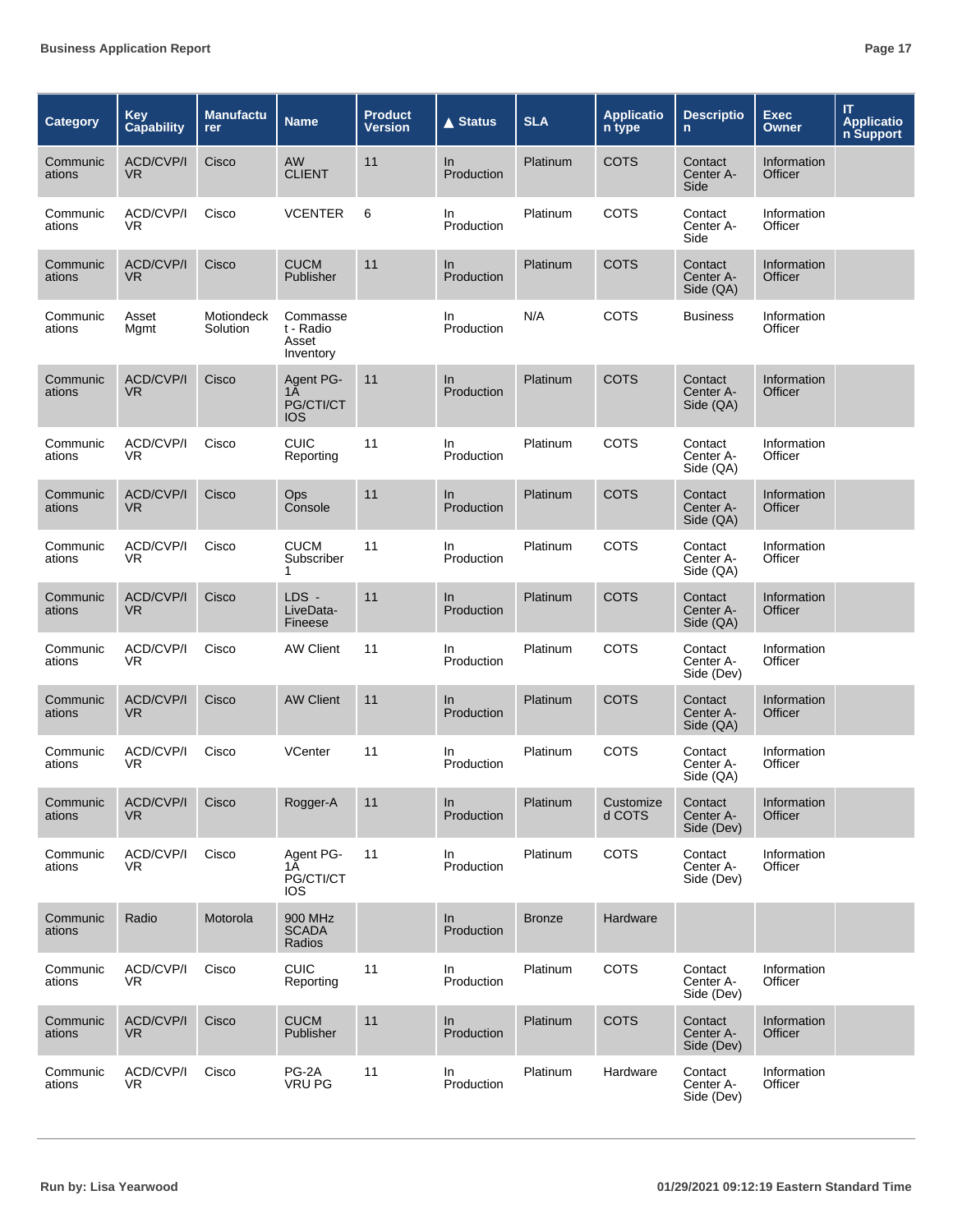| <b>Category</b>    | <b>Key</b><br><b>Capability</b> | <b>Manufactu</b><br>rer | <b>Name</b>                                 | <b>Product</b><br><b>Version</b> | $\triangle$ Status | <b>SLA</b>    | <b>Applicatio</b><br>n type | <b>Descriptio</b><br>$\mathsf{n}$  | <b>Exec</b><br><b>Owner</b> | IT.<br><b>Applicatio</b><br>n Support |
|--------------------|---------------------------------|-------------------------|---------------------------------------------|----------------------------------|--------------------|---------------|-----------------------------|------------------------------------|-----------------------------|---------------------------------------|
| Communic<br>ations | ACD/CVP/I<br>VR.                | Cisco                   | AW<br><b>CLIENT</b>                         | 11                               | In.<br>Production  | Platinum      | <b>COTS</b>                 | Contact<br>Center A-<br>Side       | Information<br>Officer      |                                       |
| Communic<br>ations | ACD/CVP/I<br>VR.                | Cisco                   | <b>VCENTER</b>                              | 6                                | In.<br>Production  | Platinum      | <b>COTS</b>                 | Contact<br>Center A-<br>Side       | Information<br>Officer      |                                       |
| Communic<br>ations | <b>ACD/CVP/I</b><br><b>VR</b>   | Cisco                   | <b>CUCM</b><br>Publisher                    | 11                               | In<br>Production   | Platinum      | <b>COTS</b>                 | Contact<br>Center A-<br>Side (QA)  | Information<br>Officer      |                                       |
| Communic<br>ations | Asset<br>Mgmt                   | Motiondeck<br>Solution  | Commasse<br>t - Radio<br>Asset<br>Inventory |                                  | In<br>Production   | N/A           | <b>COTS</b>                 | <b>Business</b>                    | Information<br>Officer      |                                       |
| Communic<br>ations | ACD/CVP/I<br>VR                 | Cisco                   | Agent PG-<br>1Ā<br>PG/CTI/CT<br><b>IOS</b>  | 11                               | In.<br>Production  | Platinum      | <b>COTS</b>                 | Contact<br>Center A-<br>Side (QA)  | Information<br>Officer      |                                       |
| Communic<br>ations | ACD/CVP/I<br>VR.                | Cisco                   | <b>CUIC</b><br>Reporting                    | 11                               | In.<br>Production  | Platinum      | COTS                        | Contact<br>Center A-<br>Side (QA)  | Information<br>Officer      |                                       |
| Communic<br>ations | <b>ACD/CVP/I</b><br>VR.         | Cisco                   | Ops<br>Console                              | 11                               | In.<br>Production  | Platinum      | <b>COTS</b>                 | Contact<br>Center A-<br>Side (QA)  | Information<br>Officer      |                                       |
| Communic<br>ations | ACD/CVP/I<br>VR.                | Cisco                   | <b>CUCM</b><br>Subscriber<br>1              | 11                               | In.<br>Production  | Platinum      | <b>COTS</b>                 | Contact<br>Center A-<br>Side (QA)  | Information<br>Officer      |                                       |
| Communic<br>ations | ACD/CVP/I<br>VR.                | Cisco                   | LDS -<br>LiveData-<br>Fineese               | 11                               | In.<br>Production  | Platinum      | <b>COTS</b>                 | Contact<br>Center A-<br>Side (QA)  | Information<br>Officer      |                                       |
| Communic<br>ations | ACD/CVP/I<br>VR.                | Cisco                   | <b>AW Client</b>                            | 11                               | In<br>Production   | Platinum      | <b>COTS</b>                 | Contact<br>Center A-<br>Side (Dev) | Information<br>Officer      |                                       |
| Communic<br>ations | ACD/CVP/I<br>VR.                | Cisco                   | <b>AW Client</b>                            | 11                               | In.<br>Production  | Platinum      | <b>COTS</b>                 | Contact<br>Center A-<br>Side (QA)  | Information<br>Officer      |                                       |
| Communic<br>ations | ACD/CVP/I<br>VR.                | Cisco                   | <b>VCenter</b>                              | 11                               | In.<br>Production  | Platinum      | COTS                        | Contact<br>Center A-<br>Side (QA)  | Information<br>Officer      |                                       |
| Communic<br>ations | <b>ACD/CVP/I</b><br>VR.         | Cisco                   | Rogger-A                                    | 11                               | In<br>Production   | Platinum      | Customize<br>d COTS         | Contact<br>Center A-<br>Side (Dev) | Information<br>Officer      |                                       |
| Communic<br>ations | ACD/CVP/I<br>VR.                | Cisco                   | Agent PG-<br>1Ā<br>PG/CTI/CT<br><b>IOS</b>  | 11                               | In.<br>Production  | Platinum      | <b>COTS</b>                 | Contact<br>Center A-<br>Side (Dev) | Information<br>Officer      |                                       |
| Communic<br>ations | Radio                           | Motorola                | 900 MHz<br><b>SCADA</b><br>Radios           |                                  | In<br>Production   | <b>Bronze</b> | Hardware                    |                                    |                             |                                       |
| Communic<br>ations | ACD/CVP/I<br>VR.                | Cisco                   | <b>CUIC</b><br>Reporting                    | 11                               | In<br>Production   | Platinum      | <b>COTS</b>                 | Contact<br>Center A-<br>Side (Dev) | Information<br>Officer      |                                       |
| Communic<br>ations | ACD/CVP/I<br>VR.                | Cisco                   | <b>CUCM</b><br>Publisher                    | 11                               | In<br>Production   | Platinum      | <b>COTS</b>                 | Contact<br>Center A-<br>Side (Dev) | Information<br>Officer      |                                       |
| Communic<br>ations | ACD/CVP/I<br>VR.                | Cisco                   | PG-2A<br><b>VRU PG</b>                      | 11                               | In<br>Production   | Platinum      | Hardware                    | Contact<br>Center A-<br>Side (Dev) | Information<br>Officer      |                                       |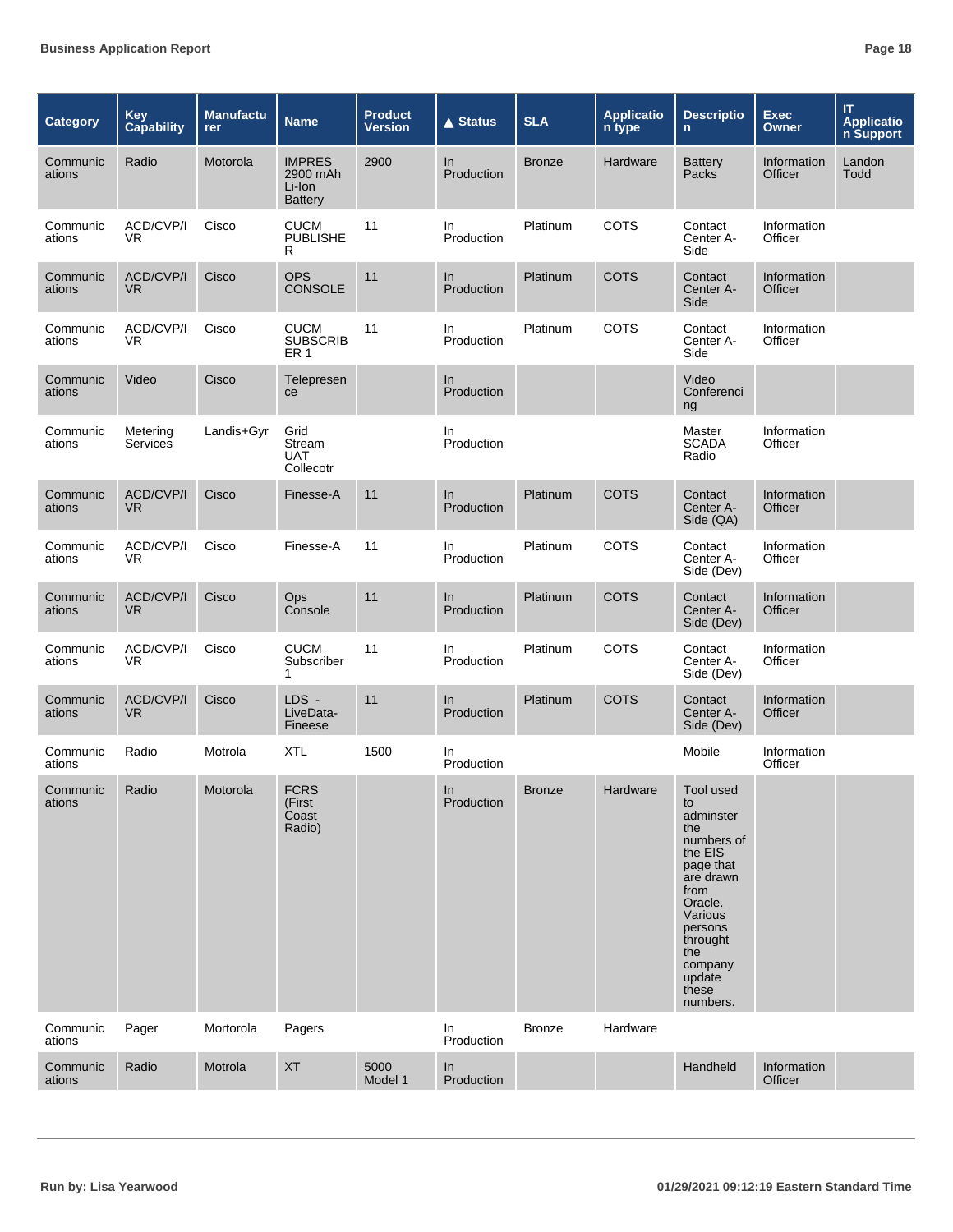| <b>Category</b>    | Key<br>Capability    | Manufactu<br><b>rer</b> | <b>Name</b>                                           | <b>Product</b><br><b>Version</b> | <b>▲ Status</b>   | <b>SLA</b>    | <b>Applicatio</b><br>n type | <b>Descriptio</b><br>$\mathsf{n}$                                                                                                                                                            | <b>Exec</b><br><b>Owner</b> | IT.<br><b>Applicatio</b><br>n Support |
|--------------------|----------------------|-------------------------|-------------------------------------------------------|----------------------------------|-------------------|---------------|-----------------------------|----------------------------------------------------------------------------------------------------------------------------------------------------------------------------------------------|-----------------------------|---------------------------------------|
| Communic<br>ations | Radio                | Motorola                | <b>IMPRES</b><br>2900 mAh<br>Li-Ion<br><b>Battery</b> | 2900                             | In<br>Production  | <b>Bronze</b> | Hardware                    | <b>Battery</b><br>Packs                                                                                                                                                                      | Information<br>Officer      | Landon<br>Todd                        |
| Communic<br>ations | ACD/CVP/I<br>VR.     | Cisco                   | <b>CUCM</b><br><b>PUBLISHE</b><br>R                   | 11                               | In<br>Production  | Platinum      | COTS                        | Contact<br>Center A-<br>Side                                                                                                                                                                 | Information<br>Officer      |                                       |
| Communic<br>ations | ACD/CVP/I<br>VR.     | Cisco                   | <b>OPS</b><br><b>CONSOLE</b>                          | 11                               | In<br>Production  | Platinum      | <b>COTS</b>                 | Contact<br>Center A-<br>Side                                                                                                                                                                 | Information<br>Officer      |                                       |
| Communic<br>ations | ACD/CVP/I<br>VR.     | Cisco                   | <b>CUCM</b><br><b>SUBSCRIB</b><br>ER 1                | 11                               | In<br>Production  | Platinum      | COTS                        | Contact<br>Center A-<br>Side                                                                                                                                                                 | Information<br>Officer      |                                       |
| Communic<br>ations | Video                | Cisco                   | Telepresen<br>ce                                      |                                  | In<br>Production  |               |                             | Video<br>Conferenci<br>ng                                                                                                                                                                    |                             |                                       |
| Communic<br>ations | Metering<br>Services | Landis+Gyr              | Grid<br>Stream<br><b>UAT</b><br>Collecotr             |                                  | In<br>Production  |               |                             | Master<br><b>SCADA</b><br>Radio                                                                                                                                                              | Information<br>Officer      |                                       |
| Communic<br>ations | ACD/CVP/I<br>VR.     | Cisco                   | Finesse-A                                             | 11                               | ln<br>Production  | Platinum      | <b>COTS</b>                 | Contact<br>Center A-<br>Side (QA)                                                                                                                                                            | Information<br>Officer      |                                       |
| Communic<br>ations | ACD/CVP/I<br>VR.     | Cisco                   | Finesse-A                                             | 11                               | In.<br>Production | Platinum      | COTS                        | Contact<br>Center A-<br>Side (Dev)                                                                                                                                                           | Information<br>Officer      |                                       |
| Communic<br>ations | ACD/CVP/I<br>VR.     | Cisco                   | Ops<br>Console                                        | 11                               | In<br>Production  | Platinum      | <b>COTS</b>                 | Contact<br>Center A-<br>Side (Dev)                                                                                                                                                           | Information<br>Officer      |                                       |
| Communic<br>ations | ACD/CVP/I<br>VR.     | Cisco                   | <b>CUCM</b><br>Subscriber<br>1                        | 11                               | In<br>Production  | Platinum      | COTS                        | Contact<br>Center A-<br>Side (Dev)                                                                                                                                                           | Information<br>Officer      |                                       |
| Communic<br>ations | ACD/CVP/I<br>VR.     | Cisco                   | LDS -<br>LiveData-<br>Fineese                         | 11                               | In<br>Production  | Platinum      | <b>COTS</b>                 | Contact<br>Center A-<br>Side (Dev)                                                                                                                                                           | Information<br>Officer      |                                       |
| Communic<br>ations | Radio                | Motrola                 | <b>XTL</b>                                            | 1500                             | In<br>Production  |               |                             | Mobile                                                                                                                                                                                       | Information<br>Officer      |                                       |
| Communic<br>ations | Radio                | Motorola                | <b>FCRS</b><br>(First<br>Coast<br>Radio)              |                                  | In<br>Production  | <b>Bronze</b> | Hardware                    | Tool used<br>to<br>adminster<br>the<br>numbers of<br>the EIS<br>page that<br>are drawn<br>from<br>Oracle.<br>Various<br>persons<br>throught<br>the<br>company<br>update<br>these<br>numbers. |                             |                                       |
| Communic<br>ations | Pager                | Mortorola               | Pagers                                                |                                  | In<br>Production  | <b>Bronze</b> | Hardware                    |                                                                                                                                                                                              |                             |                                       |
| Communic<br>ations | Radio                | Motrola                 | <b>XT</b>                                             | 5000<br>Model 1                  | In<br>Production  |               |                             | Handheld                                                                                                                                                                                     | Information<br>Officer      |                                       |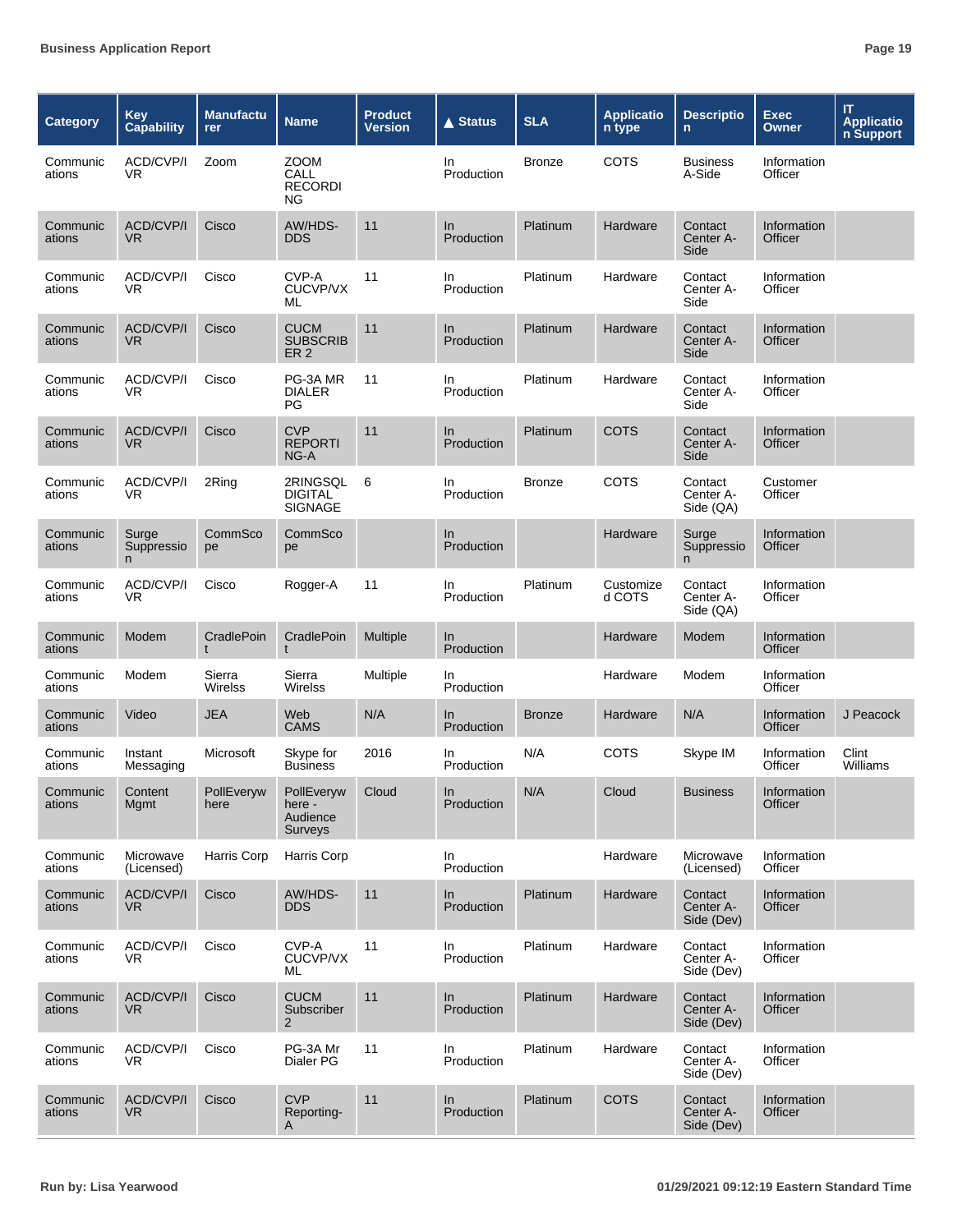| Category           | <b>Key</b><br><b>Capability</b> | <b>Manufactu</b><br>rer | <b>Name</b>                                       | <b>Product</b><br>Version | <b>▲ Status</b>   | <b>SLA</b>    | <b>Applicatio</b><br>n type | <b>Descriptio</b><br>$\mathsf{n}$  | <b>Exec</b><br>Owner   | IT<br><b>Applicatio</b><br>n Support |
|--------------------|---------------------------------|-------------------------|---------------------------------------------------|---------------------------|-------------------|---------------|-----------------------------|------------------------------------|------------------------|--------------------------------------|
| Communic<br>ations | ACD/CVP/I<br>VR                 | Zoom                    | <b>ZOOM</b><br>CALL<br><b>RECORDI</b><br>NG.      |                           | In.<br>Production | <b>Bronze</b> | COTS                        | <b>Business</b><br>A-Side          | Information<br>Officer |                                      |
| Communic<br>ations | <b>ACD/CVP/I</b><br>VR.         | Cisco                   | AW/HDS-<br><b>DDS</b>                             | 11                        | In<br>Production  | Platinum      | Hardware                    | Contact<br>Center A-<br>Side       | Information<br>Officer |                                      |
| Communic<br>ations | ACD/CVP/I<br>VR                 | Cisco                   | CVP-A<br><b>CUCVP/VX</b><br>ML                    | 11                        | In<br>Production  | Platinum      | Hardware                    | Contact<br>Center A-<br>Side       | Information<br>Officer |                                      |
| Communic<br>ations | ACD/CVP/I<br>VR.                | Cisco                   | <b>CUCM</b><br><b>SUBSCRIB</b><br>ER <sub>2</sub> | 11                        | In.<br>Production | Platinum      | Hardware                    | Contact<br>Center A-<br>Side       | Information<br>Officer |                                      |
| Communic<br>ations | ACD/CVP/I<br>VR                 | Cisco                   | PG-3A MR<br><b>DIALER</b><br>PG                   | 11                        | In<br>Production  | Platinum      | Hardware                    | Contact<br>Center A-<br>Side       | Information<br>Officer |                                      |
| Communic<br>ations | <b>ACD/CVP/I</b><br>VR.         | Cisco                   | <b>CVP</b><br><b>REPORTI</b><br>NG-A              | 11                        | In<br>Production  | Platinum      | <b>COTS</b>                 | Contact<br>Center A-<br>Side       | Information<br>Officer |                                      |
| Communic<br>ations | ACD/CVP/I<br>VR                 | 2Ring                   | 2RINGSQL<br><b>DIGITAL</b><br><b>SIGNAGE</b>      | 6                         | In<br>Production  | <b>Bronze</b> | COTS                        | Contact<br>Center A-<br>Side (QA)  | Customer<br>Officer    |                                      |
| Communic<br>ations | Surge<br>Suppressio<br>n        | CommSco<br>pe           | CommSco<br>pe                                     |                           | In.<br>Production |               | Hardware                    | Surge<br>Suppressio<br>n.          | Information<br>Officer |                                      |
| Communic<br>ations | ACD/CVP/I<br>VR                 | Cisco                   | Rogger-A                                          | 11                        | In<br>Production  | Platinum      | Customize<br>d COTS         | Contact<br>Center A-<br>Side (QA)  | Information<br>Officer |                                      |
| Communic<br>ations | Modem                           | CradlePoin<br>t         | CradlePoin<br>t                                   | Multiple                  | In<br>Production  |               | Hardware                    | Modem                              | Information<br>Officer |                                      |
| Communic<br>ations | Modem                           | Sierra<br>Wirelss       | Sierra<br>Wirelss                                 | Multiple                  | In.<br>Production |               | Hardware                    | Modem                              | Information<br>Officer |                                      |
| Communic<br>ations | Video                           | <b>JEA</b>              | Web<br>CAMS                                       | N/A                       | In<br>Production  | <b>Bronze</b> | Hardware                    | N/A                                | Information<br>Officer | J Peacock                            |
| Communic<br>ations | Instant<br>Messaging            | Microsoft               | Skype for<br>Business                             | 2016                      | In.<br>Production | N/A           | COTS                        | Skype IM                           | Information<br>Officer | Clint<br>Williams                    |
| Communic<br>ations | Content<br>Mgmt                 | PollEveryw<br>here      | PollEveryw<br>here -<br>Audience<br>Surveys       | Cloud                     | In<br>Production  | N/A           | Cloud                       | <b>Business</b>                    | Information<br>Officer |                                      |
| Communic<br>ations | Microwave<br>(Licensed)         | <b>Harris Corp</b>      | Harris Corp                                       |                           | In<br>Production  |               | Hardware                    | Microwave<br>(Licensed)            | Information<br>Officer |                                      |
| Communic<br>ations | <b>ACD/CVP/I</b><br>VR.         | Cisco                   | AW/HDS-<br><b>DDS</b>                             | 11                        | In<br>Production  | Platinum      | Hardware                    | Contact<br>Center A-<br>Side (Dev) | Information<br>Officer |                                      |
| Communic<br>ations | ACD/CVP/I<br>VR.                | Cisco                   | CVP-A<br>CUCVP/VX<br>ML                           | 11                        | In.<br>Production | Platinum      | Hardware                    | Contact<br>Center A-<br>Side (Dev) | Information<br>Officer |                                      |
| Communic<br>ations | ACD/CVP/I<br>VR.                | Cisco                   | <b>CUCM</b><br>Subscriber<br>2                    | 11                        | In<br>Production  | Platinum      | Hardware                    | Contact<br>Center A-<br>Side (Dev) | Information<br>Officer |                                      |
| Communic<br>ations | ACD/CVP/I<br>VR.                | Cisco                   | PG-3A Mr<br>Dialer PG                             | 11                        | In<br>Production  | Platinum      | Hardware                    | Contact<br>Center A-<br>Side (Dev) | Information<br>Officer |                                      |
| Communic<br>ations | ACD/CVP/I<br>VR.                | Cisco                   | <b>CVP</b><br>Reporting-<br>A                     | 11                        | In<br>Production  | Platinum      | <b>COTS</b>                 | Contact<br>Center A-<br>Side (Dev) | Information<br>Officer |                                      |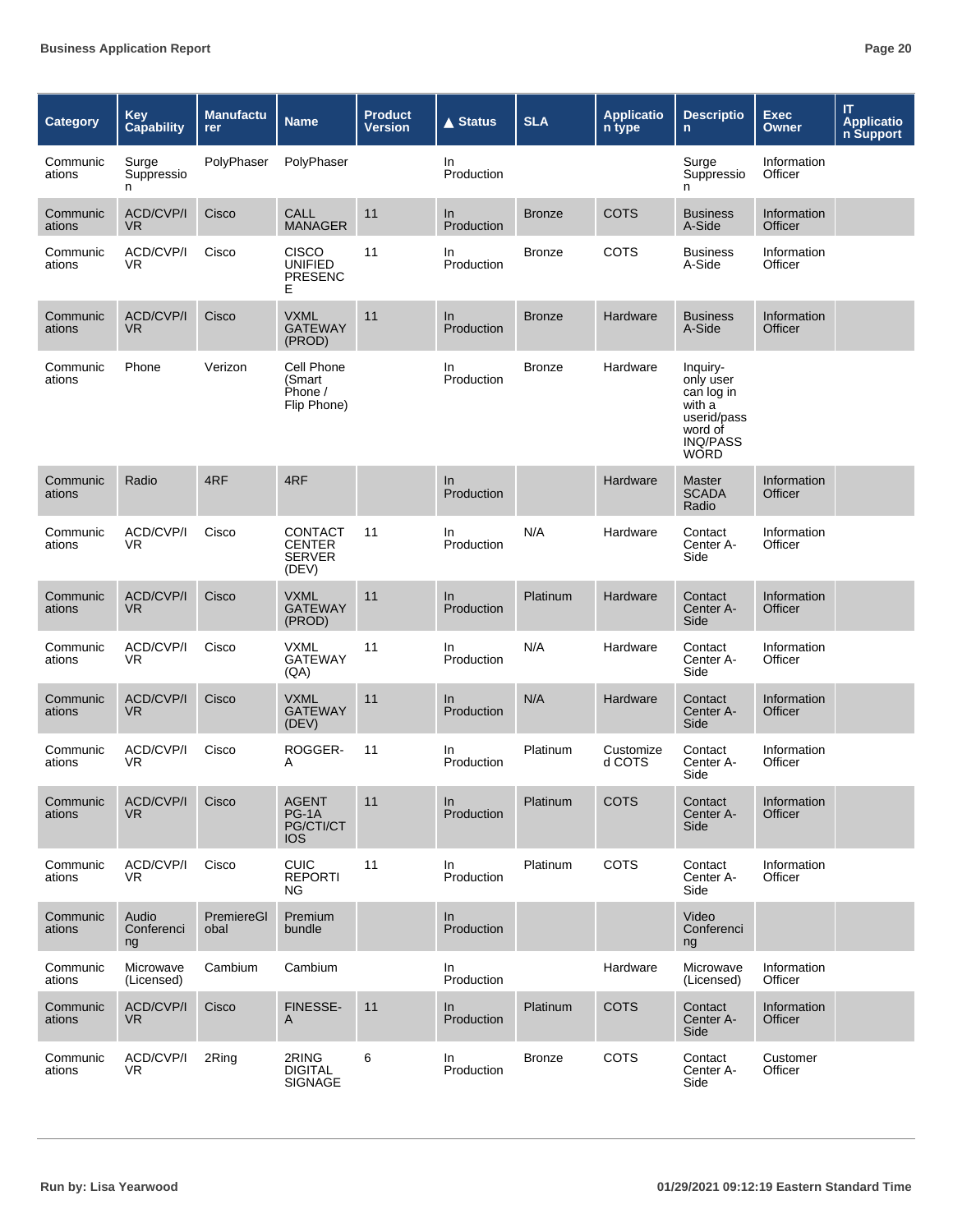| Category           | <b>Key</b><br><b>Capability</b>    | <b>Manufactu</b><br>rer | <b>Name</b>                                               | <b>Product</b><br>Version | $\triangle$ Status | <b>SLA</b>    | <b>Applicatio</b><br>n type | <b>Descriptio</b><br>$\mathsf{n}$                                                                         | <b>Exec</b><br><b>Owner</b> | IT.<br><b>Applicatio</b><br>n Support |
|--------------------|------------------------------------|-------------------------|-----------------------------------------------------------|---------------------------|--------------------|---------------|-----------------------------|-----------------------------------------------------------------------------------------------------------|-----------------------------|---------------------------------------|
| Communic<br>ations | Surge<br>Suppressio<br>n.          | PolyPhaser              | PolyPhaser                                                |                           | In.<br>Production  |               |                             | Surge<br>Suppressio<br>n                                                                                  | Information<br>Officer      |                                       |
| Communic<br>ations | ACD/CVP/I<br>V <sub>R</sub>        | Cisco                   | <b>CALL</b><br><b>MANAGER</b>                             | 11                        | In<br>Production   | <b>Bronze</b> | <b>COTS</b>                 | <b>Business</b><br>A-Side                                                                                 | Information<br>Officer      |                                       |
| Communic<br>ations | ACD/CVP/I<br>VR.                   | Cisco                   | CISCO<br><b>UNIFIED</b><br><b>PRESENC</b><br>Е            | 11                        | In.<br>Production  | <b>Bronze</b> | COTS                        | <b>Business</b><br>A-Side                                                                                 | Information<br>Officer      |                                       |
| Communic<br>ations | <b>ACD/CVP/I</b><br>V <sub>R</sub> | Cisco                   | <b>VXML</b><br><b>GATEWAY</b><br>(PROD)                   | 11                        | In<br>Production   | <b>Bronze</b> | Hardware                    | <b>Business</b><br>A-Side                                                                                 | Information<br>Officer      |                                       |
| Communic<br>ations | Phone                              | Verizon                 | Cell Phone<br>(Smart<br>Phone /<br>Flip Phone)            |                           | In.<br>Production  | <b>Bronze</b> | Hardware                    | Inquiry-<br>only user<br>can log in<br>with a<br>userid/pass<br>word of<br><b>INQ/PASS</b><br><b>WORD</b> |                             |                                       |
| Communic<br>ations | Radio                              | 4RF                     | 4RF                                                       |                           | In<br>Production   |               | Hardware                    | <b>Master</b><br><b>SCADA</b><br>Radio                                                                    | Information<br>Officer      |                                       |
| Communic<br>ations | ACD/CVP/I<br>VR.                   | Cisco                   | <b>CONTACT</b><br><b>CENTER</b><br><b>SERVER</b><br>(DEV) | 11                        | In.<br>Production  | N/A           | Hardware                    | Contact<br>Center A-<br>Side                                                                              | Information<br>Officer      |                                       |
| Communic<br>ations | <b>ACD/CVP/I</b><br>V <sub>R</sub> | Cisco                   | <b>VXML</b><br><b>GATEWAY</b><br>(PROD)                   | 11                        | ln<br>Production   | Platinum      | Hardware                    | Contact<br>Center A-<br>Side                                                                              | Information<br>Officer      |                                       |
| Communic<br>ations | ACD/CVP/I<br>VR.                   | Cisco                   | <b>VXML</b><br><b>GATEWAY</b><br>(AA)                     | 11                        | In<br>Production   | N/A           | Hardware                    | Contact<br>Center A-<br>Side                                                                              | Information<br>Officer      |                                       |
| Communic<br>ations | <b>ACD/CVP/I</b><br>V <sub>R</sub> | Cisco                   | <b>VXML</b><br><b>GATEWAY</b><br>(DEV)                    | 11                        | ln<br>Production   | N/A           | Hardware                    | Contact<br>Center A-<br>Side                                                                              | Information<br>Officer      |                                       |
| Communic<br>ations | ACD/CVP/I<br>VR.                   | Cisco                   | ROGGER-<br>A                                              | 11                        | In.<br>Production  | Platinum      | Customize<br>d COTS         | Contact<br>Center A-<br>Side                                                                              | Information<br>Officer      |                                       |
| Communic<br>ations | ACD/CVP/I<br>VR.                   | Cisco                   | <b>AGENT</b><br>PG-1A<br>PG/CTI/CT<br><b>IOS</b>          | 11                        | In<br>Production   | Platinum      | <b>COTS</b>                 | Contact<br>Center A-<br>Side                                                                              | Information<br>Officer      |                                       |
| Communic<br>ations | ACD/CVP/I<br>VR.                   | Cisco                   | <b>CUIC</b><br><b>REPORTI</b><br>NG.                      | 11                        | In.<br>Production  | Platinum      | <b>COTS</b>                 | Contact<br>Center A-<br>Side                                                                              | Information<br>Officer      |                                       |
| Communic<br>ations | Audio<br>Conferenci<br>ng          | PremiereGl<br>obal      | Premium<br>bundle                                         |                           | In<br>Production   |               |                             | Video<br>Conferenci<br>ng                                                                                 |                             |                                       |
| Communic<br>ations | Microwave<br>(Licensed)            | Cambium                 | Cambium                                                   |                           | In.<br>Production  |               | Hardware                    | Microwave<br>(Licensed)                                                                                   | Information<br>Officer      |                                       |
| Communic<br>ations | <b>ACD/CVP/I</b><br>VR.            | Cisco                   | FINESSE-<br>A                                             | 11                        | In<br>Production   | Platinum      | <b>COTS</b>                 | Contact<br>Center A-<br>Side                                                                              | Information<br>Officer      |                                       |
| Communic<br>ations | ACD/CVP/I<br>VR.                   | 2Ring                   | 2RING<br><b>DIGITAL</b><br><b>SIGNAGE</b>                 | 6                         | In<br>Production   | <b>Bronze</b> | COTS                        | Contact<br>Center A-<br>Side                                                                              | Customer<br>Officer         |                                       |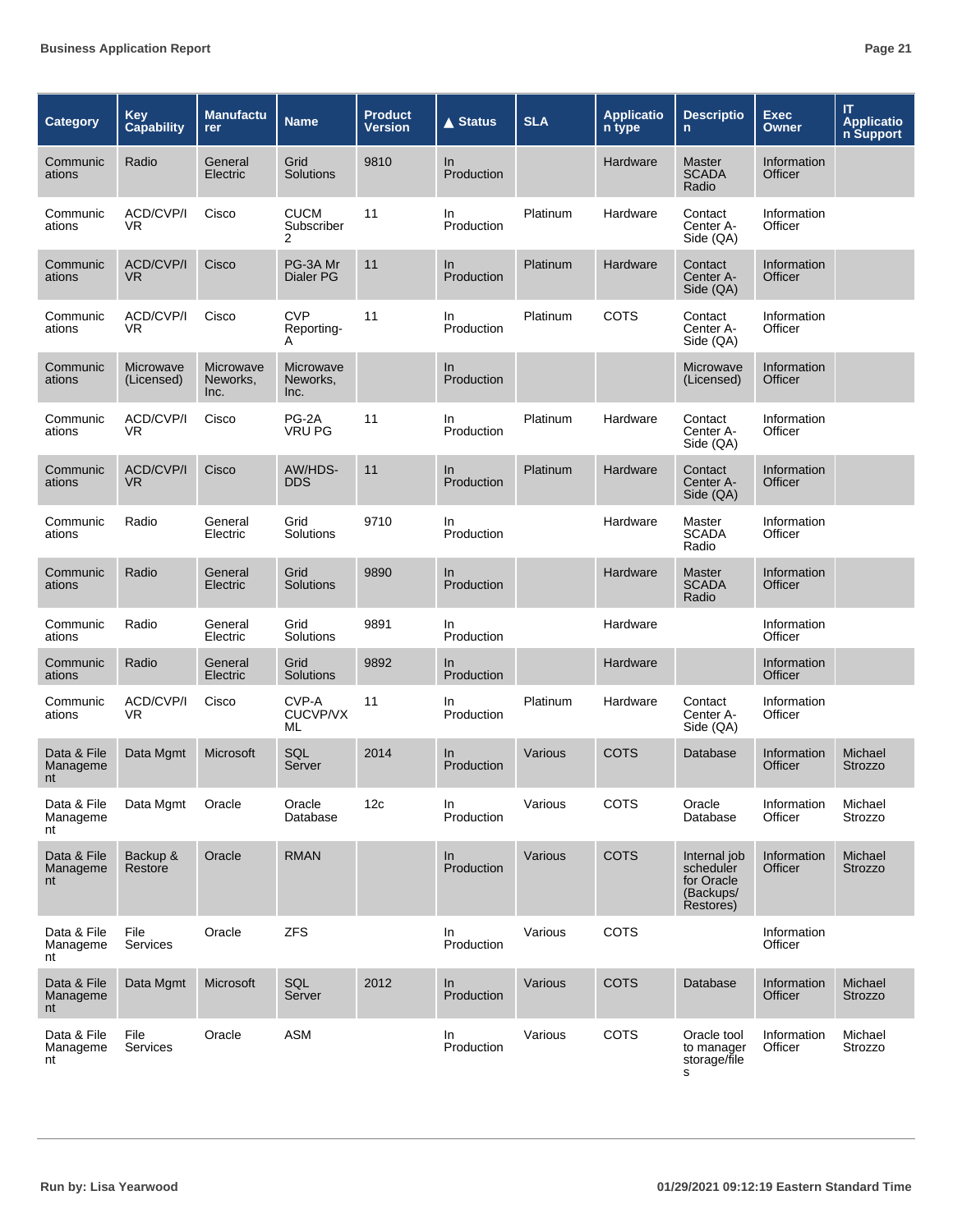| <b>Category</b>               | <b>Key</b><br><b>Capability</b> | <b>Manufactu</b><br>rer       | <b>Name</b>                    | <b>Product</b><br>Version | <b>▲ Status</b>   | <b>SLA</b> | <b>Applicatio</b><br>n type | <b>Descriptio</b><br>n                                            | <b>Exec</b><br><b>Owner</b> | ΙT<br><b>Applicatio</b><br>n Support |
|-------------------------------|---------------------------------|-------------------------------|--------------------------------|---------------------------|-------------------|------------|-----------------------------|-------------------------------------------------------------------|-----------------------------|--------------------------------------|
| Communic<br>ations            | Radio                           | General<br>Electric           | Grid<br>Solutions              | 9810                      | In.<br>Production |            | Hardware                    | <b>Master</b><br><b>SCADA</b><br>Radio                            | Information<br>Officer      |                                      |
| Communic<br>ations            | ACD/CVP/I<br>VR.                | Cisco                         | <b>CUCM</b><br>Subscriber<br>2 | 11                        | In.<br>Production | Platinum   | Hardware                    | Contact<br>Center A-<br>Side (QA)                                 | Information<br>Officer      |                                      |
| Communic<br>ations            | ACD/CVP/I<br><b>VR</b>          | Cisco                         | PG-3A Mr<br>Dialer PG          | 11                        | In<br>Production  | Platinum   | Hardware                    | Contact<br>Center A-<br>Side (QA)                                 | Information<br>Officer      |                                      |
| Communic<br>ations            | ACD/CVP/I<br>VR.                | Cisco                         | <b>CVP</b><br>Reporting-<br>A  | 11                        | In<br>Production  | Platinum   | COTS                        | Contact<br>Center A-<br>Side (QA)                                 | Information<br>Officer      |                                      |
| Communic<br>ations            | Microwave<br>(Licensed)         | Microwave<br>Neworks,<br>Inc. | Microwave<br>Neworks,<br>Inc.  |                           | In<br>Production  |            |                             | Microwave<br>(Licensed)                                           | Information<br>Officer      |                                      |
| Communic<br>ations            | ACD/CVP/I<br>VR.                | Cisco                         | PG-2A<br><b>VRU PG</b>         | 11                        | In.<br>Production | Platinum   | Hardware                    | Contact<br>Center A-<br>Side (QA)                                 | Information<br>Officer      |                                      |
| Communic<br>ations            | ACD/CVP/I<br><b>VR</b>          | Cisco                         | AW/HDS-<br><b>DDS</b>          | 11                        | In<br>Production  | Platinum   | Hardware                    | Contact<br>Center A-<br>Side (QA)                                 | Information<br>Officer      |                                      |
| Communic<br>ations            | Radio                           | General<br>Electric           | Grid<br>Solutions              | 9710                      | In<br>Production  |            | Hardware                    | Master<br><b>SCADA</b><br>Radio                                   | Information<br>Officer      |                                      |
| Communic<br>ations            | Radio                           | General<br>Electric           | Grid<br>Solutions              | 9890                      | In<br>Production  |            | Hardware                    | <b>Master</b><br><b>SCADA</b><br>Radio                            | Information<br>Officer      |                                      |
| Communic<br>ations            | Radio                           | General<br>Electric           | Grid<br>Solutions              | 9891                      | In.<br>Production |            | Hardware                    |                                                                   | Information<br>Officer      |                                      |
| Communic<br>ations            | Radio                           | General<br>Electric           | Grid<br>Solutions              | 9892                      | In.<br>Production |            | Hardware                    |                                                                   | Information<br>Officer      |                                      |
| Communic<br>ations            | ACD/CVP/I<br>VR.                | Cisco                         | CVP-A<br>CUCVP/VX<br>ML        | 11                        | In.<br>Production | Platinum   | Hardware                    | Contact<br>Center A-<br>Side (QA)                                 | Information<br>Officer      |                                      |
| Data & File<br>Manageme<br>nt | Data Mgmt                       | Microsoft                     | SQL<br>Server                  | 2014                      | In.<br>Production | Various    | COTS                        | Database                                                          | Information<br>Officer      | Michael<br><b>Strozzo</b>            |
| Data & File<br>Manageme<br>nt | Data Mgmt                       | Oracle                        | Oracle<br>Database             | 12c                       | In.<br>Production | Various    | <b>COTS</b>                 | Oracle<br>Database                                                | Information<br>Officer      | Michael<br>Strozzo                   |
| Data & File<br>Manageme<br>nt | Backup &<br>Restore             | Oracle                        | <b>RMAN</b>                    |                           | In<br>Production  | Various    | <b>COTS</b>                 | Internal job<br>scheduler<br>for Oracle<br>(Backups/<br>Restores) | Information<br>Officer      | Michael<br><b>Strozzo</b>            |
| Data & File<br>Manageme<br>nt | File<br>Services                | Oracle                        | <b>ZFS</b>                     |                           | In<br>Production  | Various    | COTS                        |                                                                   | Information<br>Officer      |                                      |
| Data & File<br>Manageme<br>nt | Data Mgmt                       | Microsoft                     | SQL<br>Server                  | 2012                      | ln<br>Production  | Various    | <b>COTS</b>                 | Database                                                          | Information<br>Officer      | Michael<br>Strozzo                   |
| Data & File<br>Manageme<br>nt | File<br>Services                | Oracle                        | <b>ASM</b>                     |                           | In<br>Production  | Various    | COTS                        | Oracle tool<br>to manager<br>storage/file<br>s                    | Information<br>Officer      | Michael<br>Strozzo                   |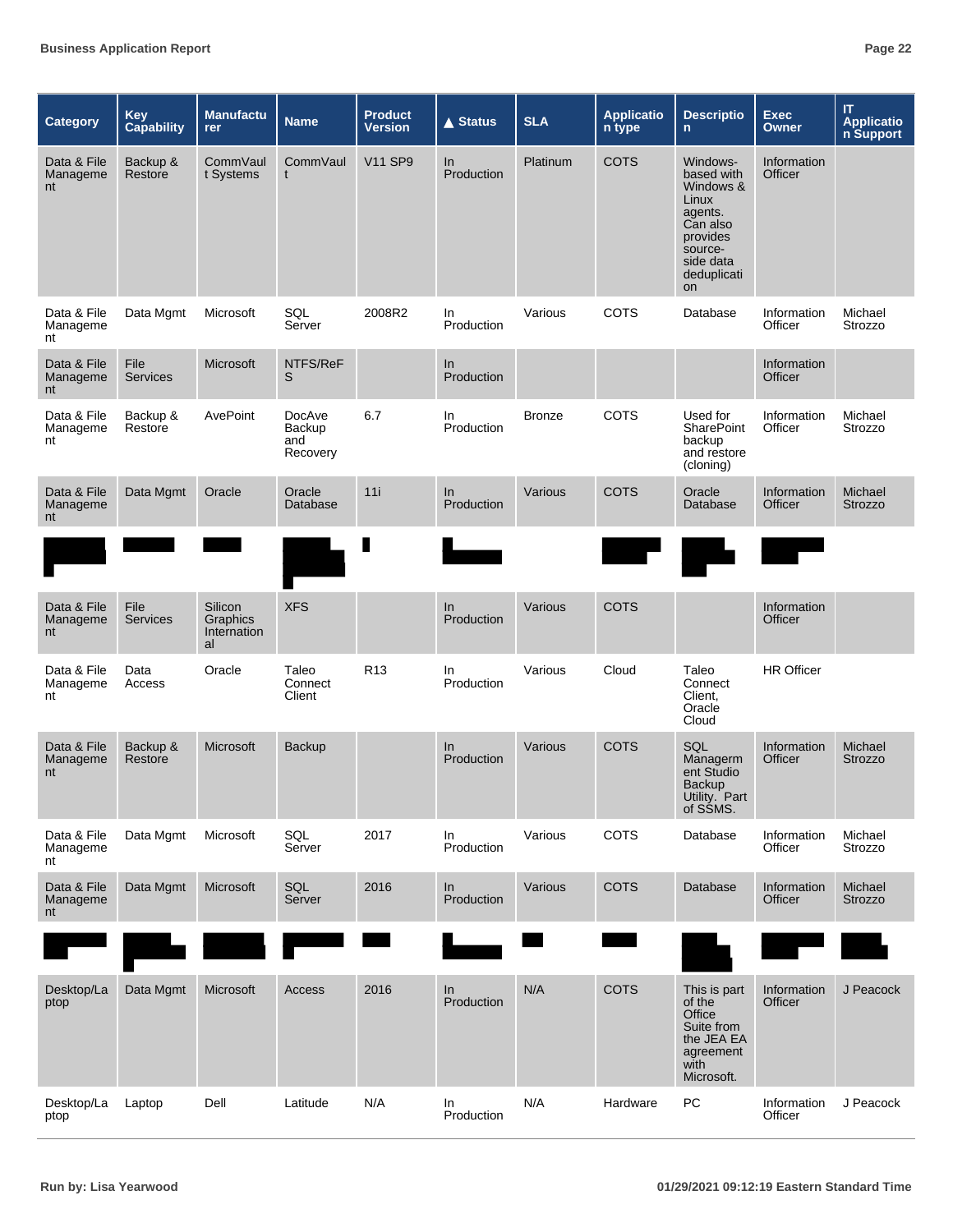| <b>Category</b>               | <b>Key</b><br><b>Capability</b> | <b>Manufactu</b><br><b>rer</b>           | <b>Name</b>                                | <b>Product</b><br><b>Version</b> | <b>▲ Status</b>   | <b>SLA</b>    | <b>Applicatio</b><br>n type                                                                                     | <b>Descriptio</b><br>$\mathsf{n}$                                                                                            | <b>Exec</b><br>Owner   | $\boldsymbol{\Pi}$<br><b>Applicatio</b><br>n Support |
|-------------------------------|---------------------------------|------------------------------------------|--------------------------------------------|----------------------------------|-------------------|---------------|-----------------------------------------------------------------------------------------------------------------|------------------------------------------------------------------------------------------------------------------------------|------------------------|------------------------------------------------------|
| Data & File<br>Manageme<br>nt | Backup &<br>Restore             | CommVaul<br>t Systems                    | CommVaul<br>t                              | <b>V11 SP9</b>                   | In<br>Production  | Platinum      | <b>COTS</b>                                                                                                     | Windows-<br>based with<br>Windows &<br>Linux<br>agents.<br>Can also<br>provides<br>source-<br>side data<br>deduplicati<br>on | Information<br>Officer |                                                      |
| Data & File<br>Manageme<br>nt | Data Mgmt                       | Microsoft                                | SQL<br>Server                              | 2008R2                           | In<br>Production  | Various       | COTS                                                                                                            | Database                                                                                                                     | Information<br>Officer | Michael<br>Strozzo                                   |
| Data & File<br>Manageme<br>nt | File<br><b>Services</b>         | Microsoft                                | NTFS/ReF<br>S                              |                                  | In<br>Production  |               |                                                                                                                 |                                                                                                                              | Information<br>Officer |                                                      |
| Data & File<br>Manageme<br>nt | Backup &<br>Restore             | AvePoint                                 | DocAve<br><b>Backup</b><br>and<br>Recovery | 6.7                              | In<br>Production  | <b>Bronze</b> | COTS                                                                                                            | Used for<br>SharePoint<br>backup<br>and restore<br>(cloning)                                                                 | Information<br>Officer | Michael<br>Strozzo                                   |
| Data & File<br>Manageme<br>nt | Data Mgmt                       | Oracle                                   | Oracle<br>Database                         | 11i                              | ln<br>Production  | Various       | <b>COTS</b>                                                                                                     | Oracle<br>Database                                                                                                           | Information<br>Officer | Michael<br><b>Strozzo</b>                            |
|                               |                                 |                                          |                                            | ı                                |                   |               | a sa mga barang sa pag-ang pag-ang pag-ang pag-ang pag-ang pag-ang pag-ang pag-ang pag-ang pag-ang pag-ang pag- |                                                                                                                              |                        |                                                      |
| Data & File<br>Manageme<br>nt | File<br><b>Services</b>         | Silicon<br>Graphics<br>Internation<br>al | <b>XFS</b>                                 |                                  | In<br>Production  | Various       | <b>COTS</b>                                                                                                     |                                                                                                                              | Information<br>Officer |                                                      |
| Data & File<br>Manageme<br>nt | Data<br>Access                  | Oracle                                   | Taleo<br>Connect<br>Client                 | R <sub>13</sub>                  | In.<br>Production | Various       | Cloud                                                                                                           | Taleo<br>Connect<br>Client,<br>Oracle<br>Cloud                                                                               | <b>HR Officer</b>      |                                                      |
| Data & File<br>Manageme<br>nt | Backup &<br>Restore             | Microsoft                                | <b>Backup</b>                              |                                  | In<br>Production  | Various       | <b>COTS</b>                                                                                                     | SQL<br>Managerm<br>ent Studio<br><b>Backup</b><br>Utility. Part<br>of SSMS.                                                  | Information<br>Officer | Michael<br>Strozzo                                   |
| Data & File<br>Manageme<br>nt | Data Mgmt                       | Microsoft                                | SQL<br>Server                              | 2017                             | In<br>Production  | Various       | COTS                                                                                                            | Database                                                                                                                     | Information<br>Officer | Michael<br>Strozzo                                   |
| Data & File<br>Manageme<br>nt | Data Mgmt                       | Microsoft                                | SQL<br>Server                              | 2016                             | ln<br>Production  | Various       | <b>COTS</b>                                                                                                     | Database                                                                                                                     | Information<br>Officer | Michael<br>Strozzo                                   |
|                               |                                 |                                          |                                            |                                  |                   |               |                                                                                                                 |                                                                                                                              |                        |                                                      |
| Desktop/La<br>ptop            | Data Mgmt                       | Microsoft                                | Access                                     | 2016                             | In<br>Production  | N/A           | <b>COTS</b>                                                                                                     | This is part<br>of the<br>Office<br>Suite from<br>the JEA EA<br>agreement<br>with<br>Microsoft.                              | Information<br>Officer | J Peacock                                            |
| Desktop/La<br>ptop            | Laptop                          | Dell                                     | Latitude                                   | N/A                              | In<br>Production  | N/A           | Hardware                                                                                                        | PC                                                                                                                           | Information<br>Officer | J Peacock                                            |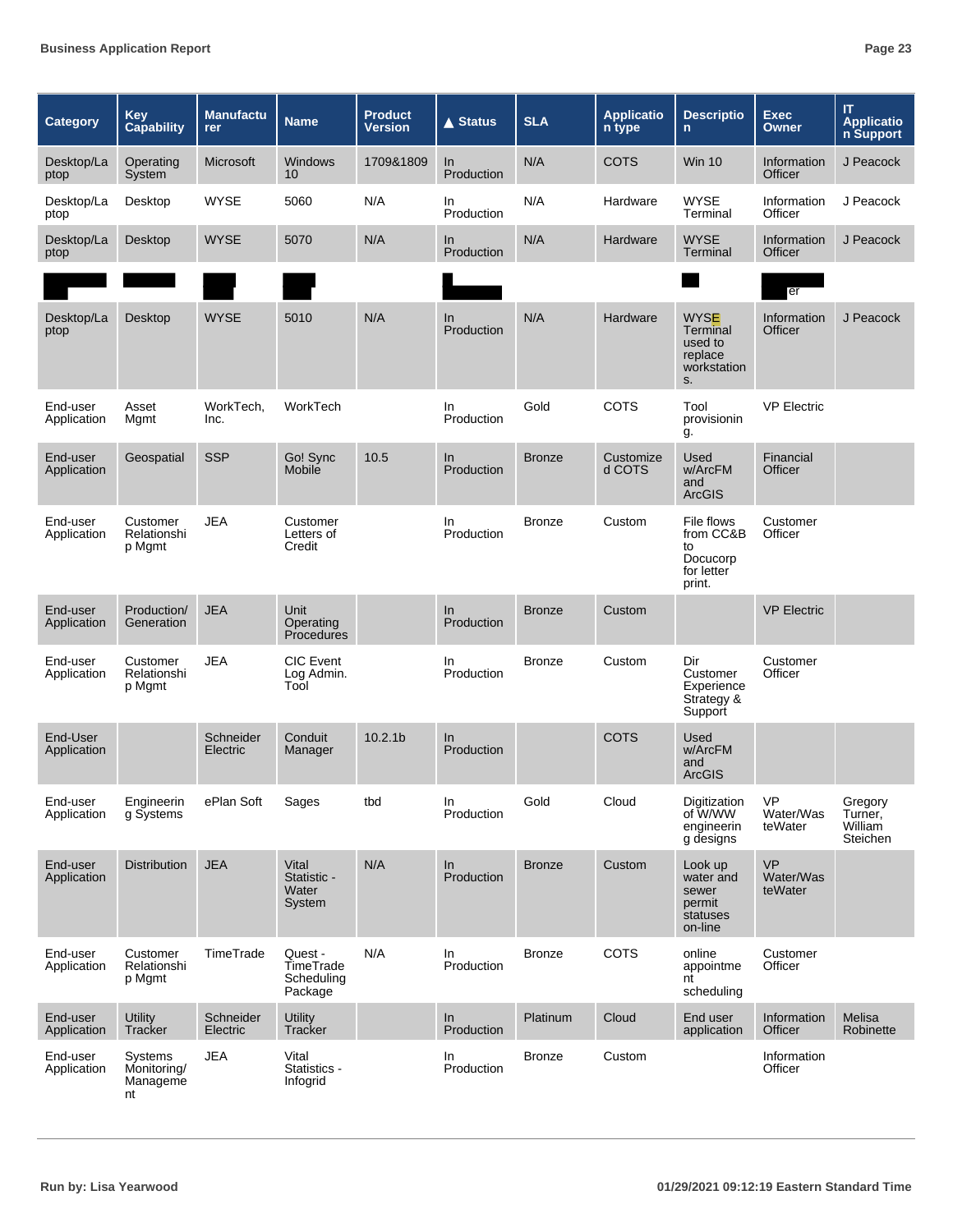| Category                | Key<br><b>Capability</b>                 | <b>Manufactu</b><br><b>rer</b> | <b>Name</b>                                   | <b>Product</b><br><b>Version</b> | <b>▲ Status</b>     | <b>SLA</b>    | <b>Applicatio</b><br>n type | <b>Descriptio</b><br>n                                             | <b>Exec</b><br><b>Owner</b>       | IT<br><b>Applicatio</b><br>n Support             |
|-------------------------|------------------------------------------|--------------------------------|-----------------------------------------------|----------------------------------|---------------------|---------------|-----------------------------|--------------------------------------------------------------------|-----------------------------------|--------------------------------------------------|
| Desktop/La<br>ptop      | Operating<br>System                      | Microsoft                      | <b>Windows</b><br>10 <sup>1</sup>             | 1709&1809                        | In<br>Production    | N/A           | <b>COTS</b>                 | <b>Win 10</b>                                                      | Information<br>Officer            | J Peacock                                        |
| Desktop/La<br>ptop      | Desktop                                  | <b>WYSE</b>                    | 5060                                          | N/A                              | In<br>Production    | N/A           | Hardware                    | <b>WYSE</b><br>Terminal                                            | Information<br>Officer            | J Peacock                                        |
| Desktop/La<br>ptop      | Desktop                                  | <b>WYSE</b>                    | 5070                                          | N/A                              | In.<br>Production   | N/A           | Hardware                    | <b>WYSE</b><br>Terminal                                            | Information<br>Officer            | J Peacock                                        |
|                         |                                          |                                |                                               |                                  |                     |               |                             |                                                                    | er                                |                                                  |
| Desktop/La<br>ptop      | Desktop                                  | <b>WYSE</b>                    | 5010                                          | N/A                              | In.<br>Production   | N/A           | Hardware                    | <b>WYSE</b><br>Terminal<br>used to<br>replace<br>workstation<br>S. | Information<br>Officer            | J Peacock                                        |
| End-user<br>Application | Asset<br>Mgmt                            | WorkTech,<br>Inc.              | WorkTech                                      |                                  | In.<br>Production   | Gold          | <b>COTS</b>                 | Tool<br>provisionin<br>g.                                          | <b>VP Electric</b>                |                                                  |
| End-user<br>Application | Geospatial                               | <b>SSP</b>                     | Go! Sync<br>Mobile                            | 10.5                             | ln<br>Production    | <b>Bronze</b> | Customize<br>d COTS         | Used<br>w/ArcFM<br>and<br><b>ArcGIS</b>                            | Financial<br>Officer              |                                                  |
| End-user<br>Application | Customer<br>Relationshi<br>p Mgmt        | <b>JEA</b>                     | Customer<br>Letters of<br>Credit              |                                  | In.<br>Production   | <b>Bronze</b> | Custom                      | File flows<br>from CC&B<br>to<br>Docucorp<br>for letter<br>print.  | Customer<br>Officer               |                                                  |
| End-user<br>Application | Production/<br>Generation                | <b>JEA</b>                     | Unit<br>Operating<br><b>Procedures</b>        |                                  | $\ln$<br>Production | <b>Bronze</b> | Custom                      |                                                                    | <b>VP Electric</b>                |                                                  |
| End-user<br>Application | Customer<br>Relationshi<br>p Mgmt        | <b>JEA</b>                     | <b>CIC</b> Event<br>Log Admin.<br>Tool        |                                  | In.<br>Production   | <b>Bronze</b> | Custom                      | Dir<br>Customer<br>Experience<br>Strategy &<br>Support             | Customer<br>Officer               |                                                  |
| End-User<br>Application |                                          | Schneider<br>Electric          | Conduit<br>Manager                            | 10.2.1 <sub>b</sub>              | In.<br>Production   |               | <b>COTS</b>                 | Used<br>w/ArcFM<br>and<br><b>ArcGIS</b>                            |                                   |                                                  |
| End-user<br>Application | Engineerin<br>g Systems                  | ePlan Soft                     | Sages                                         | tbd                              | In<br>Production    | Gold          | Cloud                       | Digitization<br>of W/WW<br>engineerin<br>g designs                 | <b>VP</b><br>Water/Was<br>teWater | Gregory<br>Turner,<br>William<br><b>Steichen</b> |
| End-user<br>Application | <b>Distribution</b>                      | <b>JEA</b>                     | Vital<br>Statistic -<br>Water<br>System       | N/A                              | In<br>Production    | <b>Bronze</b> | Custom                      | Look up<br>water and<br>sewer<br>permit<br>statuses<br>on-line     | <b>VP</b><br>Water/Was<br>teWater |                                                  |
| End-user<br>Application | Customer<br>Relationshi<br>p Mgmt        | TimeTrade                      | Quest -<br>TimeTrade<br>Scheduling<br>Package | N/A                              | In<br>Production    | <b>Bronze</b> | COTS                        | online<br>appointme<br>nt<br>scheduling                            | Customer<br>Officer               |                                                  |
| End-user<br>Application | <b>Utility</b><br>Tracker                | Schneider<br>Electric          | <b>Utility</b><br>Tracker                     |                                  | ln<br>Production    | Platinum      | Cloud                       | End user<br>application                                            | Information<br>Officer            | Melisa<br>Robinette                              |
| End-user<br>Application | Systems<br>Monitoring/<br>Manageme<br>nt | <b>JEA</b>                     | Vital<br>Statistics -<br>Infogrid             |                                  | In<br>Production    | <b>Bronze</b> | Custom                      |                                                                    | Information<br>Officer            |                                                  |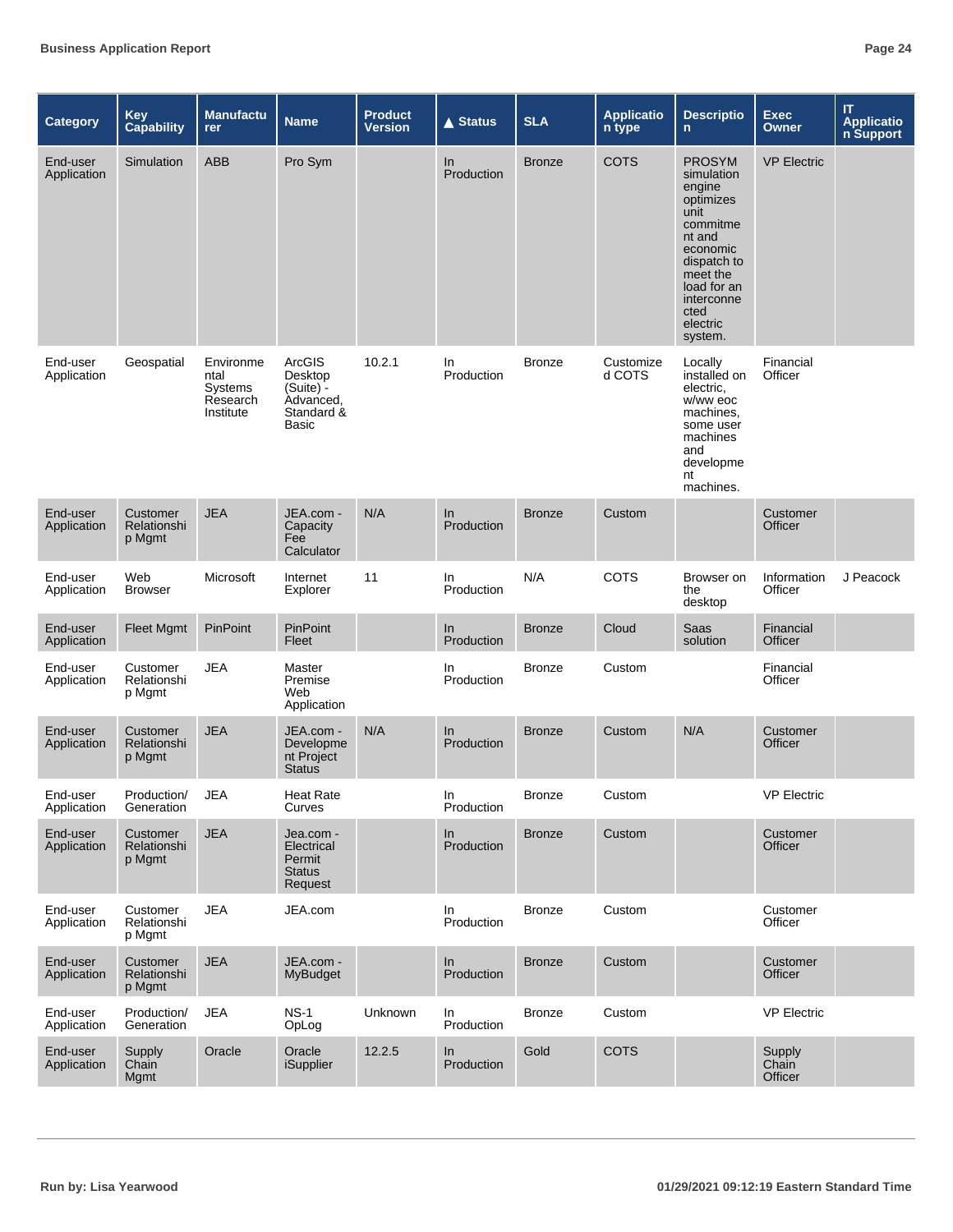| <b>Category</b>         | <b>Key</b><br><b>Capability</b>   | <b>Manufactu</b><br>rer                               | <b>Name</b>                                                          | <b>Product</b><br><b>Version</b> | $\triangle$ Status | <b>SLA</b>    | <b>Applicatio</b><br>n type | <b>Descriptio</b><br>$\mathsf{n}$                                                                                                                                                   | <b>Exec</b><br><b>Owner</b> | IT<br><b>Applicatio</b><br>n Support |
|-------------------------|-----------------------------------|-------------------------------------------------------|----------------------------------------------------------------------|----------------------------------|--------------------|---------------|-----------------------------|-------------------------------------------------------------------------------------------------------------------------------------------------------------------------------------|-----------------------------|--------------------------------------|
| End-user<br>Application | Simulation                        | <b>ABB</b>                                            | Pro Sym                                                              |                                  | In<br>Production   | <b>Bronze</b> | COTS                        | <b>PROSYM</b><br>simulation<br>engine<br>optimizes<br>unit<br>commitme<br>nt and<br>economic<br>dispatch to<br>meet the<br>load for an<br>interconne<br>cted<br>electric<br>system. | <b>VP Electric</b>          |                                      |
| End-user<br>Application | Geospatial                        | Environme<br>ntal<br>Systems<br>Research<br>Institute | ArcGIS<br>Desktop<br>$(Suite) -$<br>Advanced,<br>Standard &<br>Basic | 10.2.1                           | In<br>Production   | <b>Bronze</b> | Customize<br>d COTS         | Locally<br>installed on<br>electric.<br>w/ww eoc<br>machines,<br>some user<br>machines<br>and<br>developme<br>nt<br>machines.                                                       | Financial<br>Officer        |                                      |
| End-user<br>Application | Customer<br>Relationshi<br>p Mgmt | <b>JEA</b>                                            | JEA.com -<br>Capacity<br>Fee<br>Calculator                           | N/A                              | In<br>Production   | <b>Bronze</b> | Custom                      |                                                                                                                                                                                     | Customer<br>Officer         |                                      |
| End-user<br>Application | Web<br><b>Browser</b>             | Microsoft                                             | Internet<br>Explorer                                                 | 11                               | In<br>Production   | N/A           | COTS                        | Browser on<br>the<br>desktop                                                                                                                                                        | Information<br>Officer      | J Peacock                            |
| End-user<br>Application | <b>Fleet Mgmt</b>                 | <b>PinPoint</b>                                       | PinPoint<br>Fleet                                                    |                                  | In<br>Production   | <b>Bronze</b> | Cloud                       | Saas<br>solution                                                                                                                                                                    | Financial<br>Officer        |                                      |
| End-user<br>Application | Customer<br>Relationshi<br>p Mgmt | JEA                                                   | Master<br>Premise<br>Web<br>Application                              |                                  | In.<br>Production  | <b>Bronze</b> | Custom                      |                                                                                                                                                                                     | Financial<br>Officer        |                                      |
| End-user<br>Application | Customer<br>Relationshi<br>p Mgmt | <b>JEA</b>                                            | JEA.com -<br>Developme<br>nt Project<br><b>Status</b>                | N/A                              | In<br>Production   | <b>Bronze</b> | Custom                      | N/A                                                                                                                                                                                 | Customer<br>Officer         |                                      |
| End-user<br>Application | Production/<br>Generation         | <b>JEA</b>                                            | <b>Heat Rate</b><br>Curves                                           |                                  | In<br>Production   | <b>Bronze</b> | Custom                      |                                                                                                                                                                                     | <b>VP Electric</b>          |                                      |
| End-user<br>Application | Customer<br>Relationshi<br>p Mgmt | <b>JEA</b>                                            | Jea.com -<br>Electrical<br>Permit<br><b>Status</b><br>Request        |                                  | In<br>Production   | <b>Bronze</b> | Custom                      |                                                                                                                                                                                     | Customer<br>Officer         |                                      |
| End-user<br>Application | Customer<br>Relationshi<br>p Mgmt | <b>JEA</b>                                            | JEA.com                                                              |                                  | In<br>Production   | <b>Bronze</b> | Custom                      |                                                                                                                                                                                     | Customer<br>Officer         |                                      |
| End-user<br>Application | Customer<br>Relationshi<br>p Mgmt | <b>JEA</b>                                            | JEA.com -<br><b>MyBudget</b>                                         |                                  | In<br>Production   | <b>Bronze</b> | Custom                      |                                                                                                                                                                                     | Customer<br>Officer         |                                      |
| End-user<br>Application | Production/<br>Generation         | <b>JEA</b>                                            | <b>NS-1</b><br>OpLog                                                 | Unknown                          | In<br>Production   | <b>Bronze</b> | Custom                      |                                                                                                                                                                                     | <b>VP Electric</b>          |                                      |
| End-user<br>Application | Supply<br>Chain<br>Mgmt           | Oracle                                                | Oracle<br><b>iSupplier</b>                                           | 12.2.5                           | In<br>Production   | Gold          | <b>COTS</b>                 |                                                                                                                                                                                     | Supply<br>Chain<br>Officer  |                                      |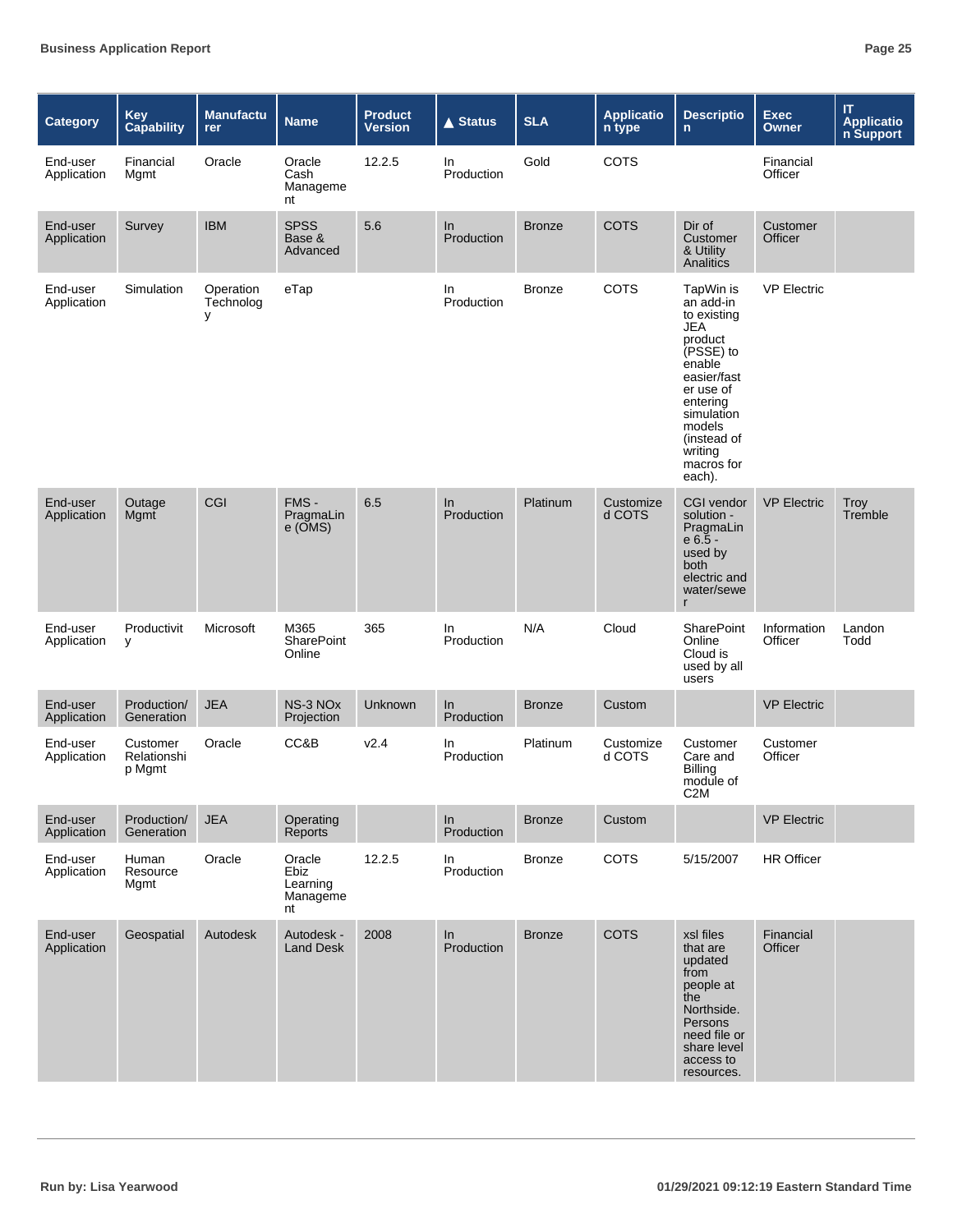| Category                | Key<br><b>Capability</b>          | <b>Manufactu</b><br>rer     | <b>Name</b>                                    | <b>Product</b><br><b>Version</b> | <b>▲ Status</b>   | <b>SLA</b>    | <b>Applicatio</b><br>n type | <b>Descriptio</b><br>n.                                                                                                                                                                          | <b>Exec</b><br><b>Owner</b> | $\mathsf{I}\mathsf{T}$<br><b>Applicatio</b><br>n Support |
|-------------------------|-----------------------------------|-----------------------------|------------------------------------------------|----------------------------------|-------------------|---------------|-----------------------------|--------------------------------------------------------------------------------------------------------------------------------------------------------------------------------------------------|-----------------------------|----------------------------------------------------------|
| End-user<br>Application | Financial<br>Mgmt                 | Oracle                      | Oracle<br>Cash<br>Manageme<br>nt               | 12.2.5                           | In<br>Production  | Gold          | <b>COTS</b>                 |                                                                                                                                                                                                  | Financial<br>Officer        |                                                          |
| End-user<br>Application | Survey                            | <b>IBM</b>                  | <b>SPSS</b><br>Base &<br>Advanced              | 5.6                              | In<br>Production  | <b>Bronze</b> | <b>COTS</b>                 | Dir of<br>Customer<br>& Utility<br>Analitics                                                                                                                                                     | Customer<br>Officer         |                                                          |
| End-user<br>Application | Simulation                        | Operation<br>Technolog<br>y | eTap                                           |                                  | In.<br>Production | <b>Bronze</b> | COTS                        | TapWin is<br>an add-in<br>to existing<br>JEA<br>product<br>(PSSE) to<br>enable<br>easier/fast<br>er use of<br>enterina<br>simulation<br>models<br>(instead of<br>writing<br>macros for<br>each). | <b>VP Electric</b>          |                                                          |
| End-user<br>Application | Outage<br>Mgmt                    | CGI                         | FMS -<br>PragmaLin<br>$e$ ( $\overline{OMS}$ ) | 6.5                              | In<br>Production  | Platinum      | Customize<br>d COTS         | <b>CGI vendor</b><br>solution -<br>PragmaLin<br>$e 6.5 -$<br>used by<br>both<br>electric and<br>water/sewe<br>r                                                                                  | <b>VP Electric</b>          | Troy<br>Tremble                                          |
| End-user<br>Application | Productivit<br>у                  | Microsoft                   | M365<br>SharePoint<br>Online                   | 365                              | In.<br>Production | N/A           | Cloud                       | <b>SharePoint</b><br>Online<br>Cloud is<br>used by all<br>users                                                                                                                                  | Information<br>Officer      | Landon<br>Todd                                           |
| End-user<br>Application | Production/<br>Generation         | <b>JEA</b>                  | NS-3 NO <sub>x</sub><br>Projection             | <b>Unknown</b>                   | In<br>Production  | <b>Bronze</b> | Custom                      |                                                                                                                                                                                                  | <b>VP Electric</b>          |                                                          |
| End-user<br>Application | Customer<br>Relationshi<br>p Mgmt | Oracle                      | CC&B                                           | V <sub>2.4</sub>                 | In<br>Production  | Platinum      | Customize<br>d COTS         | Customer<br>Care and<br>Billing<br>module of<br>C <sub>2</sub> M                                                                                                                                 | Customer<br>Officer         |                                                          |
| End-user<br>Application | Production/<br>Generation         | <b>JEA</b>                  | Operating<br>Reports                           |                                  | ln<br>Production  | <b>Bronze</b> | Custom                      |                                                                                                                                                                                                  | <b>VP Electric</b>          |                                                          |
| End-user<br>Application | Human<br>Resource<br>Mgmt         | Oracle                      | Oracle<br>Ebiz<br>Learning<br>Manageme<br>nt   | 12.2.5                           | In<br>Production  | <b>Bronze</b> | COTS                        | 5/15/2007                                                                                                                                                                                        | <b>HR Officer</b>           |                                                          |
| End-user<br>Application | Geospatial                        | Autodesk                    | Autodesk -<br><b>Land Desk</b>                 | 2008                             | In<br>Production  | <b>Bronze</b> | <b>COTS</b>                 | xsl files<br>that are<br>updated<br>from<br>people at<br>the<br>Northside.<br>Persons<br>need file or<br>share level<br>access to<br>resources.                                                  | Financial<br><b>Officer</b> |                                                          |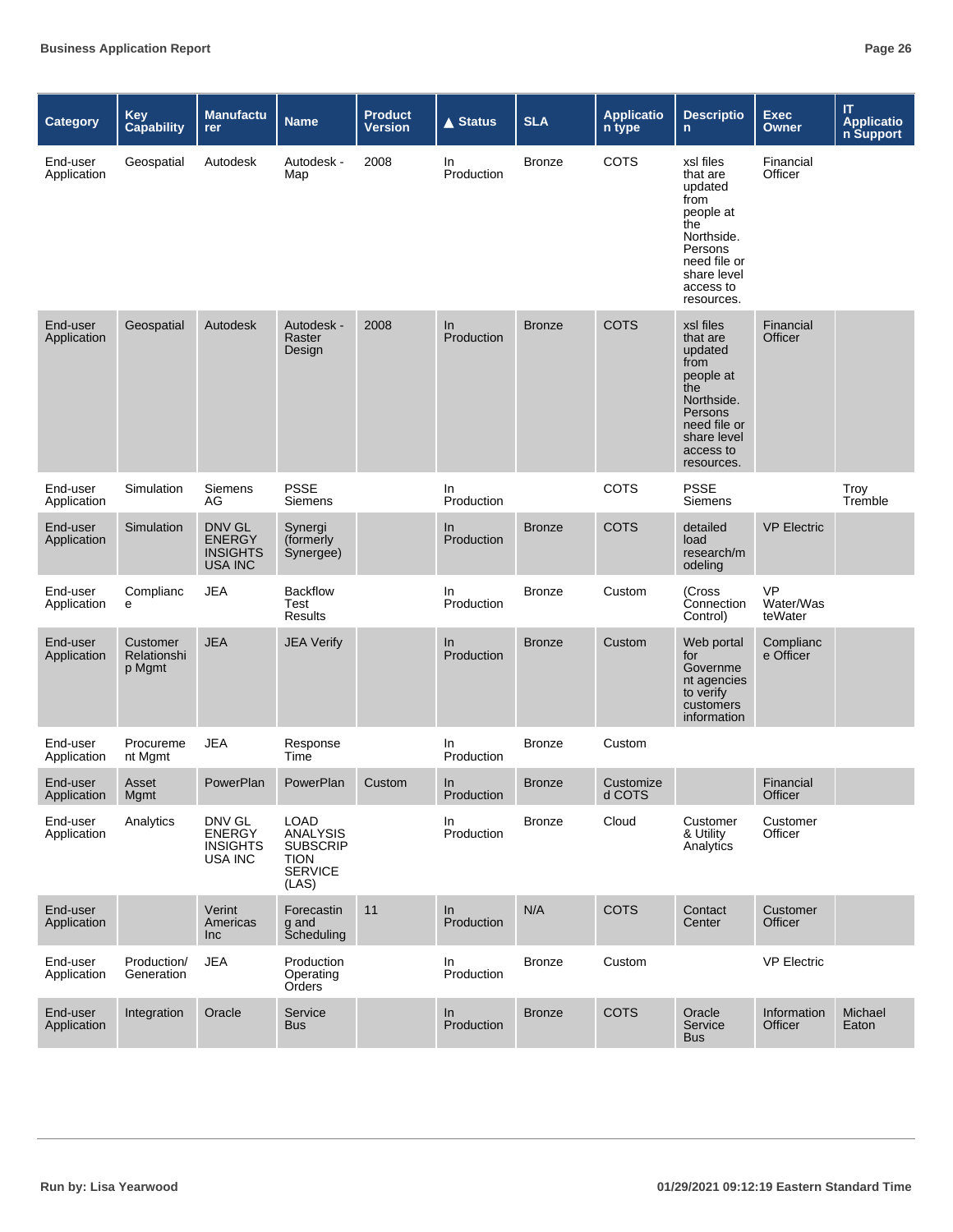| Category                | <b>Key</b><br><b>Capability</b>   | <b>Manufactu</b><br>rer                                      | <b>Name</b>                                                                                 | <b>Product</b><br><b>Version</b> | <b>▲ Status</b>     | <b>SLA</b>    | <b>Applicatio</b><br>n type | <b>Descriptio</b><br>n.                                                                                                                         | <b>Exec</b><br>Owner              | IT<br><b>Applicatio</b><br>n Support |
|-------------------------|-----------------------------------|--------------------------------------------------------------|---------------------------------------------------------------------------------------------|----------------------------------|---------------------|---------------|-----------------------------|-------------------------------------------------------------------------------------------------------------------------------------------------|-----------------------------------|--------------------------------------|
| End-user<br>Application | Geospatial                        | Autodesk                                                     | Autodesk -<br>Map                                                                           | 2008                             | In.<br>Production   | <b>Bronze</b> | <b>COTS</b>                 | xsl files<br>that are<br>updated<br>from<br>people at<br>the<br>Northside.<br>Persons<br>need file or<br>share level<br>access to<br>resources. | Financial<br>Officer              |                                      |
| End-user<br>Application | Geospatial                        | Autodesk                                                     | Autodesk -<br>Raster<br>Design                                                              | 2008                             | In<br>Production    | <b>Bronze</b> | <b>COTS</b>                 | xsl files<br>that are<br>updated<br>from<br>people at<br>the<br>Northside.<br>Persons<br>need file or<br>share level<br>access to<br>resources. | Financial<br>Officer              |                                      |
| End-user<br>Application | Simulation                        | Siemens<br>AG                                                | <b>PSSE</b><br>Siemens                                                                      |                                  | In.<br>Production   |               | <b>COTS</b>                 | <b>PSSE</b><br>Siemens                                                                                                                          |                                   | Troy<br>Tremble                      |
| End-user<br>Application | Simulation                        | DNV GL<br><b>ENERGY</b><br><b>INSIGHTS</b><br><b>USA INC</b> | Synergi<br>(formerly<br>Synergee)                                                           |                                  | In<br>Production    | <b>Bronze</b> | <b>COTS</b>                 | detailed<br>load<br>research/m<br>odeling                                                                                                       | <b>VP Electric</b>                |                                      |
| End-user<br>Application | Complianc<br>е                    | <b>JEA</b>                                                   | <b>Backflow</b><br>Test<br>Results                                                          |                                  | In<br>Production    | <b>Bronze</b> | Custom                      | (Cross<br>Connection<br>Control)                                                                                                                | <b>VP</b><br>Water/Was<br>teWater |                                      |
| End-user<br>Application | Customer<br>Relationshi<br>p Mgmt | <b>JEA</b>                                                   | <b>JEA Verify</b>                                                                           |                                  | $\ln$<br>Production | <b>Bronze</b> | Custom                      | Web portal<br>for<br>Governme<br>nt agencies<br>to verify<br>customers<br>information                                                           | Complianc<br>e Officer            |                                      |
| End-user<br>Application | Procureme<br>nt Mgmt              | <b>JEA</b>                                                   | Response<br>Time                                                                            |                                  | In.<br>Production   | <b>Bronze</b> | Custom                      |                                                                                                                                                 |                                   |                                      |
| End-user<br>Application | Asset<br>Mgmt                     | PowerPlan                                                    | PowerPlan                                                                                   | Custom                           | In<br>Production    | <b>Bronze</b> | Customize<br>d COTS         |                                                                                                                                                 | Financial<br>Officer              |                                      |
| End-user<br>Application | Analytics                         | DNV GL<br><b>ENERGY</b><br><b>INSIGHTS</b><br>USA INC        | <b>LOAD</b><br><b>ANALYSIS</b><br><b>SUBSCRIP</b><br><b>TION</b><br><b>SERVICE</b><br>(LAS) |                                  | In<br>Production    | <b>Bronze</b> | Cloud                       | Customer<br>& Utility<br>Analytics                                                                                                              | Customer<br>Officer               |                                      |
| End-user<br>Application |                                   | Verint<br>Americas<br><b>Inc</b>                             | Forecastin<br>g and<br>Scheduling                                                           | 11                               | ln<br>Production    | N/A           | <b>COTS</b>                 | Contact<br>Center                                                                                                                               | Customer<br>Officer               |                                      |
| End-user<br>Application | Production/<br>Generation         | <b>JEA</b>                                                   | Production<br>Operating<br>Orders                                                           |                                  | In<br>Production    | <b>Bronze</b> | Custom                      |                                                                                                                                                 | <b>VP Electric</b>                |                                      |
| End-user<br>Application | Integration                       | Oracle                                                       | Service<br><b>Bus</b>                                                                       |                                  | In<br>Production    | <b>Bronze</b> | <b>COTS</b>                 | Oracle<br>Service<br><b>Bus</b>                                                                                                                 | Information<br>Officer            | Michael<br>Eaton                     |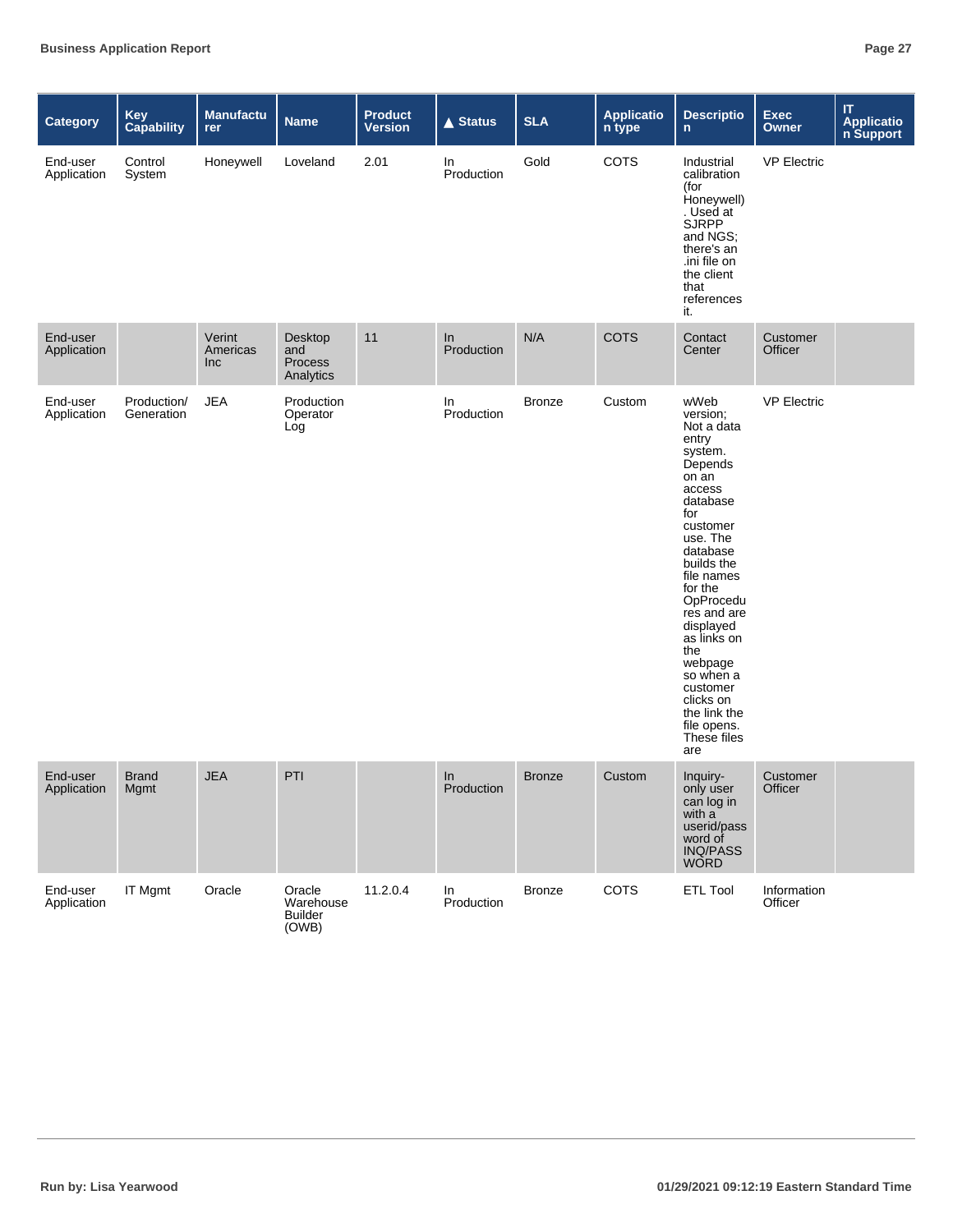| <b>Category</b>         | Key<br>Capability         | <b>Manufactu</b><br>rer          | <b>Name</b>                                    | <b>Product</b><br><b>Version</b> | <b>▲ Status</b>  | <b>SLA</b>    | <b>Applicatio</b><br>n type | <b>Descriptio</b><br>$\mathsf{n}$                                                                                                                                                                                                                                                                                                                   | <b>Exec</b><br>Owner   | $\mathsf{I}\mathsf{T}$<br><b>Applicatio</b><br>n Support |
|-------------------------|---------------------------|----------------------------------|------------------------------------------------|----------------------------------|------------------|---------------|-----------------------------|-----------------------------------------------------------------------------------------------------------------------------------------------------------------------------------------------------------------------------------------------------------------------------------------------------------------------------------------------------|------------------------|----------------------------------------------------------|
| End-user<br>Application | Control<br>System         | Honeywell                        | Loveland                                       | 2.01                             | In<br>Production | Gold          | COTS                        | Industrial<br>calibration<br>(for<br>Honeywell)<br>. Used at<br><b>SJRPP</b><br>and NGS;<br>there's an<br>.ini file on<br>the client<br>that<br>references<br>it.                                                                                                                                                                                   | <b>VP Electric</b>     |                                                          |
| End-user<br>Application |                           | Verint<br>Americas<br><b>Inc</b> | Desktop<br>and<br>Process<br>Analytics         | 11                               | In<br>Production | N/A           | <b>COTS</b>                 | Contact<br>Center                                                                                                                                                                                                                                                                                                                                   | Customer<br>Officer    |                                                          |
| End-user<br>Application | Production/<br>Generation | <b>JEA</b>                       | Production<br>Operator<br>Log                  |                                  | In<br>Production | <b>Bronze</b> | Custom                      | wWeb<br>version;<br>Not a data<br>entry<br>system.<br>Depends<br>on an<br>access<br>database<br>for<br>customer<br>use. The<br>database<br>builds the<br>file names<br>for the<br>OpProcedu<br>res and are<br>displayed<br>as links on<br>the<br>webpage<br>so when a<br>customer<br>clicks on<br>the link the<br>file opens.<br>These files<br>are | <b>VP Electric</b>     |                                                          |
| End-user<br>Application | <b>Brand</b><br>Mgmt      | <b>JEA</b>                       | PTI                                            |                                  | In<br>Production | <b>Bronze</b> | Custom                      | Inquiry-<br>only user<br>can log in<br>with a<br>userid/pass<br>word of<br><b>INQ/PASS</b><br><b>WORD</b>                                                                                                                                                                                                                                           | Customer<br>Officer    |                                                          |
| End-user<br>Application | IT Mgmt                   | Oracle                           | Oracle<br>Warehouse<br><b>Builder</b><br>(OWB) | 11.2.0.4                         | In<br>Production | <b>Bronze</b> | COTS                        | <b>ETL Tool</b>                                                                                                                                                                                                                                                                                                                                     | Information<br>Officer |                                                          |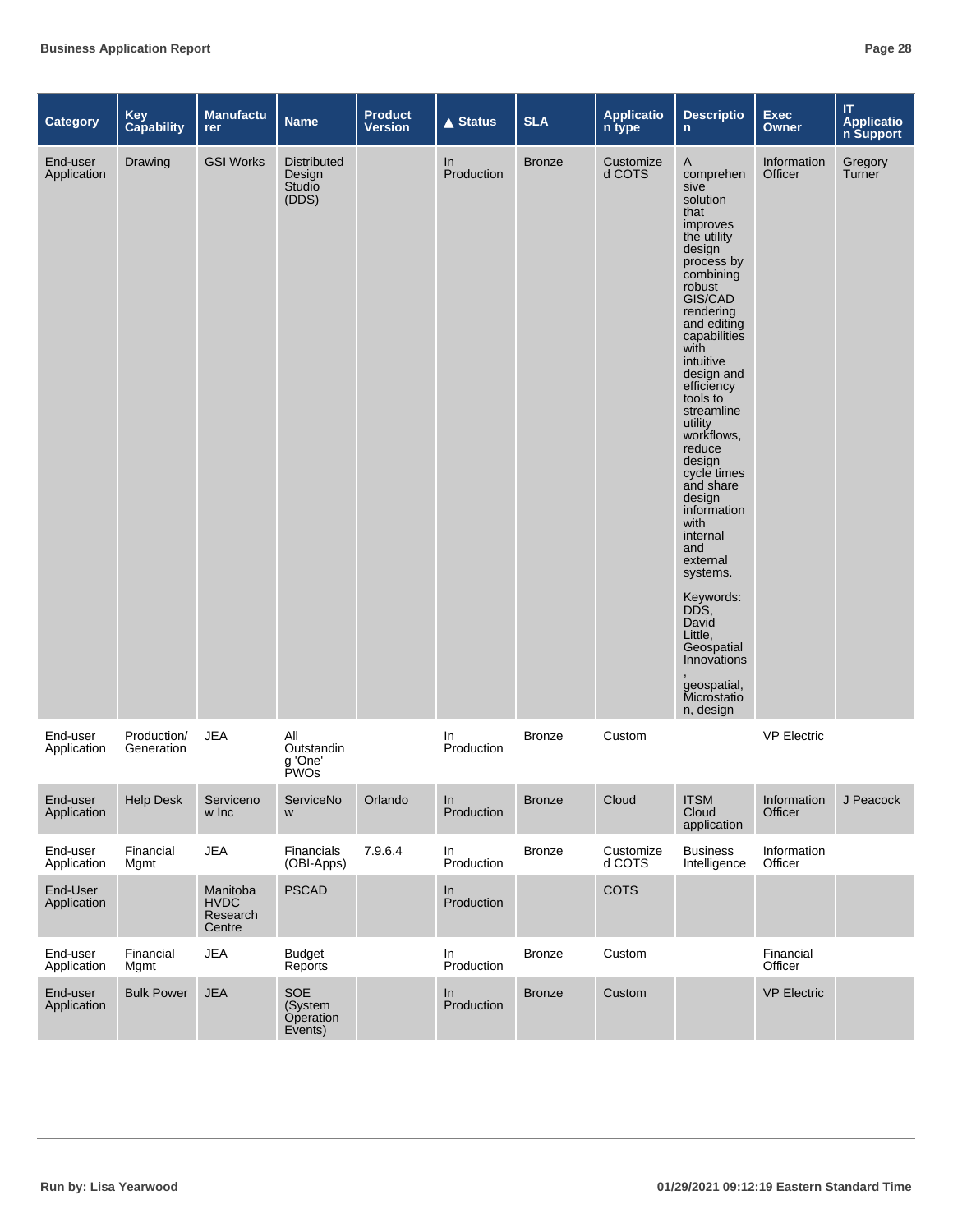| <b>Category</b>         | <b>Key</b><br><b>Capability</b> | <b>Manufactu</b><br>rer                       | <b>Name</b>                                     | <b>Product</b><br><b>Version</b> | $\triangle$ Status  | <b>SLA</b>    | <b>Applicatio</b><br>n type | <b>Descriptio</b><br>$\mathbf{n}$                                                                                                                                                                                                                                                                                                                                                                                                                                                                                            | <b>Exec</b><br><b>Owner</b> | $\mathsf{I}\mathsf{T}$<br>Applicatio<br>n Support |
|-------------------------|---------------------------------|-----------------------------------------------|-------------------------------------------------|----------------------------------|---------------------|---------------|-----------------------------|------------------------------------------------------------------------------------------------------------------------------------------------------------------------------------------------------------------------------------------------------------------------------------------------------------------------------------------------------------------------------------------------------------------------------------------------------------------------------------------------------------------------------|-----------------------------|---------------------------------------------------|
| End-user<br>Application | Drawing                         | <b>GSI Works</b>                              | <b>Distributed</b><br>Design<br>Studio<br>(DDS) |                                  | In<br>Production    | <b>Bronze</b> | Customize<br>d COTS         | A<br>comprehen<br>sive<br>solution<br>that<br>improves<br>the utility<br>design<br>process by<br>combining<br>robust<br>GIS/CAD<br>rendering<br>and editing<br>capabilities<br>with<br>intuitive<br>design and<br>efficiency<br>tools to<br>streamline<br>utility<br>workflows.<br>reduce<br>design<br>cycle times<br>and share<br>design<br>information<br>with<br>internal<br>and<br>external<br>systems.<br>Keywords:<br>DDS.<br>David<br>Little,<br>Geospatial<br>Innovations<br>geospatial,<br>Microstatio<br>n, design | Information<br>Officer      | Gregory<br>Turner                                 |
| End-user<br>Application | Production/<br>Generation       | <b>JEA</b>                                    | All<br>Outstandin<br>q 'One'<br><b>PWOs</b>     |                                  | In.<br>Production   | <b>Bronze</b> | Custom                      |                                                                                                                                                                                                                                                                                                                                                                                                                                                                                                                              | <b>VP Electric</b>          |                                                   |
| End-user<br>Application | <b>Help Desk</b>                | Serviceno<br>w Inc                            | ServiceNo<br>W                                  | Orlando                          | In<br>Production    | <b>Bronze</b> | Cloud                       | <b>ITSM</b><br>Cloud<br>application                                                                                                                                                                                                                                                                                                                                                                                                                                                                                          | Information<br>Officer      | J Peacock                                         |
| End-user<br>Application | Financial<br>Mgmt               | <b>JEA</b>                                    | Financials<br>(OBI-Apps)                        | 7.9.6.4                          | In<br>Production    | <b>Bronze</b> | Customize<br>d COTS         | <b>Business</b><br>Intelligence                                                                                                                                                                                                                                                                                                                                                                                                                                                                                              | Information<br>Officer      |                                                   |
| End-User<br>Application |                                 | Manitoba<br><b>HVDC</b><br>Research<br>Centre | <b>PSCAD</b>                                    |                                  | In<br>Production    |               | COTS                        |                                                                                                                                                                                                                                                                                                                                                                                                                                                                                                                              |                             |                                                   |
| End-user<br>Application | Financial<br>Mgmt               | <b>JEA</b>                                    | <b>Budget</b><br>Reports                        |                                  | In<br>Production    | <b>Bronze</b> | Custom                      |                                                                                                                                                                                                                                                                                                                                                                                                                                                                                                                              | Financial<br>Officer        |                                                   |
| End-user<br>Application | <b>Bulk Power</b>               | <b>JEA</b>                                    | SOE<br>(System<br><b>Operation</b><br>Events)   |                                  | $\ln$<br>Production | <b>Bronze</b> | Custom                      |                                                                                                                                                                                                                                                                                                                                                                                                                                                                                                                              | <b>VP Electric</b>          |                                                   |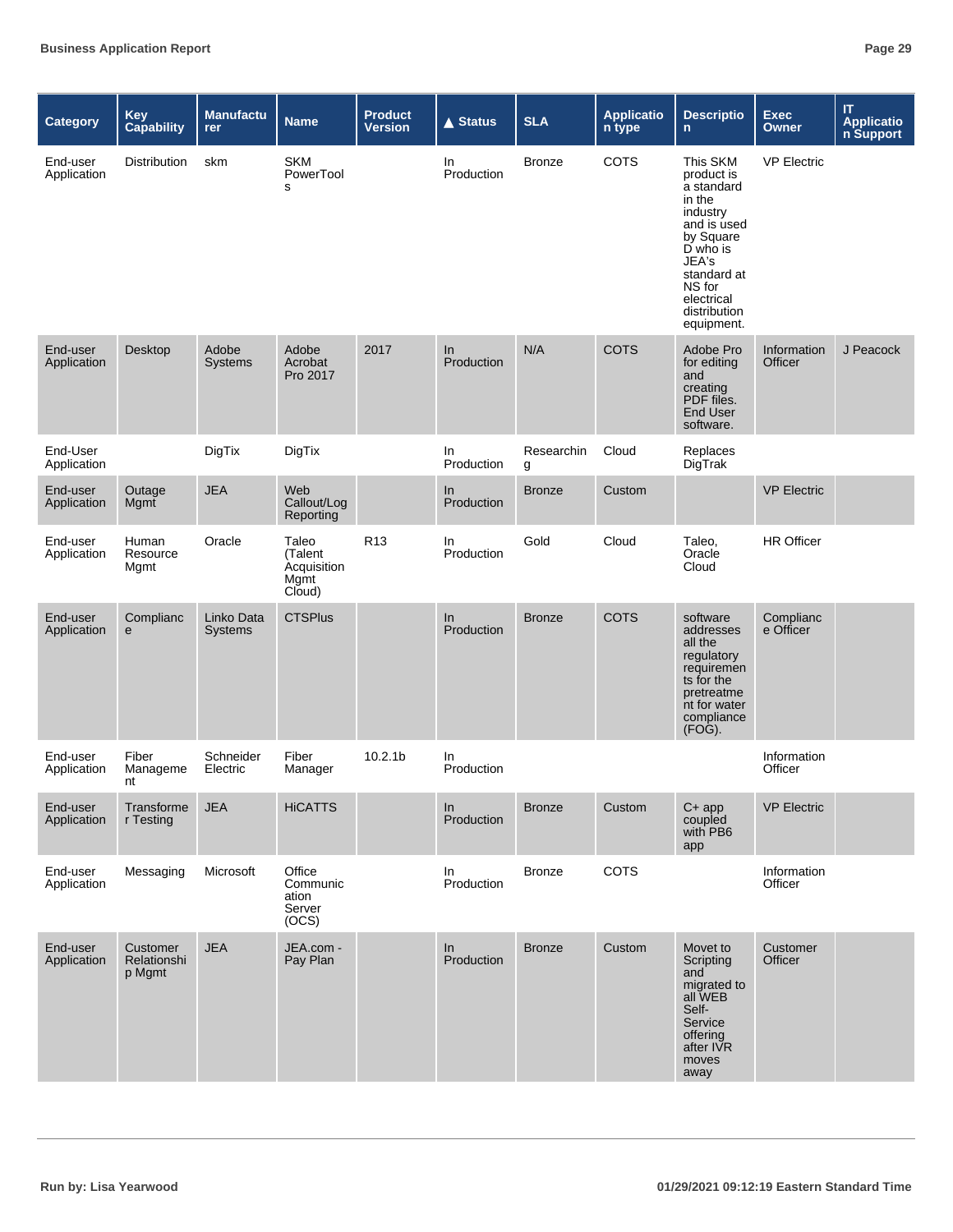| <b>Category</b>         | Key<br>Capability                 | <b>Manufactu</b><br>rer      | <b>Name</b>                                       | <b>Product</b><br><b>Version</b> | <b>▲ Status</b>  | <b>SLA</b>      | <b>Applicatio</b><br>n type | <b>Descriptio</b><br>$\mathsf{n}$                                                                                                                                                | <b>Exec</b><br><b>Owner</b> | IT.<br><b>Applicatio</b><br>n Support |
|-------------------------|-----------------------------------|------------------------------|---------------------------------------------------|----------------------------------|------------------|-----------------|-----------------------------|----------------------------------------------------------------------------------------------------------------------------------------------------------------------------------|-----------------------------|---------------------------------------|
| End-user<br>Application | Distribution                      | skm                          | <b>SKM</b><br>PowerTool<br>s                      |                                  | In<br>Production | <b>Bronze</b>   | COTS                        | This SKM<br>product is<br>a standard<br>in the<br>industry<br>and is used<br>by Square<br>D who is<br>JEA's<br>standard at<br>NS for<br>electrical<br>distribution<br>equipment. | <b>VP Electric</b>          |                                       |
| End-user<br>Application | Desktop                           | Adobe<br>Systems             | Adobe<br>Acrobat<br>Pro 2017                      | 2017                             | In<br>Production | N/A             | <b>COTS</b>                 | Adobe Pro<br>for editing<br>and<br>creating<br>PDF files.<br>End User<br>software.                                                                                               | Information<br>Officer      | J Peacock                             |
| End-User<br>Application |                                   | DigTix                       | DigTix                                            |                                  | In<br>Production | Researchin<br>g | Cloud                       | Replaces<br>DigTrak                                                                                                                                                              |                             |                                       |
| End-user<br>Application | Outage<br>Mgmt                    | <b>JEA</b>                   | Web<br>Callout/Log<br>Reporting                   |                                  | In<br>Production | <b>Bronze</b>   | Custom                      |                                                                                                                                                                                  | <b>VP Electric</b>          |                                       |
| End-user<br>Application | Human<br>Resource<br>Mgmt         | Oracle                       | Taleo<br>(Talent<br>Acquisition<br>Mgmt<br>Cloud) | R <sub>13</sub>                  | In<br>Production | Gold            | Cloud                       | Taleo,<br>Oracle<br>Cloud                                                                                                                                                        | <b>HR Officer</b>           |                                       |
| End-user<br>Application | Complianc<br>e                    | Linko Data<br><b>Systems</b> | <b>CTSPlus</b>                                    |                                  | In<br>Production | <b>Bronze</b>   | <b>COTS</b>                 | software<br>addresses<br>all the<br>regulatory<br>requiremen<br>ts for the<br>pretreatme<br>nt for water<br>compliance<br>(FOG).                                                 | Complianc<br>e Officer      |                                       |
| End-user<br>Application | Fiber<br>Manageme<br>nt           | Schneider<br>Electric        | Fiber<br>Manager                                  | 10.2.1 <sub>b</sub>              | In<br>Production |                 |                             |                                                                                                                                                                                  | Information<br>Officer      |                                       |
| End-user<br>Application | Transforme<br>r Testing           | <b>JEA</b>                   | <b>HiCATTS</b>                                    |                                  | In<br>Production | <b>Bronze</b>   | Custom                      | $C+app$<br>coupled<br>with PB6<br>app                                                                                                                                            | <b>VP Electric</b>          |                                       |
| End-user<br>Application | Messaging                         | Microsoft                    | Office<br>Communic<br>ation<br>Server<br>(OCS)    |                                  | In<br>Production | <b>Bronze</b>   | COTS                        |                                                                                                                                                                                  | Information<br>Officer      |                                       |
| End-user<br>Application | Customer<br>Relationshi<br>p Mgmt | <b>JEA</b>                   | JEA.com -<br>Pay Plan                             |                                  | In<br>Production | <b>Bronze</b>   | Custom                      | Movet to<br>Scripting<br>and<br>migrated to<br>all WEB<br>Self-<br>Service<br>offering<br>after IVR<br>moves<br>away                                                             | Customer<br>Officer         |                                       |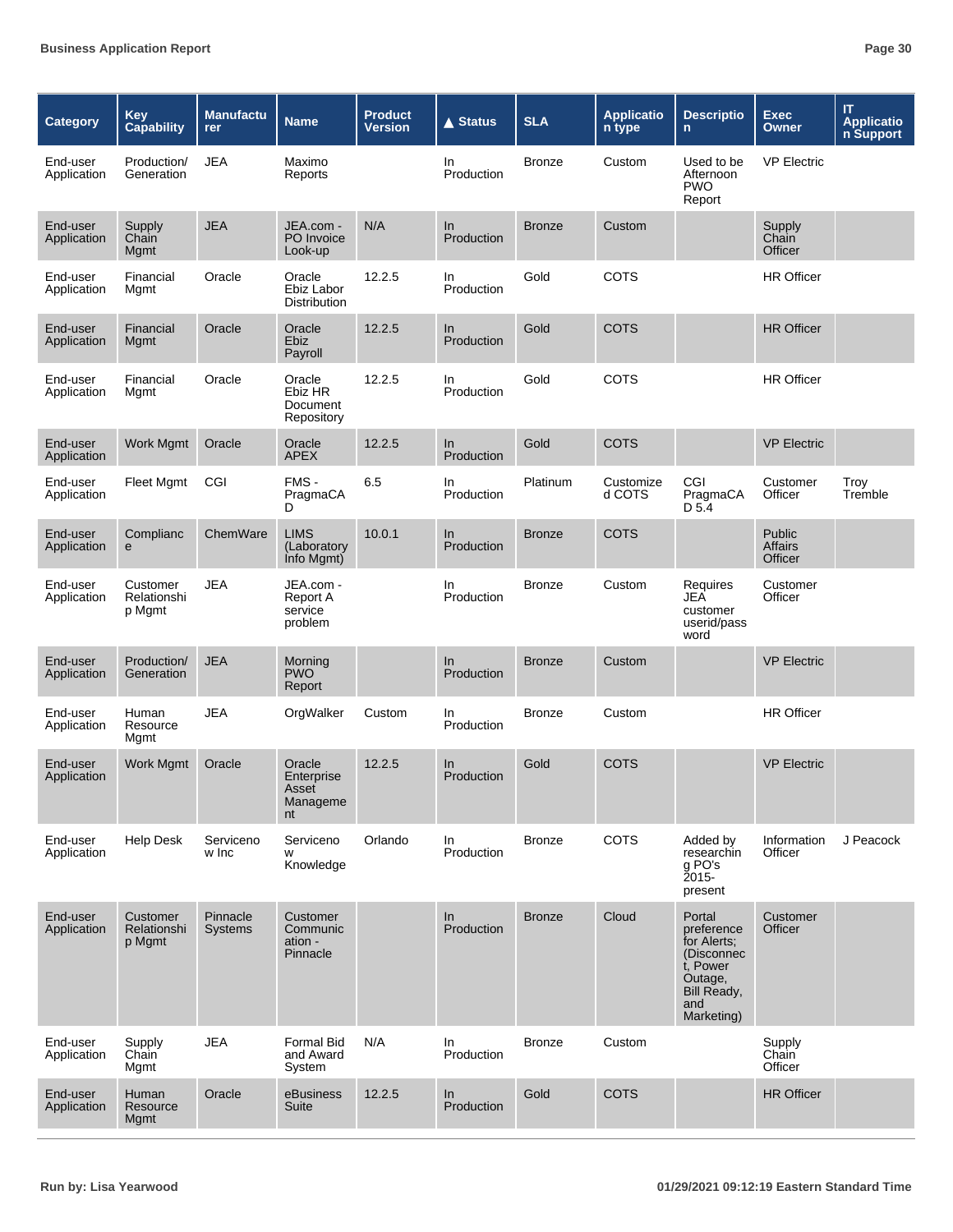| <b>Category</b>         | <b>Key</b><br><b>Capability</b>   | <b>Manufactu</b><br>rer    | <b>Name</b>                                     | <b>Product</b><br><b>Version</b> | <b>▲ Status</b>   | <b>SLA</b>    | <b>Applicatio</b><br>n type | <b>Descriptio</b><br>$\mathsf{n}$                                                                            | <b>Exec</b><br>Owner         | IT.<br><b>Applicatio</b><br>n Support |
|-------------------------|-----------------------------------|----------------------------|-------------------------------------------------|----------------------------------|-------------------|---------------|-----------------------------|--------------------------------------------------------------------------------------------------------------|------------------------------|---------------------------------------|
| End-user<br>Application | Production/<br>Generation         | <b>JEA</b>                 | Maximo<br>Reports                               |                                  | In.<br>Production | <b>Bronze</b> | Custom                      | Used to be<br>Afternoon<br><b>PWO</b><br>Report                                                              | <b>VP Electric</b>           |                                       |
| End-user<br>Application | Supply<br>Chain<br>Mgmt           | <b>JEA</b>                 | JEA.com -<br>PO Invoice<br>Look-up              | N/A                              | In<br>Production  | <b>Bronze</b> | Custom                      |                                                                                                              | Supply<br>Chain<br>Officer   |                                       |
| End-user<br>Application | Financial<br>Mgmt                 | Oracle                     | Oracle<br>Ebiz Labor<br><b>Distribution</b>     | 12.2.5                           | In<br>Production  | Gold          | COTS                        |                                                                                                              | <b>HR Officer</b>            |                                       |
| End-user<br>Application | Financial<br>Mgmt                 | Oracle                     | Oracle<br><b>Ebiz</b><br>Payroll                | 12.2.5                           | In<br>Production  | Gold          | <b>COTS</b>                 |                                                                                                              | <b>HR Officer</b>            |                                       |
| End-user<br>Application | Financial<br>Mgmt                 | Oracle                     | Oracle<br>Ebiz HR<br>Document<br>Repository     | 12.2.5                           | In<br>Production  | Gold          | COTS                        |                                                                                                              | <b>HR Officer</b>            |                                       |
| End-user<br>Application | Work Mgmt                         | Oracle                     | Oracle<br><b>APEX</b>                           | 12.2.5                           | In<br>Production  | Gold          | <b>COTS</b>                 |                                                                                                              | <b>VP Electric</b>           |                                       |
| End-user<br>Application | <b>Fleet Mgmt</b>                 | CGI                        | FMS-<br>PragmaCA<br>D                           | 6.5                              | In<br>Production  | Platinum      | Customize<br>d COTS         | CGI<br>PragmaCA<br>D 5.4                                                                                     | Customer<br>Officer          | Troy<br>Tremble                       |
| End-user<br>Application | Complianc<br>е                    | ChemWare                   | <b>LIMS</b><br>(Laboratory<br>Info Mgmt)        | 10.0.1                           | In<br>Production  | <b>Bronze</b> | <b>COTS</b>                 |                                                                                                              | Public<br>Affairs<br>Officer |                                       |
| End-user<br>Application | Customer<br>Relationshi<br>p Mgmt | <b>JEA</b>                 | JEA.com -<br>Report A<br>service<br>problem     |                                  | In<br>Production  | <b>Bronze</b> | Custom                      | Requires<br>JEA<br>customer<br>userid/pass<br>word                                                           | Customer<br>Officer          |                                       |
| End-user<br>Application | Production/<br>Generation         | <b>JEA</b>                 | Morning<br><b>PWO</b><br>Report                 |                                  | ln<br>Production  | <b>Bronze</b> | Custom                      |                                                                                                              | <b>VP Electric</b>           |                                       |
| End-user<br>Application | Human<br>Resource<br>Mgmt         | <b>JEA</b>                 | OrgWalker                                       | Custom                           | In<br>Production  | <b>Bronze</b> | Custom                      |                                                                                                              | <b>HR Officer</b>            |                                       |
| End-user<br>Application | <b>Work Mgmt</b>                  | Oracle                     | Oracle<br>Enterprise<br>Asset<br>Manageme<br>nt | 12.2.5                           | In<br>Production  | Gold          | <b>COTS</b>                 |                                                                                                              | <b>VP Electric</b>           |                                       |
| End-user<br>Application | <b>Help Desk</b>                  | Serviceno<br>w Inc         | Serviceno<br>W<br>Knowledge                     | Orlando                          | In<br>Production  | <b>Bronze</b> | COTS                        | Added by<br>researchin<br>g PO's<br>2015-<br>present                                                         | Information<br>Officer       | J Peacock                             |
| End-user<br>Application | Customer<br>Relationshi<br>p Mgmt | Pinnacle<br><b>Systems</b> | Customer<br>Communic<br>ation -<br>Pinnacle     |                                  | In<br>Production  | <b>Bronze</b> | Cloud                       | Portal<br>preference<br>for Alerts:<br>(Disconnec<br>t. Power<br>Outage,<br>Bill Ready,<br>and<br>Marketing) | Customer<br>Officer          |                                       |
| End-user<br>Application | Supply<br>Chain<br>Mgmt           | <b>JEA</b>                 | <b>Formal Bid</b><br>and Award<br>System        | N/A                              | In.<br>Production | <b>Bronze</b> | Custom                      |                                                                                                              | Supply<br>Chain<br>Officer   |                                       |
| End-user<br>Application | Human<br>Resource<br><b>Mgmt</b>  | Oracle                     | eBusiness<br>Suite                              | 12.2.5                           | In<br>Production  | Gold          | <b>COTS</b>                 |                                                                                                              | <b>HR Officer</b>            |                                       |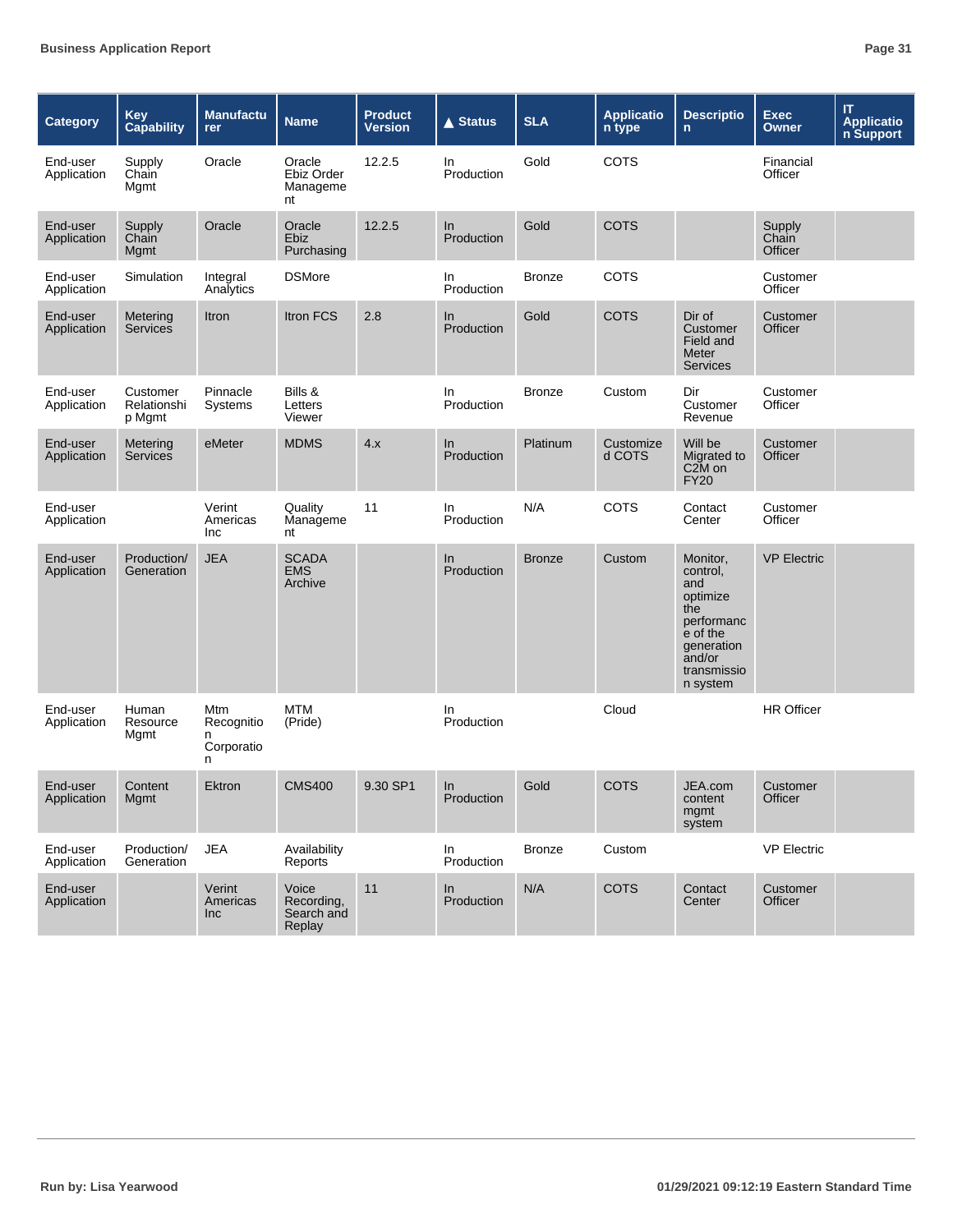| <b>Category</b>         | <b>Key</b><br><b>Capability</b>   | <b>Manufactu</b><br>rer                   | <b>Name</b>                                 | <b>Product</b><br><b>Version</b> | $\triangle$ Status  | <b>SLA</b>    | <b>Applicatio</b><br>n type | <b>Descriptio</b><br>$\mathsf{n}$                                                                                           | <b>Exec</b><br><b>Owner</b> | IT.<br><b>Applicatio</b><br>n Support |
|-------------------------|-----------------------------------|-------------------------------------------|---------------------------------------------|----------------------------------|---------------------|---------------|-----------------------------|-----------------------------------------------------------------------------------------------------------------------------|-----------------------------|---------------------------------------|
| End-user<br>Application | Supply<br>Chain<br>Mgmt           | Oracle                                    | Oracle<br>Ebiz Order<br>Manageme<br>nt      | 12.2.5                           | In<br>Production    | Gold          | COTS                        |                                                                                                                             | Financial<br>Officer        |                                       |
| End-user<br>Application | Supply<br>Chain<br>Mgmt           | Oracle                                    | Oracle<br><b>Ebiz</b><br>Purchasing         | 12.2.5                           | In<br>Production    | Gold          | <b>COTS</b>                 |                                                                                                                             | Supply<br>Chain<br>Officer  |                                       |
| End-user<br>Application | Simulation                        | Integral<br>Analytics                     | <b>DSMore</b>                               |                                  | In.<br>Production   | <b>Bronze</b> | COTS                        |                                                                                                                             | Customer<br>Officer         |                                       |
| End-user<br>Application | Metering<br><b>Services</b>       | Itron                                     | <b>Itron FCS</b>                            | 2.8                              | In<br>Production    | Gold          | <b>COTS</b>                 | Dir of<br>Customer<br>Field and<br>Meter<br><b>Services</b>                                                                 | Customer<br>Officer         |                                       |
| End-user<br>Application | Customer<br>Relationshi<br>p Mgmt | Pinnacle<br>Systems                       | Bills &<br>Letters<br>Viewer                |                                  | In.<br>Production   | <b>Bronze</b> | Custom                      | Dir<br>Customer<br>Revenue                                                                                                  | Customer<br>Officer         |                                       |
| End-user<br>Application | Metering<br>Services              | eMeter                                    | <b>MDMS</b>                                 | 4.x                              | In.<br>Production   | Platinum      | Customize<br>d COTS         | Will be<br>Migrated to<br>C <sub>2</sub> M on<br><b>FY20</b>                                                                | Customer<br>Officer         |                                       |
| End-user<br>Application |                                   | Verint<br>Americas<br>Inc                 | Quality<br>Manageme<br>nt                   | 11                               | In<br>Production    | N/A           | COTS                        | Contact<br>Center                                                                                                           | Customer<br>Officer         |                                       |
| End-user<br>Application | Production/<br>Generation         | <b>JEA</b>                                | <b>SCADA</b><br><b>EMS</b><br>Archive       |                                  | In<br>Production    | <b>Bronze</b> | Custom                      | Monitor,<br>control,<br>and<br>optimize<br>the<br>performanc<br>e of the<br>generation<br>and/or<br>transmissio<br>n system | <b>VP Electric</b>          |                                       |
| End-user<br>Application | Human<br>Resource<br>Mgmt         | Mtm<br>Recognitio<br>n<br>Corporatio<br>n | <b>MTM</b><br>(Pride)                       |                                  | In<br>Production    |               | Cloud                       |                                                                                                                             | <b>HR Officer</b>           |                                       |
| End-user<br>Application | Content<br>Mgmt                   | Ektron                                    | <b>CMS400</b>                               | 9.30 SP1                         | $\ln$<br>Production | Gold          | COTS                        | JEA.com<br>content<br>mgmt<br>system                                                                                        | Customer<br>Officer         |                                       |
| End-user<br>Application | Production/<br>Generation         | <b>JEA</b>                                | Availability<br>Reports                     |                                  | In<br>Production    | <b>Bronze</b> | Custom                      |                                                                                                                             | <b>VP Electric</b>          |                                       |
| End-user<br>Application |                                   | Verint<br>Americas<br>Inc                 | Voice<br>Recording,<br>Search and<br>Replay | 11                               | In.<br>Production   | N/A           | <b>COTS</b>                 | Contact<br>Center                                                                                                           | Customer<br>Officer         |                                       |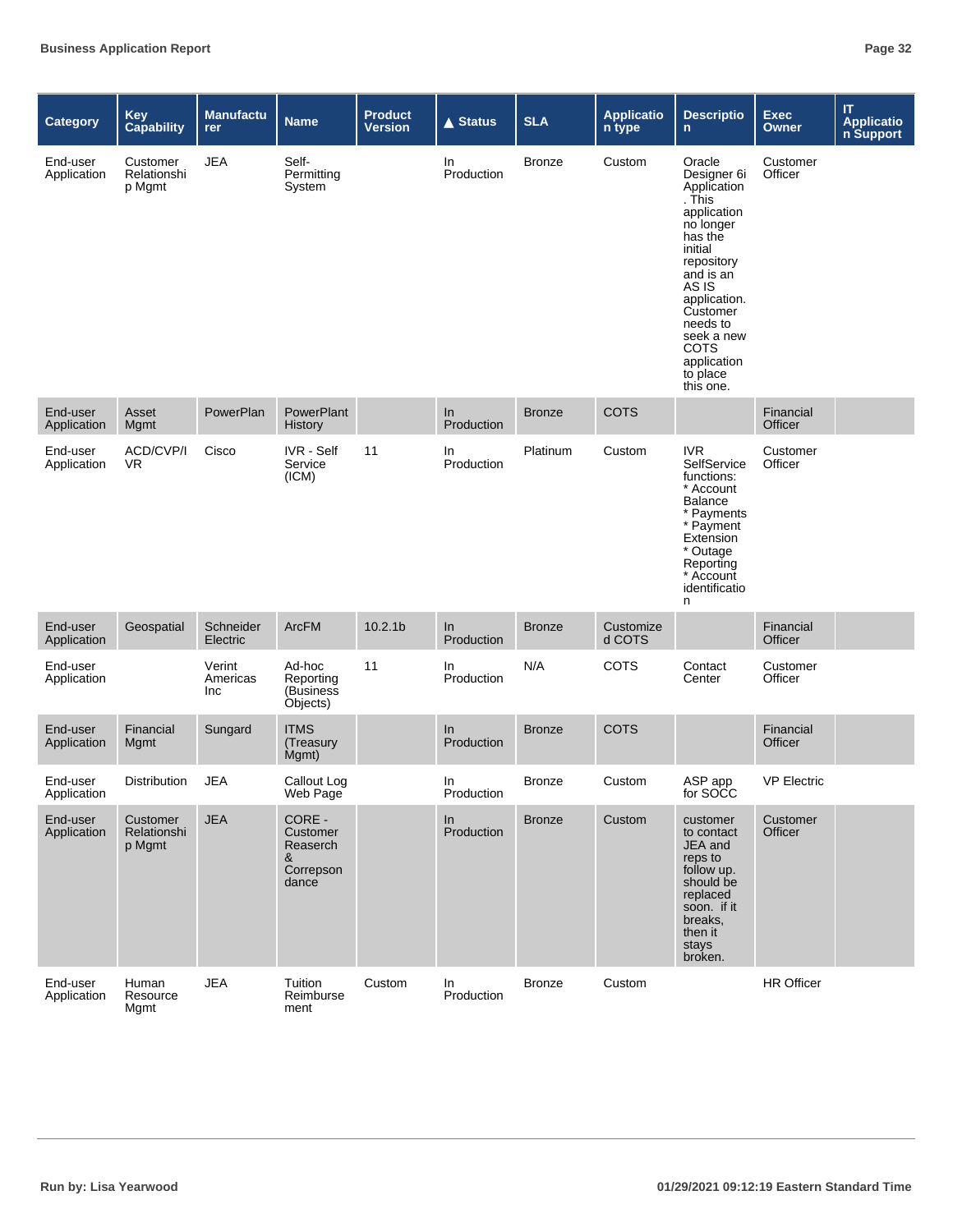| <b>Category</b>         | <b>Key</b><br>Capability          | <b>Manufactu</b><br>rer   | <b>Name</b>                                               | <b>Product</b><br><b>Version</b> | <b>▲ Status</b>   | <b>SLA</b>    | <b>Applicatio</b><br>n type | <b>Descriptio</b><br>$\mathsf{n}$                                                                                                                                                                                                                 | Exec<br><b>Owner</b> | $\boldsymbol{\Pi}$<br><b>Application</b><br><b>n Support</b> |
|-------------------------|-----------------------------------|---------------------------|-----------------------------------------------------------|----------------------------------|-------------------|---------------|-----------------------------|---------------------------------------------------------------------------------------------------------------------------------------------------------------------------------------------------------------------------------------------------|----------------------|--------------------------------------------------------------|
| End-user<br>Application | Customer<br>Relationshi<br>p Mgmt | <b>JEA</b>                | Self-<br>Permitting<br>System                             |                                  | In.<br>Production | <b>Bronze</b> | Custom                      | Oracle<br>Designer 6i<br>Application<br>. This<br>application<br>no longer<br>has the<br>initial<br>repository<br>and is an<br>AS IS<br>application.<br>Customer<br>needs to<br>seek a new<br><b>COTS</b><br>application<br>to place<br>this one. | Customer<br>Officer  |                                                              |
| End-user<br>Application | Asset<br>Mgmt                     | PowerPlan                 | PowerPlant<br><b>History</b>                              |                                  | In<br>Production  | <b>Bronze</b> | <b>COTS</b>                 |                                                                                                                                                                                                                                                   | Financial<br>Officer |                                                              |
| End-user<br>Application | ACD/CVP/I<br>VR.                  | Cisco                     | <b>IVR</b> - Self<br>Service<br>(ICM)                     | 11                               | In<br>Production  | Platinum      | Custom                      | <b>IVR</b><br>SelfService<br>functions:<br>* Account<br><b>Balance</b><br>* Payments<br>* Payment<br>Extension<br>* Outage<br>Reporting<br>* Account<br>identificatio<br>n                                                                        | Customer<br>Officer  |                                                              |
| End-user<br>Application | Geospatial                        | Schneider<br>Electric     | <b>ArcFM</b>                                              | 10.2.1 <sub>b</sub>              | In<br>Production  | <b>Bronze</b> | Customize<br>d COTS         |                                                                                                                                                                                                                                                   | Financial<br>Officer |                                                              |
| End-user<br>Application |                                   | Verint<br>Americas<br>Inc | Ad-hoc<br>Reporting<br>(Business<br>Objects)              | 11                               | In<br>Production  | N/A           | <b>COTS</b>                 | Contact<br>Center                                                                                                                                                                                                                                 | Customer<br>Officer  |                                                              |
| End-user<br>Application | Financial<br>Mgmt                 | Sungard                   | <b>ITMS</b><br>(Treasury<br>Mgmt)                         |                                  | In<br>Production  | <b>Bronze</b> | <b>COTS</b>                 |                                                                                                                                                                                                                                                   | Financial<br>Officer |                                                              |
| End-user<br>Application | Distribution                      | <b>JEA</b>                | Callout Log<br>Web Page                                   |                                  | In<br>Production  | <b>Bronze</b> | Custom                      | ASP app<br>for SOCC                                                                                                                                                                                                                               | <b>VP Electric</b>   |                                                              |
| End-user<br>Application | Customer<br>Relationshi<br>p Mgmt | <b>JEA</b>                | CORE -<br>Customer<br>Reaserch<br>&<br>Correpson<br>dance |                                  | In<br>Production  | <b>Bronze</b> | Custom                      | customer<br>to contact<br>JEA and<br>reps to<br>follow up.<br>should be<br>replaced<br>soon. if it<br>breaks,<br>then it<br>stays<br>broken.                                                                                                      | Customer<br>Officer  |                                                              |
| End-user<br>Application | Human<br>Resource<br>Mgmt         | <b>JEA</b>                | Tuition<br>Reimburse<br>ment                              | Custom                           | In<br>Production  | <b>Bronze</b> | Custom                      |                                                                                                                                                                                                                                                   | HR Officer           |                                                              |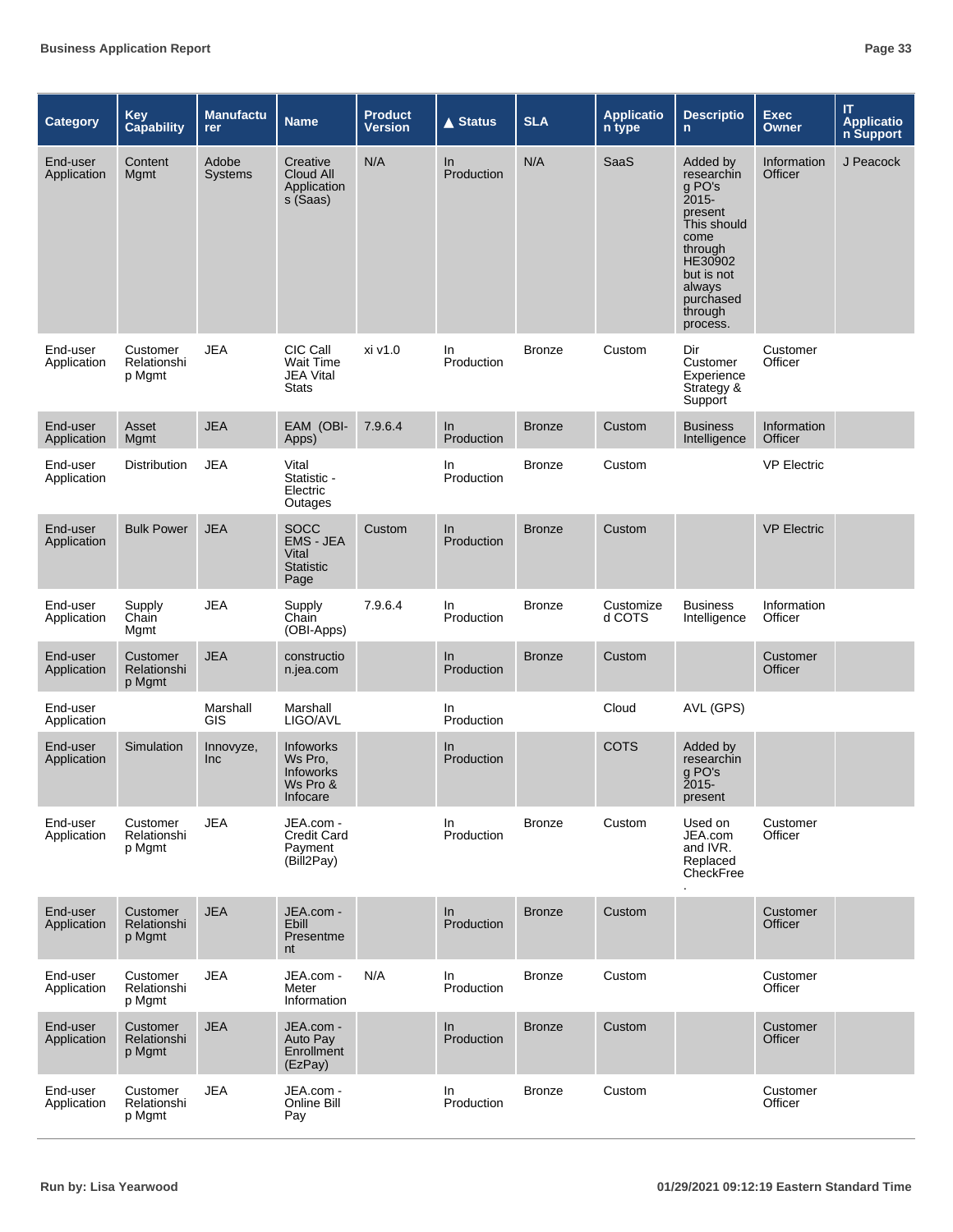| <b>Category</b>         | <b>Key</b><br><b>Capability</b>   | <b>Manufactu</b><br>rer | <b>Name</b>                                                   | <b>Product</b><br><b>Version</b> | <b>▲ Status</b>   | <b>SLA</b>    | <b>Applicatio</b><br>n type | <b>Descriptio</b><br>n.                                                                                                                                       | <b>Exec</b><br><b>Owner</b> | IT<br><b>Applicatio</b><br>n Support |
|-------------------------|-----------------------------------|-------------------------|---------------------------------------------------------------|----------------------------------|-------------------|---------------|-----------------------------|---------------------------------------------------------------------------------------------------------------------------------------------------------------|-----------------------------|--------------------------------------|
| End-user<br>Application | Content<br>Mgmt                   | Adobe<br><b>Systems</b> | Creative<br>Cloud All<br>Application<br>s (Saas)              | N/A                              | In<br>Production  | N/A           | SaaS                        | Added by<br>researchin<br>g PO's<br>2015-<br>present<br>This should<br>come<br>through<br>HE30902<br>but is not<br>always<br>purchased<br>through<br>process. | Information<br>Officer      | J Peacock                            |
| End-user<br>Application | Customer<br>Relationshi<br>p Mgmt | <b>JEA</b>              | CIC Call<br><b>Wait Time</b><br>JEA Vital<br><b>Stats</b>     | xi v1.0                          | In.<br>Production | <b>Bronze</b> | Custom                      | Dir<br>Customer<br>Experience<br>Strategy &<br>Support                                                                                                        | Customer<br>Officer         |                                      |
| End-user<br>Application | Asset<br>Mgmt                     | <b>JEA</b>              | EAM (OBI-<br>Apps)                                            | 7.9.6.4                          | In<br>Production  | <b>Bronze</b> | Custom                      | <b>Business</b><br>Intelligence                                                                                                                               | Information<br>Officer      |                                      |
| End-user<br>Application | <b>Distribution</b>               | <b>JEA</b>              | Vital<br>Statistic -<br>Electric<br>Outages                   |                                  | In<br>Production  | <b>Bronze</b> | Custom                      |                                                                                                                                                               | <b>VP Electric</b>          |                                      |
| End-user<br>Application | <b>Bulk Power</b>                 | <b>JEA</b>              | <b>SOCC</b><br>EMS - JEA<br>Vital<br><b>Statistic</b><br>Page | Custom                           | In<br>Production  | <b>Bronze</b> | Custom                      |                                                                                                                                                               | <b>VP Electric</b>          |                                      |
| End-user<br>Application | Supply<br>Chain<br>Mgmt           | <b>JEA</b>              | Supply<br>Chain<br>(OBI-Apps)                                 | 7.9.6.4                          | In<br>Production  | <b>Bronze</b> | Customize<br>d COTS         | <b>Business</b><br>Intelligence                                                                                                                               | Information<br>Officer      |                                      |
| End-user<br>Application | Customer<br>Relationshi<br>p Mgmt | <b>JEA</b>              | constructio<br>n.jea.com                                      |                                  | In<br>Production  | <b>Bronze</b> | Custom                      |                                                                                                                                                               | Customer<br>Officer         |                                      |
| End-user<br>Application |                                   | Marshall<br><b>GIS</b>  | Marshall<br>LIGO/AVL                                          |                                  | In<br>Production  |               | Cloud                       | AVL (GPS)                                                                                                                                                     |                             |                                      |
| End-user<br>Application | Simulation                        | Innovyze,<br>Inc        | Infoworks<br>Ws Pro.<br>Infoworks<br>Ws Pro &<br>Infocare     |                                  | In<br>Production  |               | <b>COTS</b>                 | Added by<br>researchin<br>g PO's<br><b>2015-</b><br>present                                                                                                   |                             |                                      |
| End-user<br>Application | Customer<br>Relationshi<br>p Mgmt | JEA                     | JEA.com -<br><b>Credit Card</b><br>Payment<br>(Bill2Pay)      |                                  | In<br>Production  | <b>Bronze</b> | Custom                      | Used on<br>JEA.com<br>and IVR.<br>Replaced<br>CheckFree                                                                                                       | Customer<br>Officer         |                                      |
| End-user<br>Application | Customer<br>Relationshi<br>p Mgmt | <b>JEA</b>              | JEA.com -<br><b>Ebill</b><br>Presentme<br>nt                  |                                  | In<br>Production  | <b>Bronze</b> | Custom                      |                                                                                                                                                               | Customer<br>Officer         |                                      |
| End-user<br>Application | Customer<br>Relationshi<br>p Mgmt | <b>JEA</b>              | JEA.com -<br>Meter<br>Information                             | N/A                              | In<br>Production  | <b>Bronze</b> | Custom                      |                                                                                                                                                               | Customer<br>Officer         |                                      |
| End-user<br>Application | Customer<br>Relationshi<br>p Mgmt | <b>JEA</b>              | JEA.com -<br>Auto Pay<br>Enrollment<br>(EzPay)                |                                  | In<br>Production  | <b>Bronze</b> | Custom                      |                                                                                                                                                               | Customer<br>Officer         |                                      |
| End-user<br>Application | Customer<br>Relationshi<br>p Mgmt | <b>JEA</b>              | JEA.com -<br>Online Bill<br>Pay                               |                                  | In<br>Production  | <b>Bronze</b> | Custom                      |                                                                                                                                                               | Customer<br>Officer         |                                      |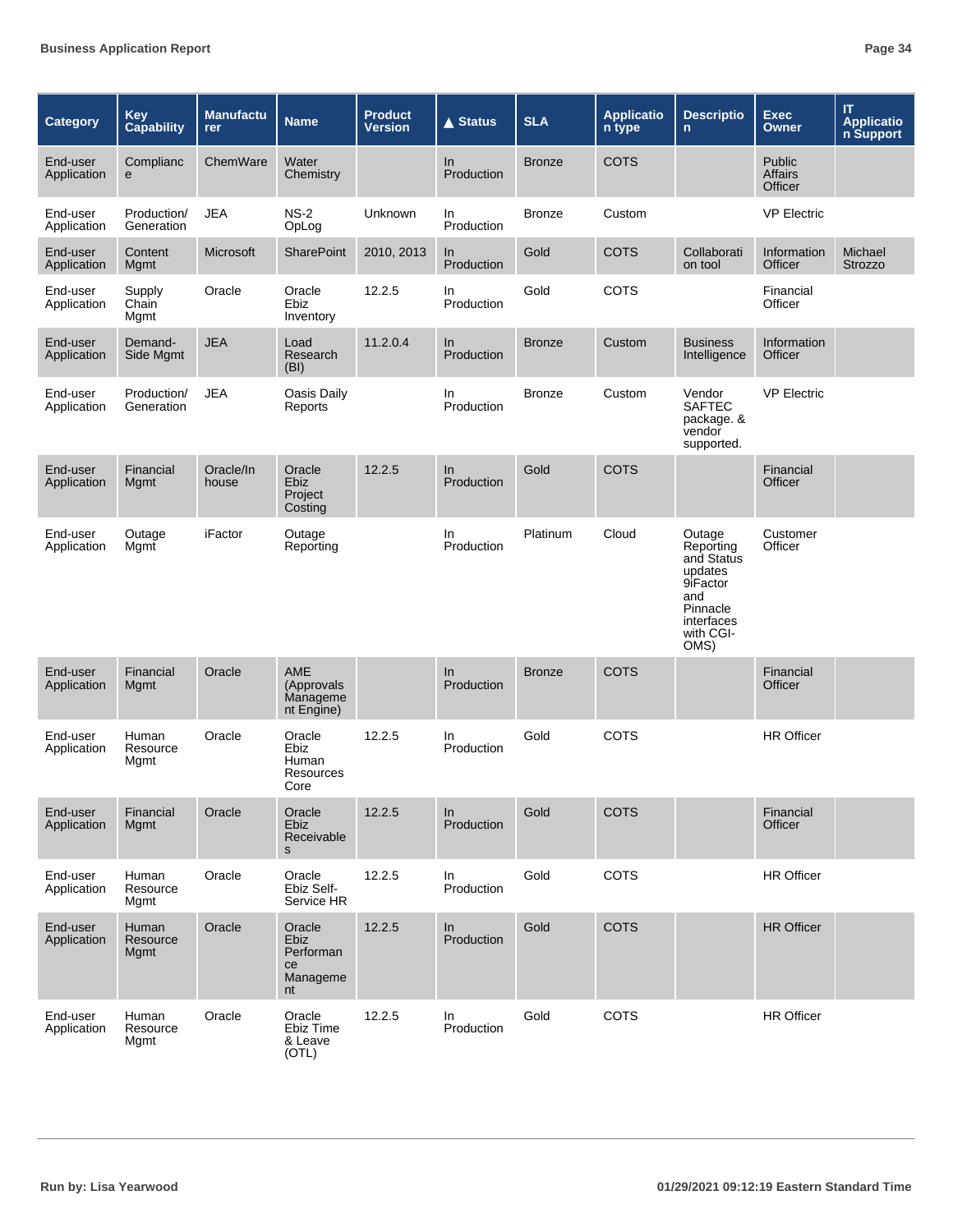| Category                | <b>Key</b><br><b>Capability</b> | <b>Manufactu</b><br>rer | <b>Name</b>                                         | <b>Product</b><br><b>Version</b> | $\triangle$ Status  | <b>SLA</b>    | <b>Applicatio</b><br>n type | <b>Descriptio</b><br>$\mathsf{n}$                                                                              | <b>Exec</b><br><b>Owner</b>         | $\mathsf{I} \mathsf{T}$<br><b>Applicatio</b><br>n Support |
|-------------------------|---------------------------------|-------------------------|-----------------------------------------------------|----------------------------------|---------------------|---------------|-----------------------------|----------------------------------------------------------------------------------------------------------------|-------------------------------------|-----------------------------------------------------------|
| End-user<br>Application | Complianc<br>e                  | ChemWare                | Water<br>Chemistry                                  |                                  | In<br>Production    | <b>Bronze</b> | <b>COTS</b>                 |                                                                                                                | Public<br><b>Affairs</b><br>Officer |                                                           |
| End-user<br>Application | Production/<br>Generation       | <b>JEA</b>              | $NS-2$<br>OpLog                                     | Unknown                          | In.<br>Production   | <b>Bronze</b> | Custom                      |                                                                                                                | <b>VP Electric</b>                  |                                                           |
| End-user<br>Application | Content<br>Mgmt                 | <b>Microsoft</b>        | SharePoint                                          | 2010, 2013                       | In<br>Production    | Gold          | COTS                        | Collaborati<br>on tool                                                                                         | Information<br>Officer              | Michael<br>Strozzo                                        |
| End-user<br>Application | Supply<br>Chain<br>Mgmt         | Oracle                  | Oracle<br>Ebiz<br>Inventory                         | 12.2.5                           | In.<br>Production   | Gold          | COTS                        |                                                                                                                | Financial<br>Officer                |                                                           |
| End-user<br>Application | Demand-<br>Side Mgmt            | <b>JEA</b>              | Load<br>Research<br>(BI)                            | 11.2.0.4                         | In<br>Production    | <b>Bronze</b> | Custom                      | <b>Business</b><br>Intelligence                                                                                | Information<br>Officer              |                                                           |
| End-user<br>Application | Production/<br>Generation       | <b>JEA</b>              | Oasis Daily<br>Reports                              |                                  | In.<br>Production   | <b>Bronze</b> | Custom                      | Vendor<br><b>SAFTEC</b><br>package. &<br>vendor<br>supported.                                                  | <b>VP Electric</b>                  |                                                           |
| End-user<br>Application | Financial<br>Mgmt               | Oracle/In<br>house      | Oracle<br><b>Ebiz</b><br>Project<br>Costing         | 12.2.5                           | In<br>Production    | Gold          | <b>COTS</b>                 |                                                                                                                | Financial<br>Officer                |                                                           |
| End-user<br>Application | Outage<br>Mgmt                  | iFactor                 | Outage<br>Reporting                                 |                                  | In.<br>Production   | Platinum      | Cloud                       | Outage<br>Reporting<br>and Status<br>updates<br>9iFactor<br>and<br>Pinnacle<br>interfaces<br>with CGI-<br>OMS) | Customer<br>Officer                 |                                                           |
| End-user<br>Application | Financial<br>Mgmt               | Oracle                  | <b>AME</b><br>(Approvals)<br>Manageme<br>nt Engine) |                                  | $\ln$<br>Production | <b>Bronze</b> | <b>COTS</b>                 |                                                                                                                | Financial<br>Officer                |                                                           |
| End-user<br>Application | Human<br>Resource<br>Mgmt       | Oracle                  | Oracle<br>Ebiz<br>Human<br>Resources<br>Core        | 12.2.5                           | In<br>Production    | Gold          | COTS                        |                                                                                                                | <b>HR Officer</b>                   |                                                           |
| End-user<br>Application | Financial<br>Mgmt               | Oracle                  | Oracle<br>Ebiz<br>Receivable<br>s                   | 12.2.5                           | ln<br>Production    | Gold          | <b>COTS</b>                 |                                                                                                                | Financial<br>Officer                |                                                           |
| End-user<br>Application | Human<br>Resource<br>Mgmt       | Oracle                  | Oracle<br>Ebiz Self-<br>Service HR                  | 12.2.5                           | In<br>Production    | Gold          | COTS                        |                                                                                                                | HR Officer                          |                                                           |
| End-user<br>Application | Human<br>Resource<br>Mgmt       | Oracle                  | Oracle<br>Ebiz<br>Performan<br>ce<br>Manageme<br>nt | 12.2.5                           | In<br>Production    | Gold          | <b>COTS</b>                 |                                                                                                                | <b>HR Officer</b>                   |                                                           |
| End-user<br>Application | Human<br>Resource<br>Mgmt       | Oracle                  | Oracle<br>Ebiz Time<br>& Leave<br>(OTL)             | 12.2.5                           | In<br>Production    | Gold          | COTS                        |                                                                                                                | <b>HR Officer</b>                   |                                                           |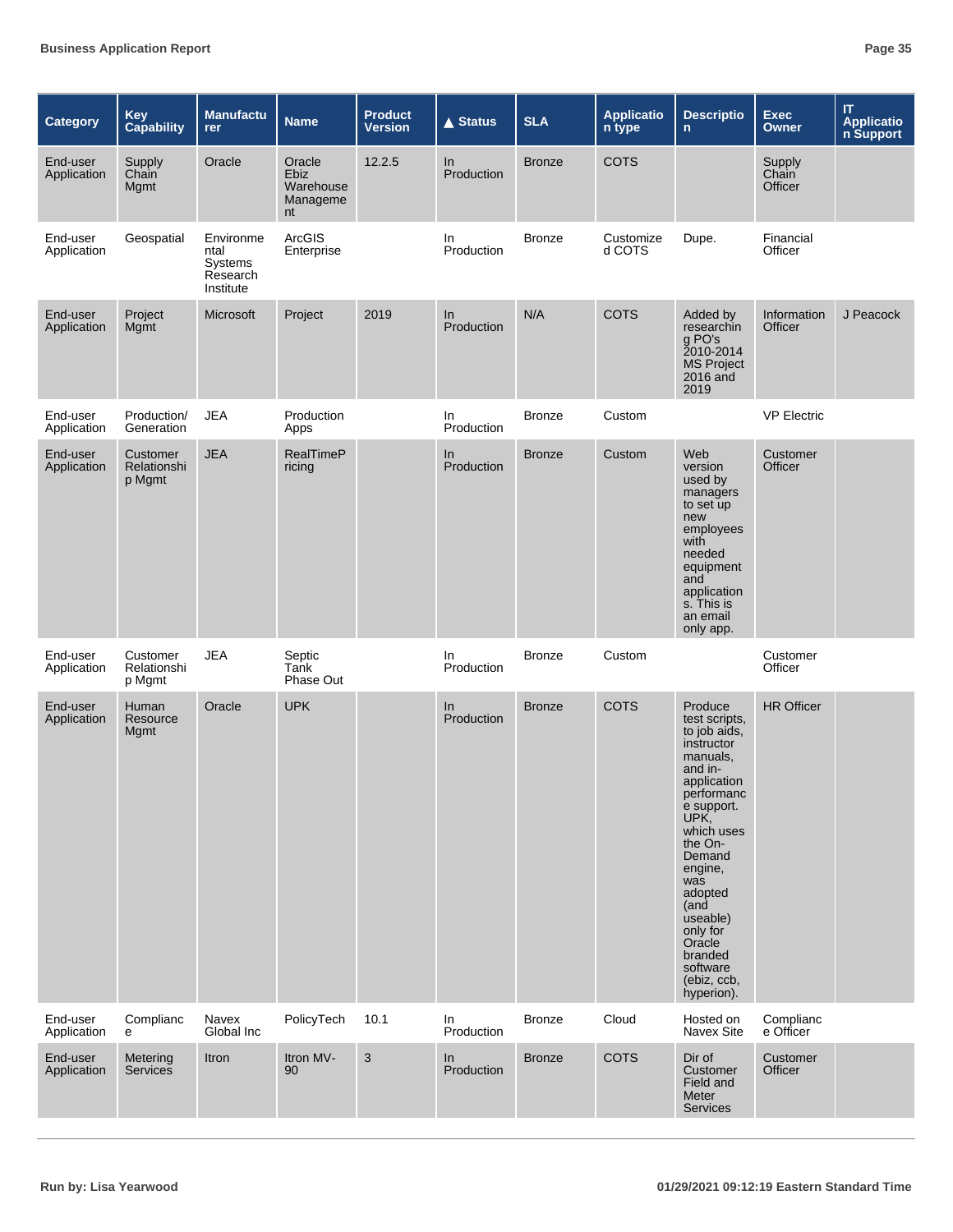| <b>Category</b>         | <b>Key</b><br>Capability          | <b>Manufactu</b><br>rer                               | <b>Name</b>                                   | Product<br><b>Version</b> | <b>▲ Status</b>  | <b>SLA</b>    | <b>Applicatio</b><br>n type | <b>Descriptio</b><br>n.                                                                                                                                                                                                                                                                        | <b>Exec</b><br>Owner       | IT<br><b>Applicatio</b><br>n Support |
|-------------------------|-----------------------------------|-------------------------------------------------------|-----------------------------------------------|---------------------------|------------------|---------------|-----------------------------|------------------------------------------------------------------------------------------------------------------------------------------------------------------------------------------------------------------------------------------------------------------------------------------------|----------------------------|--------------------------------------|
| End-user<br>Application | Supply<br>Chain<br>Mgmt           | Oracle                                                | Oracle<br>Ebiz<br>Warehouse<br>Manageme<br>nt | 12.2.5                    | In<br>Production | <b>Bronze</b> | <b>COTS</b>                 |                                                                                                                                                                                                                                                                                                | Supply<br>Chain<br>Officer |                                      |
| End-user<br>Application | Geospatial                        | Environme<br>ntal<br>Systems<br>Research<br>Institute | ArcGIS<br>Enterprise                          |                           | In<br>Production | <b>Bronze</b> | Customize<br>d COTS         | Dupe.                                                                                                                                                                                                                                                                                          | Financial<br>Officer       |                                      |
| End-user<br>Application | Project<br>Mgmt                   | Microsoft                                             | Project                                       | 2019                      | ln<br>Production | N/A           | <b>COTS</b>                 | Added by<br>researchin<br>g PO's<br>2010-2014<br><b>MS</b> Project<br>2016 and<br>2019                                                                                                                                                                                                         | Information<br>Officer     | J Peacock                            |
| End-user<br>Application | Production/<br>Generation         | <b>JEA</b>                                            | Production<br>Apps                            |                           | In<br>Production | <b>Bronze</b> | Custom                      |                                                                                                                                                                                                                                                                                                | <b>VP Electric</b>         |                                      |
| End-user<br>Application | Customer<br>Relationshi<br>p Mgmt | <b>JEA</b>                                            | RealTimeP<br>ricing                           |                           | In<br>Production | <b>Bronze</b> | Custom                      | Web<br>version<br>used by<br>managers<br>to set up<br>new<br>employees<br>with<br>needed<br>equipment<br>and<br>application<br>s. This is<br>an email<br>only app.                                                                                                                             | Customer<br>Officer        |                                      |
| End-user<br>Application | Customer<br>Relationshi<br>p Mgmt | <b>JEA</b>                                            | Septic<br>Tank<br>Phase Out                   |                           | In<br>Production | <b>Bronze</b> | Custom                      |                                                                                                                                                                                                                                                                                                | Customer<br>Officer        |                                      |
| End-user<br>Application | Human<br>Resource<br>Mgmt         | Oracle                                                | <b>UPK</b>                                    |                           | In<br>Production | <b>Bronze</b> | <b>COTS</b>                 | Produce<br>test scripts,<br>to job aids,<br>instructor<br>manuals,<br>and in-<br>application<br>performanc<br>e support.<br>UPK,<br>which uses<br>the On-<br>Demand<br>engine,<br>was<br>adopted<br>(and<br>useable)<br>only for<br>Oracle<br>branded<br>software<br>(ebiz, ccb,<br>hyperion). | <b>HR Officer</b>          |                                      |
| End-user<br>Application | Complianc<br>е                    | Navex<br>Global Inc                                   | PolicyTech                                    | 10.1                      | In<br>Production | <b>Bronze</b> | Cloud                       | Hosted on<br>Navex Site                                                                                                                                                                                                                                                                        | Complianc<br>e Officer     |                                      |
| End-user<br>Application | Metering<br><b>Services</b>       | Itron                                                 | Itron MV-<br>90                               | $\ensuremath{\mathsf{3}}$ | In<br>Production | <b>Bronze</b> | <b>COTS</b>                 | Dir of<br>Customer<br>Field and<br>Meter<br><b>Services</b>                                                                                                                                                                                                                                    | Customer<br>Officer        |                                      |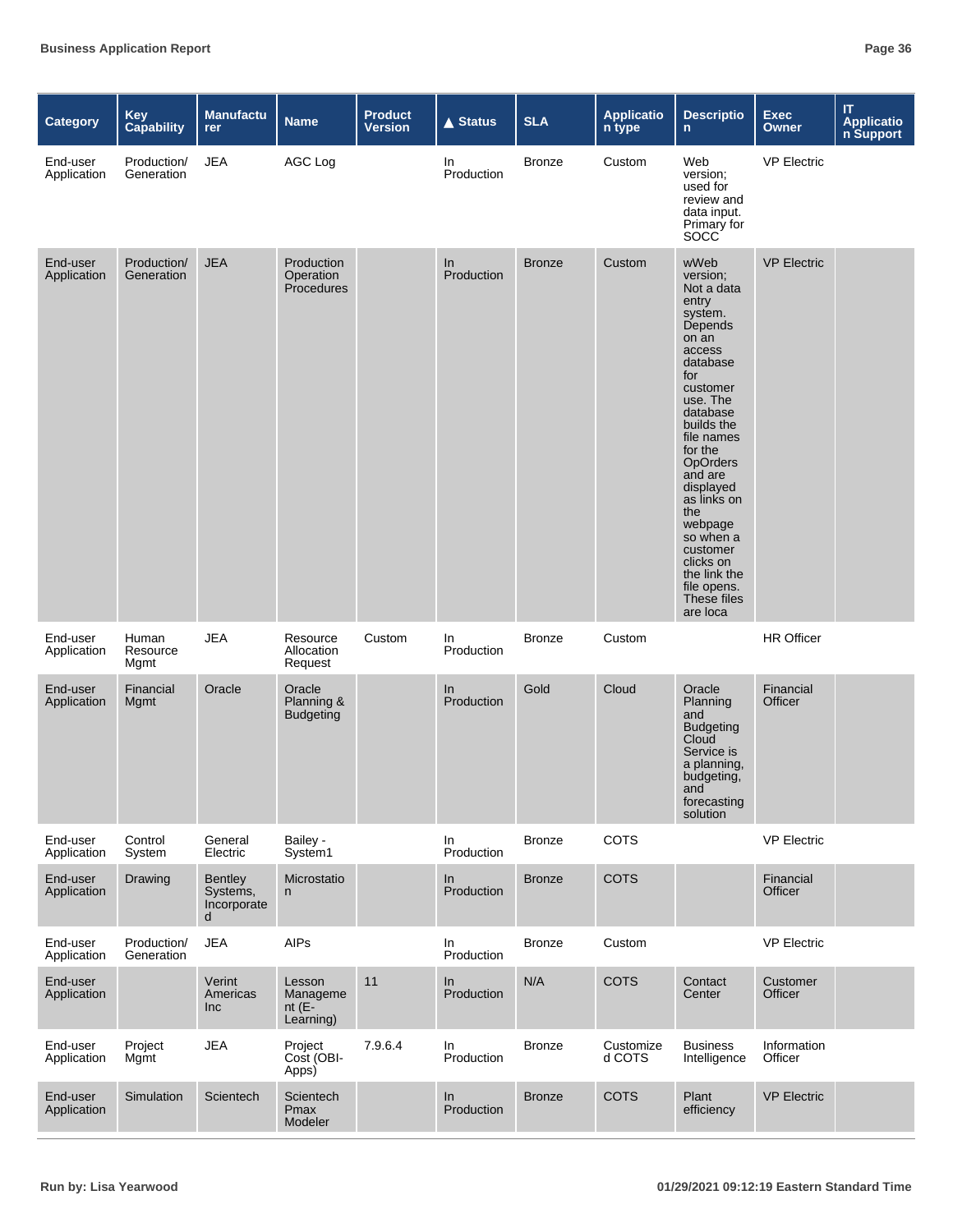| <b>Category</b>         | <b>Key</b><br><b>Capability</b> | <b>Manufactu</b><br><b>rer</b>                 | <b>Name</b>                                 | <b>Product</b><br><b>Version</b> | <b>▲ Status</b>  | <b>SLA</b>    | <b>Applicatio</b><br>n type | <b>Descriptio</b><br>n.                                                                                                                                                                                                                                                                                                                                    | <b>Exec</b><br><b>Owner</b> | $\boldsymbol{\Pi}$<br><b>Application</b><br><b>n Support</b> |
|-------------------------|---------------------------------|------------------------------------------------|---------------------------------------------|----------------------------------|------------------|---------------|-----------------------------|------------------------------------------------------------------------------------------------------------------------------------------------------------------------------------------------------------------------------------------------------------------------------------------------------------------------------------------------------------|-----------------------------|--------------------------------------------------------------|
| End-user<br>Application | Production/<br>Generation       | <b>JEA</b>                                     | AGC Log                                     |                                  | In<br>Production | <b>Bronze</b> | Custom                      | Web<br>version;<br>used for<br>review and<br>data input.<br>Primary for<br><b>SOCC</b>                                                                                                                                                                                                                                                                     | <b>VP Electric</b>          |                                                              |
| End-user<br>Application | Production/<br>Generation       | <b>JEA</b>                                     | Production<br>Operation<br>Procedures       |                                  | In<br>Production | <b>Bronze</b> | Custom                      | wWeb<br>version;<br>Not a data<br>entry<br>system.<br>Depends<br>on an<br>access<br>database<br>for<br>customer<br>use. The<br>database<br>builds the<br>file names<br>for the<br><b>OpOrders</b><br>and are<br>displayed<br>as links on<br>the<br>webpage<br>so when a<br>customer<br>clicks on<br>the link the<br>file opens.<br>These files<br>are loca | <b>VP Electric</b>          |                                                              |
| End-user<br>Application | Human<br>Resource<br>Mgmt       | <b>JEA</b>                                     | Resource<br>Allocation<br>Request           | Custom                           | In<br>Production | <b>Bronze</b> | Custom                      |                                                                                                                                                                                                                                                                                                                                                            | <b>HR Officer</b>           |                                                              |
| End-user<br>Application | Financial<br>Mgmt               | Oracle                                         | Oracle<br>Planning &<br><b>Budgeting</b>    |                                  | In<br>Production | Gold          | Cloud                       | Oracle<br>Planning<br>and<br><b>Budgeting</b><br>Cloud<br>Service is<br>a planning,<br>budgeting,<br>and<br>forecasting<br>solution                                                                                                                                                                                                                        | Financial<br>Officer        |                                                              |
| End-user<br>Application | Control<br>System               | General<br>Electric                            | Bailey -<br>System1                         |                                  | In<br>Production | <b>Bronze</b> | COTS                        |                                                                                                                                                                                                                                                                                                                                                            | <b>VP Electric</b>          |                                                              |
| End-user<br>Application | Drawing                         | <b>Bentley</b><br>Systems,<br>Incorporate<br>d | Microstatio<br>n                            |                                  | In<br>Production | <b>Bronze</b> | COTS                        |                                                                                                                                                                                                                                                                                                                                                            | Financial<br>Officer        |                                                              |
| End-user<br>Application | Production/<br>Generation       | <b>JEA</b>                                     | AIPs                                        |                                  | In<br>Production | <b>Bronze</b> | Custom                      |                                                                                                                                                                                                                                                                                                                                                            | <b>VP Electric</b>          |                                                              |
| End-user<br>Application |                                 | Verint<br>Americas<br><b>Inc</b>               | Lesson<br>Manageme<br>nt $(E-$<br>Learning) | 11                               | ln<br>Production | N/A           | <b>COTS</b>                 | Contact<br>Center                                                                                                                                                                                                                                                                                                                                          | Customer<br>Officer         |                                                              |
| End-user<br>Application | Project<br>Mgmt                 | <b>JEA</b>                                     | Project<br>Cost (OBI-<br>Apps)              | 7.9.6.4                          | In<br>Production | <b>Bronze</b> | Customize<br>d COTS         | <b>Business</b><br>Intelligence                                                                                                                                                                                                                                                                                                                            | Information<br>Officer      |                                                              |
| End-user<br>Application | Simulation                      | Scientech                                      | Scientech<br>Pmax<br>Modeler                |                                  | In<br>Production | <b>Bronze</b> | <b>COTS</b>                 | Plant<br>efficiency                                                                                                                                                                                                                                                                                                                                        | <b>VP Electric</b>          |                                                              |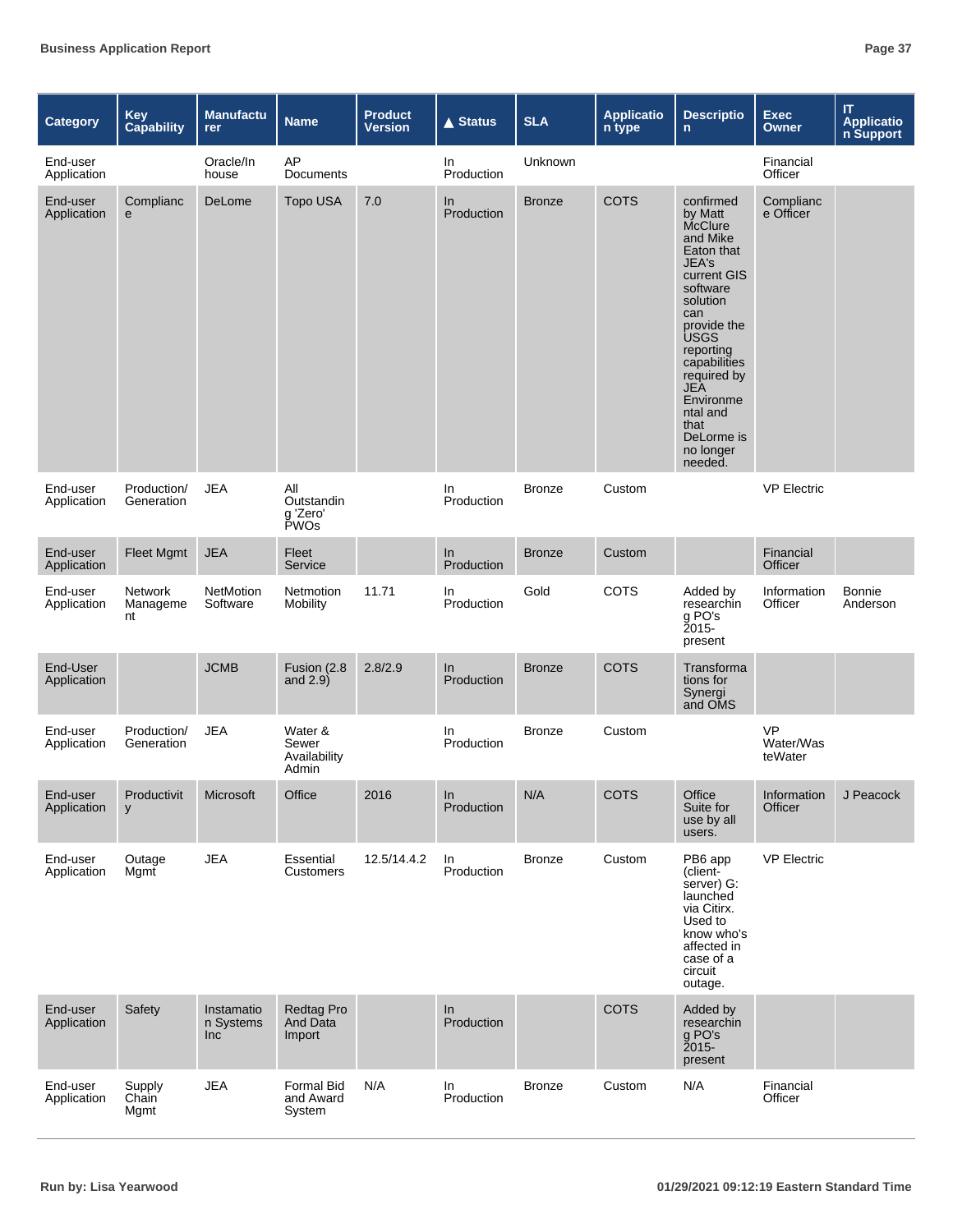| <b>Category</b>         | <b>Key</b><br><b>Capability</b> | <b>Manufactu</b><br>rer        | <b>Name</b>                               | <b>Product</b><br><b>Version</b> | <b>▲ Status</b>   | <b>SLA</b>    | <b>Applicatio</b><br>n type | <b>Descriptio</b><br>$\mathsf{n}$                                                                                                                                                                                                                                               | <b>Exec</b><br><b>Owner</b>       | $\boldsymbol{\Pi}$<br><b>Applicatio</b><br>n Support |
|-------------------------|---------------------------------|--------------------------------|-------------------------------------------|----------------------------------|-------------------|---------------|-----------------------------|---------------------------------------------------------------------------------------------------------------------------------------------------------------------------------------------------------------------------------------------------------------------------------|-----------------------------------|------------------------------------------------------|
| End-user<br>Application |                                 | Oracle/In<br>house             | AP<br>Documents                           |                                  | In<br>Production  | Unknown       |                             |                                                                                                                                                                                                                                                                                 | Financial<br>Officer              |                                                      |
| End-user<br>Application | Complianc<br>e                  | DeLome                         | <b>Topo USA</b>                           | 7.0                              | In<br>Production  | <b>Bronze</b> | <b>COTS</b>                 | confirmed<br>by Matt<br>McClure<br>and Mike<br>Eaton that<br>JEA's<br>current GIS<br>software<br>solution<br>can<br>provide the<br><b>USGS</b><br>reporting<br>capabilities<br>required by<br><b>JEA</b><br>Environme<br>ntal and<br>that<br>DeLorme is<br>no longer<br>needed. | Complianc<br>e Officer            |                                                      |
| End-user<br>Application | Production/<br>Generation       | <b>JEA</b>                     | All<br>Outstandin<br>g 'Zero'<br>PWOs     |                                  | In.<br>Production | <b>Bronze</b> | Custom                      |                                                                                                                                                                                                                                                                                 | <b>VP Electric</b>                |                                                      |
| End-user<br>Application | Fleet Mgmt                      | <b>JEA</b>                     | Fleet<br>Service                          |                                  | In<br>Production  | <b>Bronze</b> | Custom                      |                                                                                                                                                                                                                                                                                 | Financial<br>Officer              |                                                      |
| End-user<br>Application | Network<br>Manageme<br>nt       | NetMotion<br>Software          | Netmotion<br>Mobility                     | 11.71                            | In<br>Production  | Gold          | COTS                        | Added by<br>researchin<br>g PO's<br>2015-<br>present                                                                                                                                                                                                                            | Information<br>Officer            | <b>Bonnie</b><br>Anderson                            |
| End-User<br>Application |                                 | <b>JCMB</b>                    | Fusion (2.8<br>and $2.9$ )                | 2.8/2.9                          | In<br>Production  | <b>Bronze</b> | <b>COTS</b>                 | Transforma<br>tions for<br>Synergi<br>and OMS                                                                                                                                                                                                                                   |                                   |                                                      |
| End-user<br>Application | Production/<br>Generation       | <b>JEA</b>                     | Water &<br>Sewer<br>Availability<br>Admin |                                  | In<br>Production  | <b>Bronze</b> | Custom                      |                                                                                                                                                                                                                                                                                 | <b>VP</b><br>Water/Was<br>teWater |                                                      |
| End-user<br>Application | Productivit<br>y                | Microsoft                      | Office                                    | 2016                             | In<br>Production  | N/A           | COTS                        | Office<br>Suite for<br>use by all<br>users.                                                                                                                                                                                                                                     | Information<br>Officer            | J Peacock                                            |
| End-user<br>Application | Outage<br>Mgmt                  | <b>JEA</b>                     | Essential<br><b>Customers</b>             | 12.5/14.4.2                      | In<br>Production  | <b>Bronze</b> | Custom                      | PB6 app<br>(client-<br>server) G:<br>launched<br>via Citirx.<br>Used to<br>know who's<br>affected in<br>case of a<br>circuit<br>outage.                                                                                                                                         | <b>VP Electric</b>                |                                                      |
| End-user<br>Application | Safety                          | Instamatio<br>n Systems<br>Inc | Redtag Pro<br>And Data<br>Import          |                                  | In<br>Production  |               | <b>COTS</b>                 | Added by<br>researchin<br>g PO's<br>$2015 -$<br>present                                                                                                                                                                                                                         |                                   |                                                      |
| End-user<br>Application | Supply<br>Chain<br>Mgmt         | <b>JEA</b>                     | Formal Bid<br>and Award<br>System         | N/A                              | In<br>Production  | <b>Bronze</b> | Custom                      | N/A                                                                                                                                                                                                                                                                             | Financial<br>Officer              |                                                      |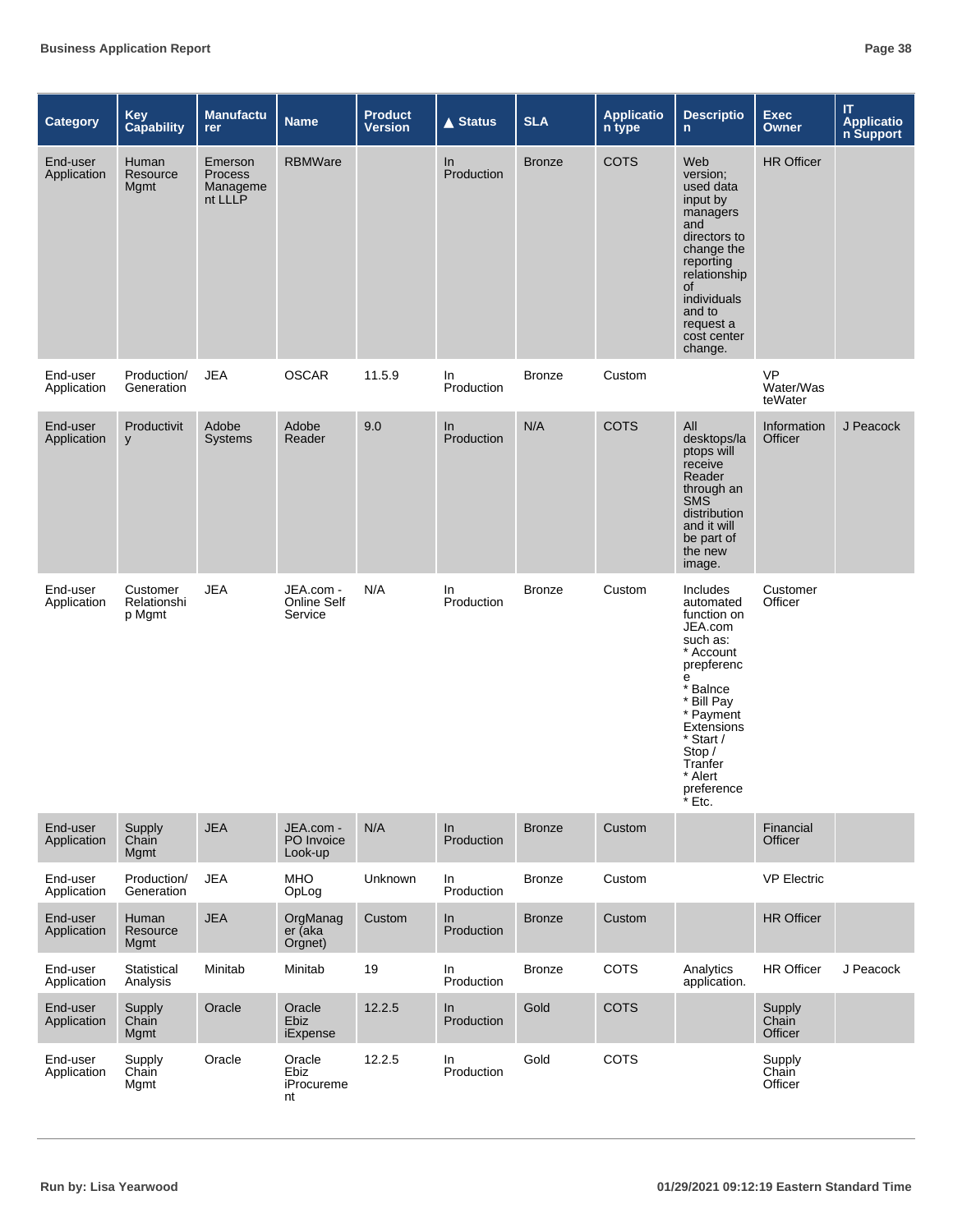| <b>Category</b>         | <b>Key</b><br><b>Capability</b>   | <b>Manufactu</b><br>rer                          | <b>Name</b>                         | <b>Product</b><br><b>Version</b> | <b>▲ Status</b>   | <b>SLA</b>    | <b>Applicatio</b><br>n type | <b>Descriptio</b><br>$\mathsf{n}$                                                                                                                                                                                     | <b>Exec</b><br><b>Owner</b>       | $\boldsymbol{\Pi}$<br>Applicatio<br>n Support |
|-------------------------|-----------------------------------|--------------------------------------------------|-------------------------------------|----------------------------------|-------------------|---------------|-----------------------------|-----------------------------------------------------------------------------------------------------------------------------------------------------------------------------------------------------------------------|-----------------------------------|-----------------------------------------------|
| End-user<br>Application | Human<br>Resource<br>Mgmt         | Emerson<br><b>Process</b><br>Manageme<br>nt LLLP | <b>RBMWare</b>                      |                                  | In<br>Production  | <b>Bronze</b> | <b>COTS</b>                 | Web<br>version;<br>used data<br>input by<br>managers<br>and<br>directors to<br>change the<br>reporting<br>relationship<br><b>of</b><br>individuals<br>and to<br>request a<br>cost center<br>change.                   | <b>HR Officer</b>                 |                                               |
| End-user<br>Application | Production/<br>Generation         | <b>JEA</b>                                       | <b>OSCAR</b>                        | 11.5.9                           | In.<br>Production | <b>Bronze</b> | Custom                      |                                                                                                                                                                                                                       | <b>VP</b><br>Water/Was<br>teWater |                                               |
| End-user<br>Application | Productivit<br><b>y</b>           | Adobe<br><b>Systems</b>                          | Adobe<br>Reader                     | 9.0                              | In<br>Production  | N/A           | <b>COTS</b>                 | All<br>desktops/la<br>ptops will<br>receive<br>Reader<br>through an<br><b>SMS</b><br>distribution<br>and it will<br>be part of<br>the new<br>image.                                                                   | Information<br>Officer            | J Peacock                                     |
| End-user<br>Application | Customer<br>Relationshi<br>p Mgmt | <b>JEA</b>                                       | JEA.com -<br>Online Self<br>Service | N/A                              | In.<br>Production | <b>Bronze</b> | Custom                      | Includes<br>automated<br>function on<br>JEA.com<br>such as:<br>* Account<br>prepferenc<br>е<br>* Balnce<br>* Bill Pay<br>* Payment<br>Extensions<br>* Start /<br>Stop /<br>Tranfer<br>* Alert<br>preference<br>* Etc. | Customer<br>Officer               |                                               |
| End-user<br>Application | Supply<br>Chain<br>Mgmt           | <b>JEA</b>                                       | JEA.com -<br>PO Invoice<br>Look-up  | N/A                              | ln<br>Production  | <b>Bronze</b> | Custom                      |                                                                                                                                                                                                                       | Financial<br>Officer              |                                               |
| End-user<br>Application | Production/<br>Generation         | <b>JEA</b>                                       | <b>MHO</b><br>OpLog                 | Unknown                          | In<br>Production  | <b>Bronze</b> | Custom                      |                                                                                                                                                                                                                       | <b>VP Electric</b>                |                                               |
| End-user<br>Application | Human<br>Resource<br>Mgmt         | <b>JEA</b>                                       | OrgManag<br>er (aka<br>Orgnet)      | Custom                           | In<br>Production  | <b>Bronze</b> | Custom                      |                                                                                                                                                                                                                       | <b>HR Officer</b>                 |                                               |
| End-user<br>Application | <b>Statistical</b><br>Analysis    | Minitab                                          | Minitab                             | 19                               | In<br>Production  | <b>Bronze</b> | <b>COTS</b>                 | Analytics<br>application.                                                                                                                                                                                             | <b>HR Officer</b>                 | J Peacock                                     |
| End-user<br>Application | Supply<br>Chain<br>Mgmt           | Oracle                                           | Oracle<br>Ebiz<br>iExpense          | 12.2.5                           | In<br>Production  | Gold          | COTS                        |                                                                                                                                                                                                                       | Supply<br>Chain<br>Officer        |                                               |
| End-user<br>Application | Supply<br>Chain<br>Mgmt           | Oracle                                           | Oracle<br>Ebiz<br>iProcureme<br>nt  | 12.2.5                           | In<br>Production  | Gold          | <b>COTS</b>                 |                                                                                                                                                                                                                       | Supply<br>Chain<br>Officer        |                                               |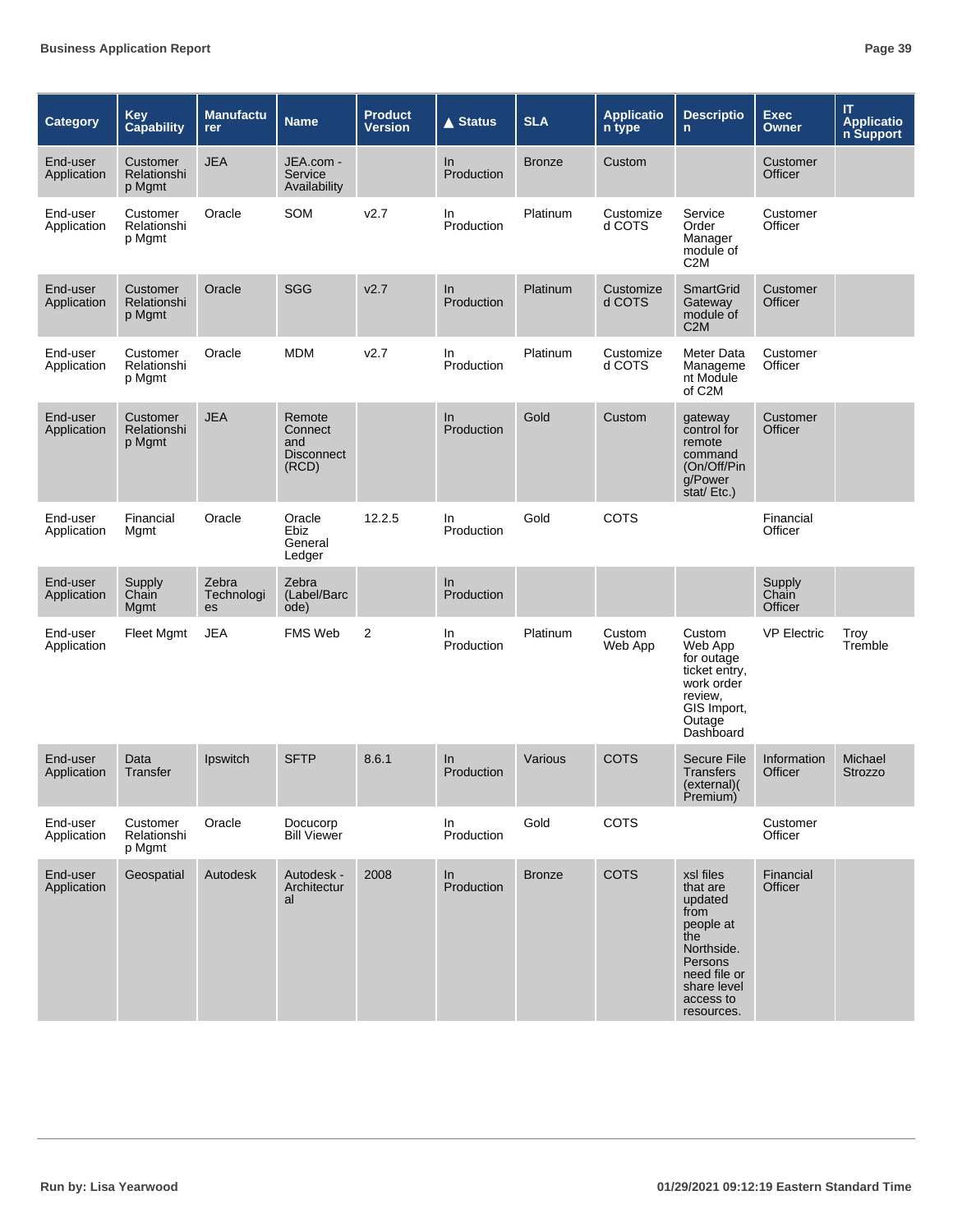| Category                | <b>Key</b><br><b>Capability</b>   | <b>Manufactu</b><br>rer          | <b>Name</b>                                            | <b>Product</b><br><b>Version</b> | $\triangle$ Status  | <b>SLA</b>    | <b>Applicatio</b><br>n type | <b>Descriptio</b><br>$\mathsf{n}$                                                                                                               | <b>Exec</b><br><b>Owner</b> | IT<br><b>Applicatio</b><br>n Support |
|-------------------------|-----------------------------------|----------------------------------|--------------------------------------------------------|----------------------------------|---------------------|---------------|-----------------------------|-------------------------------------------------------------------------------------------------------------------------------------------------|-----------------------------|--------------------------------------|
| End-user<br>Application | Customer<br>Relationshi<br>p Mgmt | <b>JEA</b>                       | JEA.com -<br>Service<br>Availability                   |                                  | In.<br>Production   | <b>Bronze</b> | Custom                      |                                                                                                                                                 | Customer<br>Officer         |                                      |
| End-user<br>Application | Customer<br>Relationshi<br>p Mgmt | Oracle                           | SOM                                                    | v2.7                             | In.<br>Production   | Platinum      | Customize<br>d COTS         | Service<br>Order<br>Manager<br>module of<br>C <sub>2</sub> M                                                                                    | Customer<br>Officer         |                                      |
| End-user<br>Application | Customer<br>Relationshi<br>p Mgmt | Oracle                           | <b>SGG</b>                                             | v2.7                             | In<br>Production    | Platinum      | Customize<br>d COTS         | <b>SmartGrid</b><br>Gateway<br>module of<br>C2M                                                                                                 | Customer<br>Officer         |                                      |
| End-user<br>Application | Customer<br>Relationshi<br>p Mgmt | Oracle                           | <b>MDM</b>                                             | V <sub>2.7</sub>                 | In<br>Production    | Platinum      | Customize<br>d COTS         | Meter Data<br>Manageme<br>nt Module<br>of C2M                                                                                                   | Customer<br>Officer         |                                      |
| End-user<br>Application | Customer<br>Relationshi<br>p Mgmt | <b>JEA</b>                       | Remote<br>Connect<br>and<br><b>Disconnect</b><br>(RCD) |                                  | In<br>Production    | Gold          | Custom                      | gateway<br>control for<br>remote<br>command<br>(On/Off/Pin<br>g/Power<br>stat/Etc.)                                                             | Customer<br>Officer         |                                      |
| End-user<br>Application | Financial<br>Mgmt                 | Oracle                           | Oracle<br>Ebiz<br>General<br>Ledger                    | 12.2.5                           | In.<br>Production   | Gold          | COTS                        |                                                                                                                                                 | Financial<br>Officer        |                                      |
| End-user<br>Application | Supply<br>Chain<br>Mgmt           | Zebra<br>Technologi<br><b>es</b> | Zebra<br>(Label/Barc<br>ode)                           |                                  | ln<br>Production    |               |                             |                                                                                                                                                 | Supply<br>Chain<br>Officer  |                                      |
| End-user<br>Application | <b>Fleet Mgmt</b>                 | <b>JEA</b>                       | FMS Web                                                | $\overline{2}$                   | In.<br>Production   | Platinum      | Custom<br>Web App           | Custom<br>Web App<br>for outage<br>ticket entry,<br>work order<br>review,<br>GIS Import,<br>Outage<br>Dashboard                                 | <b>VP Electric</b>          | Troy<br>Tremble                      |
| End-user<br>Application | Data<br>Transfer                  | Ipswitch                         | <b>SFTP</b>                                            | 8.6.1                            | $\ln$<br>Production | Various       | <b>COTS</b>                 | <b>Secure File</b><br><b>Transfers</b><br>(external)<br>Premium)                                                                                | Information<br>Officer      | Michael<br><b>Strozzo</b>            |
| End-user<br>Application | Customer<br>Relationshi<br>p Mgmt | Oracle                           | Docucorp<br><b>Bill Viewer</b>                         |                                  | In<br>Production    | Gold          | COTS                        |                                                                                                                                                 | Customer<br>Officer         |                                      |
| End-user<br>Application | Geospatial                        | Autodesk                         | Autodesk -<br>Architectur<br>al                        | 2008                             | In<br>Production    | <b>Bronze</b> | COTS                        | xsl files<br>that are<br>updated<br>from<br>people at<br>the<br>Northside.<br>Persons<br>need file or<br>share level<br>access to<br>resources. | Financial<br>Officer        |                                      |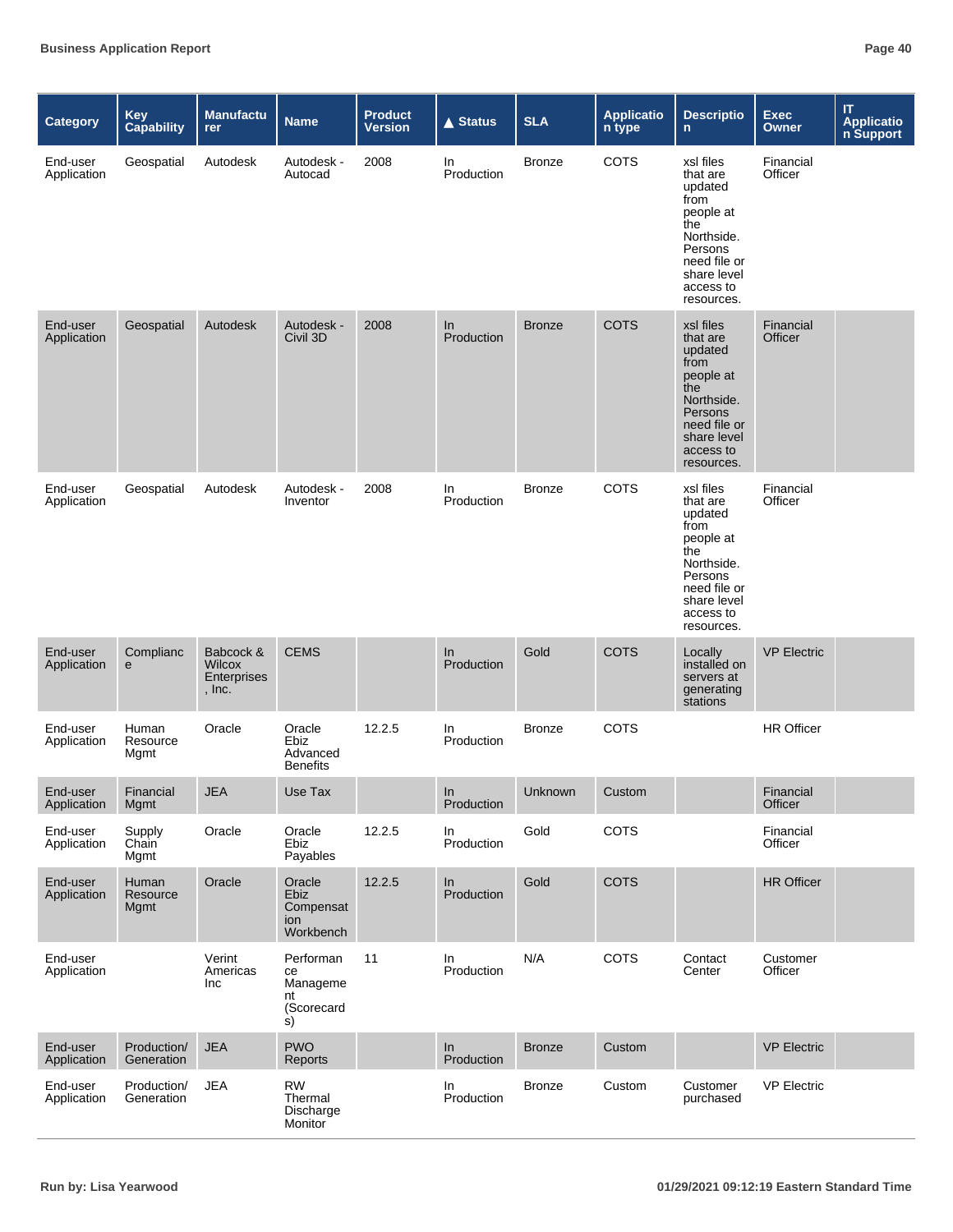| <b>Category</b>         | Key<br><b>Capability</b>         | <b>Manufactu</b><br>rer                      | <b>Name</b>                                               | <b>Product</b><br><b>Version</b> | <b>▲ Status</b>  | <b>SLA</b>    | <b>Applicatio</b><br>n type | <b>Descriptio</b><br>$\mathsf{n}$                                                                                                               | <b>Exec</b><br>Owner | $\mathsf{I} \mathsf{T}$<br><b>Application</b><br><b>n Support</b> |
|-------------------------|----------------------------------|----------------------------------------------|-----------------------------------------------------------|----------------------------------|------------------|---------------|-----------------------------|-------------------------------------------------------------------------------------------------------------------------------------------------|----------------------|-------------------------------------------------------------------|
| End-user<br>Application | Geospatial                       | Autodesk                                     | Autodesk -<br>Autocad                                     | 2008                             | In<br>Production | <b>Bronze</b> | COTS                        | xsl files<br>that are<br>updated<br>from<br>people at<br>the<br>Northside.<br>Persons<br>need file or<br>share level<br>access to<br>resources. | Financial<br>Officer |                                                                   |
| End-user<br>Application | Geospatial                       | Autodesk                                     | Autodesk -<br>Civil 3D                                    | 2008                             | ln<br>Production | <b>Bronze</b> | <b>COTS</b>                 | xsl files<br>that are<br>updated<br>from<br>people at<br>the<br>Northside.<br>Persons<br>need file or<br>share level<br>access to<br>resources. | Financial<br>Officer |                                                                   |
| End-user<br>Application | Geospatial                       | Autodesk                                     | Autodesk -<br>Inventor                                    | 2008                             | In<br>Production | <b>Bronze</b> | <b>COTS</b>                 | xsl files<br>that are<br>updated<br>from<br>people at<br>the<br>Northside.<br>Persons<br>need file or<br>share level<br>access to<br>resources. | Financial<br>Officer |                                                                   |
| End-user<br>Application | Complianc<br>e                   | Babcock &<br>Wilcox<br>Enterprises<br>, Inc. | <b>CEMS</b>                                               |                                  | In<br>Production | Gold          | <b>COTS</b>                 | Locally<br>installed on<br>servers at<br>generating<br>stations                                                                                 | <b>VP Electric</b>   |                                                                   |
| End-user<br>Application | Human<br>Resource<br>Mgmt        | Oracle                                       | Oracle<br>Ebiz<br>Advanced<br><b>Benefits</b>             | 12.2.5                           | In<br>Production | <b>Bronze</b> | <b>COTS</b>                 |                                                                                                                                                 | <b>HR Officer</b>    |                                                                   |
| End-user<br>Application | Financial<br>Mgmt                | <b>JEA</b>                                   | Use Tax                                                   |                                  | In<br>Production | Unknown       | Custom                      |                                                                                                                                                 | Financial<br>Officer |                                                                   |
| End-user<br>Application | Supply<br>Chain<br>Mgmt          | Oracle                                       | Oracle<br>Ebiz<br>Payables                                | 12.2.5                           | In<br>Production | Gold          | COTS                        |                                                                                                                                                 | Financial<br>Officer |                                                                   |
| End-user<br>Application | <b>Human</b><br>Resource<br>Mgmt | Oracle                                       | Oracle<br>Ebiz<br>Compensat<br>ion<br>Workbench           | 12.2.5                           | In<br>Production | Gold          | <b>COTS</b>                 |                                                                                                                                                 | <b>HR Officer</b>    |                                                                   |
| End-user<br>Application |                                  | Verint<br>Americas<br>Inc                    | Performan<br>ce<br>Manageme<br>nt<br>(Scorecard<br>s)     | 11                               | In<br>Production | N/A           | COTS                        | Contact<br>Center                                                                                                                               | Customer<br>Officer  |                                                                   |
| End-user<br>Application | Production/<br>Generation        | <b>JEA</b>                                   | <b>PWO</b><br>Reports                                     |                                  | In<br>Production | <b>Bronze</b> | Custom                      |                                                                                                                                                 | <b>VP Electric</b>   |                                                                   |
| End-user<br>Application | Production/<br>Generation        | <b>JEA</b>                                   | <b>RW</b><br>Thermal<br>Discharge<br>Monitor <sup>1</sup> |                                  | In<br>Production | <b>Bronze</b> | Custom                      | Customer<br>purchased                                                                                                                           | <b>VP Electric</b>   |                                                                   |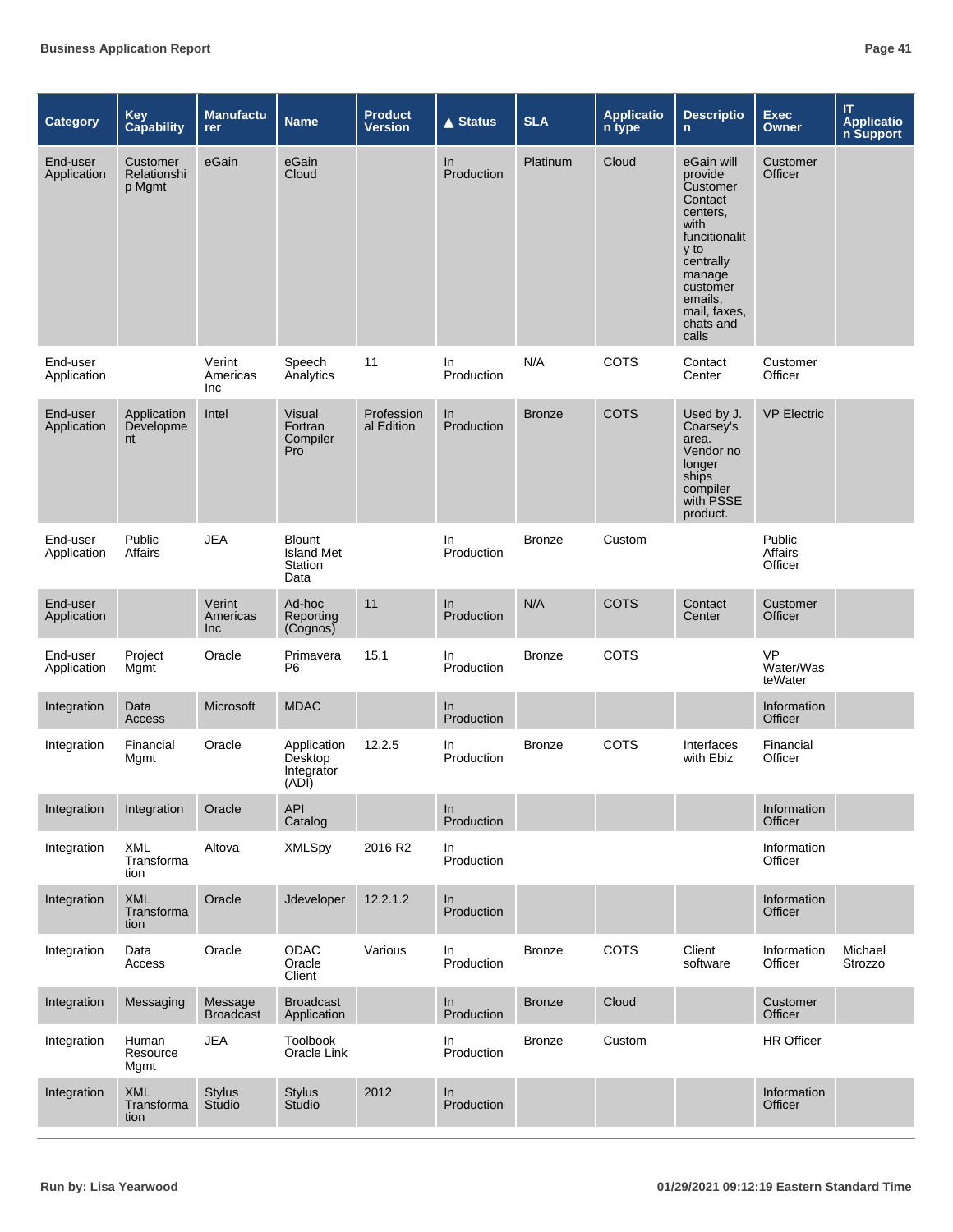| <b>Category</b>         | <b>Key</b><br><b>Capability</b>   | <b>Manufactu</b><br><b>rer</b> | <b>Name</b>                                           | <b>Product</b><br><b>Version</b> | <b>▲ Status</b>     | <b>SLA</b>    | <b>Applicatio</b><br>n type | <b>Descriptio</b><br>n.                                                                                                                                                       | <b>Exec</b><br><b>Owner</b>       | IT<br><b>Applicatio</b><br>n Support |
|-------------------------|-----------------------------------|--------------------------------|-------------------------------------------------------|----------------------------------|---------------------|---------------|-----------------------------|-------------------------------------------------------------------------------------------------------------------------------------------------------------------------------|-----------------------------------|--------------------------------------|
| End-user<br>Application | Customer<br>Relationshi<br>p Mgmt | eGain                          | eGain<br>Cloud                                        |                                  | In<br>Production    | Platinum      | Cloud                       | eGain will<br>provide<br>Customer<br>Contact<br>centers,<br>with<br>funcitionalit<br>y to<br>centrally<br>manage<br>customer<br>emails,<br>mail, faxes,<br>chats and<br>calls | Customer<br>Officer               |                                      |
| End-user<br>Application |                                   | Verint<br>Americas<br>Inc      | Speech<br>Analytics                                   | 11                               | In<br>Production    | N/A           | COTS                        | Contact<br>Center                                                                                                                                                             | Customer<br>Officer               |                                      |
| End-user<br>Application | Application<br>Developme<br>nt    | Intel                          | Visual<br>Fortran<br>Compiler<br>Pro                  | Profession<br>al Edition         | In<br>Production    | <b>Bronze</b> | <b>COTS</b>                 | Used by J.<br>Coarsey's<br>area.<br>Vendor no<br>longer<br>ships<br>compiler<br>with PSSE<br>product.                                                                         | <b>VP Electric</b>                |                                      |
| End-user<br>Application | Public<br>Affairs                 | <b>JEA</b>                     | <b>Blount</b><br><b>Island Met</b><br>Station<br>Data |                                  | In<br>Production    | <b>Bronze</b> | Custom                      |                                                                                                                                                                               | Public<br>Affairs<br>Officer      |                                      |
| End-user<br>Application |                                   | Verint<br>Americas<br>Inc.     | Ad-hoc<br>Reporting<br>(Cognos)                       | 11                               | $\ln$<br>Production | N/A           | <b>COTS</b>                 | Contact<br>Center                                                                                                                                                             | Customer<br>Officer               |                                      |
| End-user<br>Application | Project<br>Mgmt                   | Oracle                         | Primavera<br>P <sub>6</sub>                           | 15.1                             | In<br>Production    | <b>Bronze</b> | COTS                        |                                                                                                                                                                               | <b>VP</b><br>Water/Was<br>teWater |                                      |
| Integration             | Data<br>Access                    | <b>Microsoft</b>               | <b>MDAC</b>                                           |                                  | In<br>Production    |               |                             |                                                                                                                                                                               | Information<br>Officer            |                                      |
| Integration             | Financial<br>Mgmt                 | Oracle                         | Application<br>Desktop<br>Integrator<br>(ADI)         | 12.2.5                           | In<br>Production    | <b>Bronze</b> | COTS                        | Interfaces<br>with Ebiz                                                                                                                                                       | Financial<br>Officer              |                                      |
| Integration             | Integration                       | Oracle                         | API<br>Catalog                                        |                                  | In.<br>Production   |               |                             |                                                                                                                                                                               | Information<br>Officer            |                                      |
| Integration             | <b>XML</b><br>Transforma<br>tion  | Altova                         | <b>XMLSpy</b>                                         | 2016 R2                          | In<br>Production    |               |                             |                                                                                                                                                                               | Information<br>Officer            |                                      |
| Integration             | XML<br>Transforma<br>tion         | Oracle                         | Jdeveloper                                            | 12.2.1.2                         | In<br>Production    |               |                             |                                                                                                                                                                               | Information<br>Officer            |                                      |
| Integration             | Data<br>Access                    | Oracle                         | <b>ODAC</b><br>Oracle<br>Client                       | Various                          | In<br>Production    | <b>Bronze</b> | COTS                        | Client<br>software                                                                                                                                                            | Information<br>Officer            | Michael<br>Strozzo                   |
| Integration             | Messaging                         | Message<br><b>Broadcast</b>    | <b>Broadcast</b><br>Application                       |                                  | In<br>Production    | <b>Bronze</b> | Cloud                       |                                                                                                                                                                               | Customer<br>Officer               |                                      |
| Integration             | Human<br>Resource<br>Mgmt         | <b>JEA</b>                     | Toolbook<br>Oracle Link                               |                                  | In<br>Production    | <b>Bronze</b> | Custom                      |                                                                                                                                                                               | <b>HR Officer</b>                 |                                      |
| Integration             | <b>XML</b><br>Transforma<br>tion  | <b>Stylus</b><br>Studio        | <b>Stylus</b><br>Studio                               | 2012                             | In<br>Production    |               |                             |                                                                                                                                                                               | Information<br>Officer            |                                      |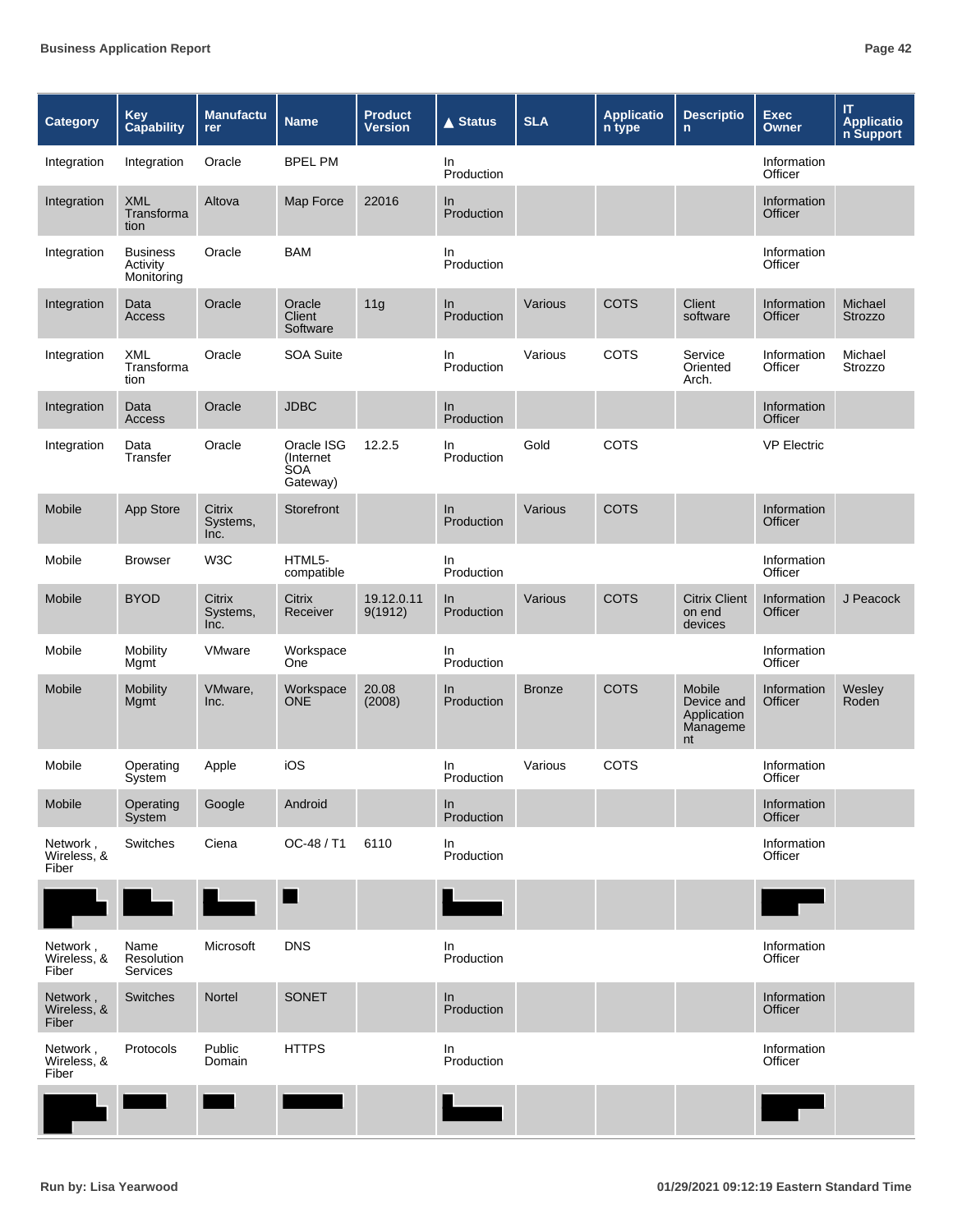| Category                         | <b>Key</b><br><b>Capability</b>           | <b>Manufactu</b><br>rer    | <b>Name</b>                                        | <b>Product</b><br><b>Version</b> | <b>▲ Status</b>   | <b>SLA</b>    | <b>Applicatio</b><br>n type | <b>Descriptio</b><br>$\mathsf{n}$                            | <b>Exec</b><br>Owner   | $\mathsf{I} \mathsf{T}$<br><b>Applicatio</b><br>n Support |
|----------------------------------|-------------------------------------------|----------------------------|----------------------------------------------------|----------------------------------|-------------------|---------------|-----------------------------|--------------------------------------------------------------|------------------------|-----------------------------------------------------------|
| Integration                      | Integration                               | Oracle                     | <b>BPEL PM</b>                                     |                                  | In.<br>Production |               |                             |                                                              | Information<br>Officer |                                                           |
| Integration                      | <b>XML</b><br>Transforma<br>tion          | Altova                     | Map Force                                          | 22016                            | In.<br>Production |               |                             |                                                              | Information<br>Officer |                                                           |
| Integration                      | <b>Business</b><br>Activity<br>Monitoring | Oracle                     | <b>BAM</b>                                         |                                  | In<br>Production  |               |                             |                                                              | Information<br>Officer |                                                           |
| Integration                      | Data<br>Access                            | Oracle                     | Oracle<br>Client<br>Software                       | 11g                              | In<br>Production  | Various       | <b>COTS</b>                 | Client<br>software                                           | Information<br>Officer | Michael<br><b>Strozzo</b>                                 |
| Integration                      | XML<br>Transforma<br>tion                 | Oracle                     | <b>SOA Suite</b>                                   |                                  | In.<br>Production | Various       | <b>COTS</b>                 | Service<br>Oriented<br>Arch.                                 | Information<br>Officer | Michael<br>Strozzo                                        |
| Integration                      | Data<br>Access                            | Oracle                     | <b>JDBC</b>                                        |                                  | In.<br>Production |               |                             |                                                              | Information<br>Officer |                                                           |
| Integration                      | Data<br>Transfer                          | Oracle                     | Oracle ISG<br>(Internet)<br><b>SOA</b><br>Gateway) | 12.2.5                           | In<br>Production  | Gold          | <b>COTS</b>                 |                                                              | <b>VP Electric</b>     |                                                           |
| Mobile                           | App Store                                 | Citrix<br>Systems,<br>Inc. | Storefront                                         |                                  | In<br>Production  | Various       | <b>COTS</b>                 |                                                              | Information<br>Officer |                                                           |
| Mobile                           | <b>Browser</b>                            | W3C                        | HTML5-<br>compatible                               |                                  | In<br>Production  |               |                             |                                                              | Information<br>Officer |                                                           |
| Mobile                           | <b>BYOD</b>                               | Citrix<br>Systems,<br>Inc. | Citrix<br>Receiver                                 | 19.12.0.11<br>9(1912)            | In<br>Production  | Various       | <b>COTS</b>                 | <b>Citrix Client</b><br>on end<br>devices                    | Information<br>Officer | J Peacock                                                 |
| Mobile                           | Mobility<br>Mgmt                          | VMware                     | Workspace<br>One                                   |                                  | In.<br>Production |               |                             |                                                              | Information<br>Officer |                                                           |
| Mobile                           | <b>Mobility</b><br>Mgmt                   | VMware,<br>Inc.            | Workspace<br><b>ONE</b>                            | 20.08<br>(2008)                  | In<br>Production  | <b>Bronze</b> | <b>COTS</b>                 | <b>Mobile</b><br>Device and<br>Application<br>Manageme<br>nt | Information<br>Officer | Wesley<br>Roden                                           |
| Mobile                           | Operating<br>System                       | Apple                      | iOS                                                |                                  | In.<br>Production | Various       | <b>COTS</b>                 |                                                              | Information<br>Officer |                                                           |
| Mobile                           | Operating<br><b>System</b>                | Google                     | Android                                            |                                  | In<br>Production  |               |                             |                                                              | Information<br>Officer |                                                           |
| Network,<br>Wireless, &<br>Fiber | Switches                                  | Ciena                      | OC-48 / T1                                         | 6110                             | In<br>Production  |               |                             |                                                              | Information<br>Officer |                                                           |
|                                  |                                           |                            |                                                    |                                  |                   |               |                             |                                                              |                        |                                                           |
| Network,<br>Wireless, &<br>Fiber | Name<br>Resolution<br><b>Services</b>     | Microsoft                  | <b>DNS</b>                                         |                                  | In<br>Production  |               |                             |                                                              | Information<br>Officer |                                                           |
| Network,<br>Wireless, &<br>Fiber | Switches                                  | Nortel                     | SONET                                              |                                  | In<br>Production  |               |                             |                                                              | Information<br>Officer |                                                           |
| Network,<br>Wireless, &<br>Fiber | Protocols                                 | Public<br>Domain           | <b>HTTPS</b>                                       |                                  | In<br>Production  |               |                             |                                                              | Information<br>Officer |                                                           |
|                                  |                                           |                            |                                                    |                                  |                   |               |                             |                                                              |                        |                                                           |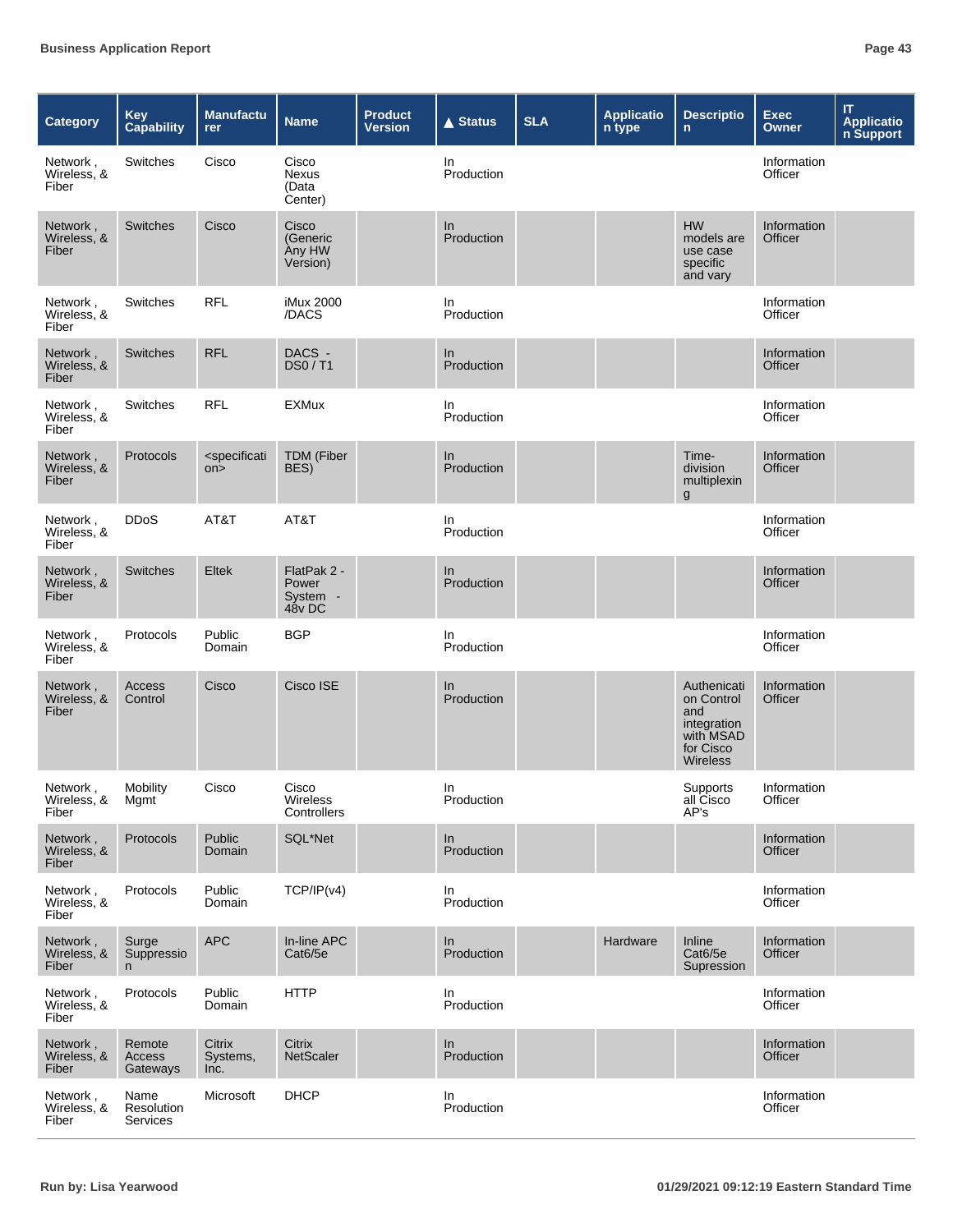| Category                         | <b>Key</b><br><b>Capability</b> | <b>Manufactu</b><br>rer             | <b>Name</b>                                | <b>Product</b><br><b>Version</b> | <b>▲ Status</b>   | <b>SLA</b> | <b>Applicatio</b><br>n type | <b>Descriptio</b><br>$\mathsf{n}$                                                            | <b>Exec</b><br><b>Owner</b> | IT<br><b>Application</b><br><b>n</b> Support |
|----------------------------------|---------------------------------|-------------------------------------|--------------------------------------------|----------------------------------|-------------------|------------|-----------------------------|----------------------------------------------------------------------------------------------|-----------------------------|----------------------------------------------|
| Network,<br>Wireless, &<br>Fiber | Switches                        | Cisco                               | Cisco<br>Nexus<br>(Data<br>Center)         |                                  | In<br>Production  |            |                             |                                                                                              | Information<br>Officer      |                                              |
| Network,<br>Wireless, &<br>Fiber | Switches                        | Cisco                               | Cisco<br>(Generic<br>Any HW<br>Version)    |                                  | In.<br>Production |            |                             | <b>HW</b><br>models are<br>use case<br>specific<br>and vary                                  | Information<br>Officer      |                                              |
| Network,<br>Wireless, &<br>Fiber | Switches                        | <b>RFL</b>                          | iMux 2000<br>/DACS                         |                                  | In<br>Production  |            |                             |                                                                                              | Information<br>Officer      |                                              |
| Network,<br>Wireless, &<br>Fiber | Switches                        | <b>RFL</b>                          | DACS -<br>DS0 / T1                         |                                  | In<br>Production  |            |                             |                                                                                              | Information<br>Officer      |                                              |
| Network,<br>Wireless, &<br>Fiber | Switches                        | <b>RFL</b>                          | <b>EXMux</b>                               |                                  | In<br>Production  |            |                             |                                                                                              | Information<br>Officer      |                                              |
| Network,<br>Wireless, &<br>Fiber | Protocols                       | <specificati<br>on</specificati<br> | <b>TDM</b> (Fiber<br>BES)                  |                                  | In<br>Production  |            |                             | Time-<br>division<br>multiplexin<br>$\boldsymbol{g}$                                         | Information<br>Officer      |                                              |
| Network,<br>Wireless, &<br>Fiber | <b>DDoS</b>                     | AT&T                                | AT&T                                       |                                  | In<br>Production  |            |                             |                                                                                              | Information<br>Officer      |                                              |
| Network,<br>Wireless, &<br>Fiber | <b>Switches</b>                 | Eltek                               | FlatPak 2 -<br>Power<br>System -<br>48v DC |                                  | In<br>Production  |            |                             |                                                                                              | Information<br>Officer      |                                              |
| Network,<br>Wireless, &<br>Fiber | Protocols                       | Public<br>Domain                    | <b>BGP</b>                                 |                                  | In<br>Production  |            |                             |                                                                                              | Information<br>Officer      |                                              |
| Network,<br>Wireless, &<br>Fiber | Access<br>Control               | Cisco                               | Cisco ISE                                  |                                  | In<br>Production  |            |                             | Authenicati<br>on Control<br>and<br>integration<br>with MSAD<br>for Cisco<br><b>Wireless</b> | Information<br>Officer      |                                              |
| Network,<br>Wireless, &<br>Fiber | Mobility<br>Mgmt                | Cisco                               | Cisco<br>Wireless<br>Controllers           |                                  | In<br>Production  |            |                             | Supports<br>all Cisco<br>AP's                                                                | Information<br>Officer      |                                              |
| Network,<br>Wireless, &<br>Fiber | Protocols                       | Public<br>Domain                    | SQL*Net                                    |                                  | In<br>Production  |            |                             |                                                                                              | Information<br>Officer      |                                              |
| Network,<br>Wireless, &<br>Fiber | Protocols                       | Public<br>Domain                    | TCP/IP(v4)                                 |                                  | In<br>Production  |            |                             |                                                                                              | Information<br>Officer      |                                              |
| Network,<br>Wireless, &<br>Fiber | Surge<br>Suppressio<br>n.       | <b>APC</b>                          | In-line APC<br>Cat6/5e                     |                                  | In<br>Production  |            | Hardware                    | Inline<br>Cat6/5e<br>Supression                                                              | Information<br>Officer      |                                              |
| Network,<br>Wireless, &<br>Fiber | Protocols                       | Public<br>Domain                    | <b>HTTP</b>                                |                                  | In<br>Production  |            |                             |                                                                                              | Information<br>Officer      |                                              |
| Network,<br>Wireless, &<br>Fiber | Remote<br>Access<br>Gateways    | Citrix<br>Systems,<br>Inc.          | Citrix<br><b>NetScaler</b>                 |                                  | In<br>Production  |            |                             |                                                                                              | Information<br>Officer      |                                              |
| Network,<br>Wireless, &<br>Fiber | Name<br>Resolution<br>Services  | Microsoft                           | <b>DHCP</b>                                |                                  | In<br>Production  |            |                             |                                                                                              | Information<br>Officer      |                                              |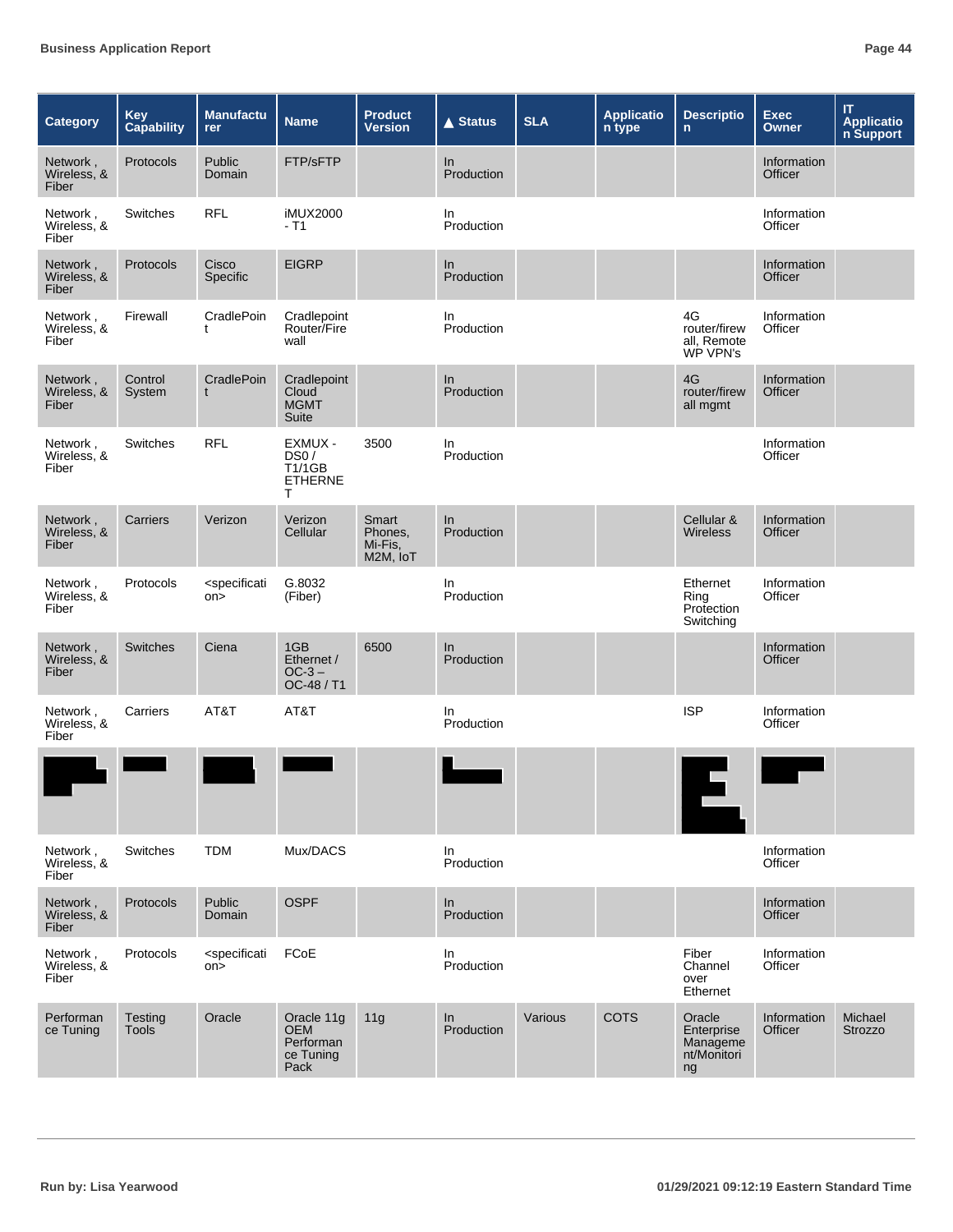| <b>Category</b>                  | Key<br><b>Capability</b> | <b>Manufactu</b><br>rer             | <b>Name</b>                                                | <b>Product</b><br><b>Version</b>        | $\triangle$ Status | <b>SLA</b> | <b>Applicatio</b><br>n type | <b>Descriptio</b><br>$\mathbf{n}$                       | <b>Exec</b><br><b>Owner</b>   | IT.<br><b>Applicatio</b><br>n Support |
|----------------------------------|--------------------------|-------------------------------------|------------------------------------------------------------|-----------------------------------------|--------------------|------------|-----------------------------|---------------------------------------------------------|-------------------------------|---------------------------------------|
| Network,<br>Wireless, &<br>Fiber | Protocols                | Public<br>Domain                    | FTP/sFTP                                                   |                                         | In.<br>Production  |            |                             |                                                         | Information<br><b>Officer</b> |                                       |
| Network,<br>Wireless, &<br>Fiber | Switches                 | <b>RFL</b>                          | <b>iMUX2000</b><br>$-$ T1                                  |                                         | In<br>Production   |            |                             |                                                         | Information<br>Officer        |                                       |
| Network,<br>Wireless, &<br>Fiber | Protocols                | Cisco<br>Specific                   | <b>EIGRP</b>                                               |                                         | In<br>Production   |            |                             |                                                         | Information<br>Officer        |                                       |
| Network,<br>Wireless, &<br>Fiber | Firewall                 | CradlePoin<br>t                     | Cradlepoint<br>Router/Fire<br>wall                         |                                         | In.<br>Production  |            |                             | 4G<br>router/firew<br>all, Remote<br>WP VPN's           | Information<br>Officer        |                                       |
| Network,<br>Wireless, &<br>Fiber | Control<br>System        | CradlePoin<br>t                     | Cradlepoint<br>Cloud<br><b>MGMT</b><br>Suite               |                                         | In<br>Production   |            |                             | 4G<br>router/firew<br>all mgmt                          | Information<br>Officer        |                                       |
| Network,<br>Wireless, &<br>Fiber | Switches                 | <b>RFL</b>                          | EXMUX -<br>DS0/<br><b>T1/1GB</b><br><b>ETHERNE</b><br>т    | 3500                                    | In<br>Production   |            |                             |                                                         | Information<br>Officer        |                                       |
| Network,<br>Wireless, &<br>Fiber | Carriers                 | Verizon                             | Verizon<br>Cellular                                        | Smart<br>Phones,<br>Mi-Fis,<br>M2M, IoT | In<br>Production   |            |                             | Cellular &<br>Wireless                                  | Information<br>Officer        |                                       |
| Network,<br>Wireless, &<br>Fiber | Protocols                | <specificati<br>on</specificati<br> | G.8032<br>(Fiber)                                          |                                         | In<br>Production   |            |                             | Ethernet<br>Ring<br>Protection<br>Switching             | Information<br>Officer        |                                       |
| Network,<br>Wireless, &<br>Fiber | Switches                 | Ciena                               | 1GB<br>Ethernet /<br>$OC-3$ –<br>OC-48 / T1                | 6500                                    | In<br>Production   |            |                             |                                                         | Information<br>Officer        |                                       |
| Network,<br>Wireless, &<br>Fiber | Carriers                 | AT&T                                | AT&T                                                       |                                         | In<br>Production   |            |                             | <b>ISP</b>                                              | Information<br>Officer        |                                       |
|                                  |                          |                                     |                                                            |                                         |                    |            |                             |                                                         |                               |                                       |
| Network,<br>Wireless, &<br>Fiber | Switches                 | <b>TDM</b>                          | Mux/DACS                                                   |                                         | In<br>Production   |            |                             |                                                         | Information<br>Officer        |                                       |
| Network,<br>Wireless, &<br>Fiber | Protocols                | Public<br>Domain                    | <b>OSPF</b>                                                |                                         | In<br>Production   |            |                             |                                                         | Information<br>Officer        |                                       |
| Network,<br>Wireless, &<br>Fiber | Protocols                | <specificati<br>on</specificati<br> | FCoE                                                       |                                         | In<br>Production   |            |                             | Fiber<br>Channel<br>over<br>Ethernet                    | Information<br>Officer        |                                       |
| Performan<br>ce Tuning           | Testing<br>Tools         | Oracle                              | Oracle 11g<br><b>OEM</b><br>Performan<br>ce Tuning<br>Pack | 11g                                     | ln<br>Production   | Various    | <b>COTS</b>                 | Oracle<br>Enterprise<br>Manageme<br>nt/Monitori<br>$ng$ | Information<br>Officer        | Michael<br><b>Strozzo</b>             |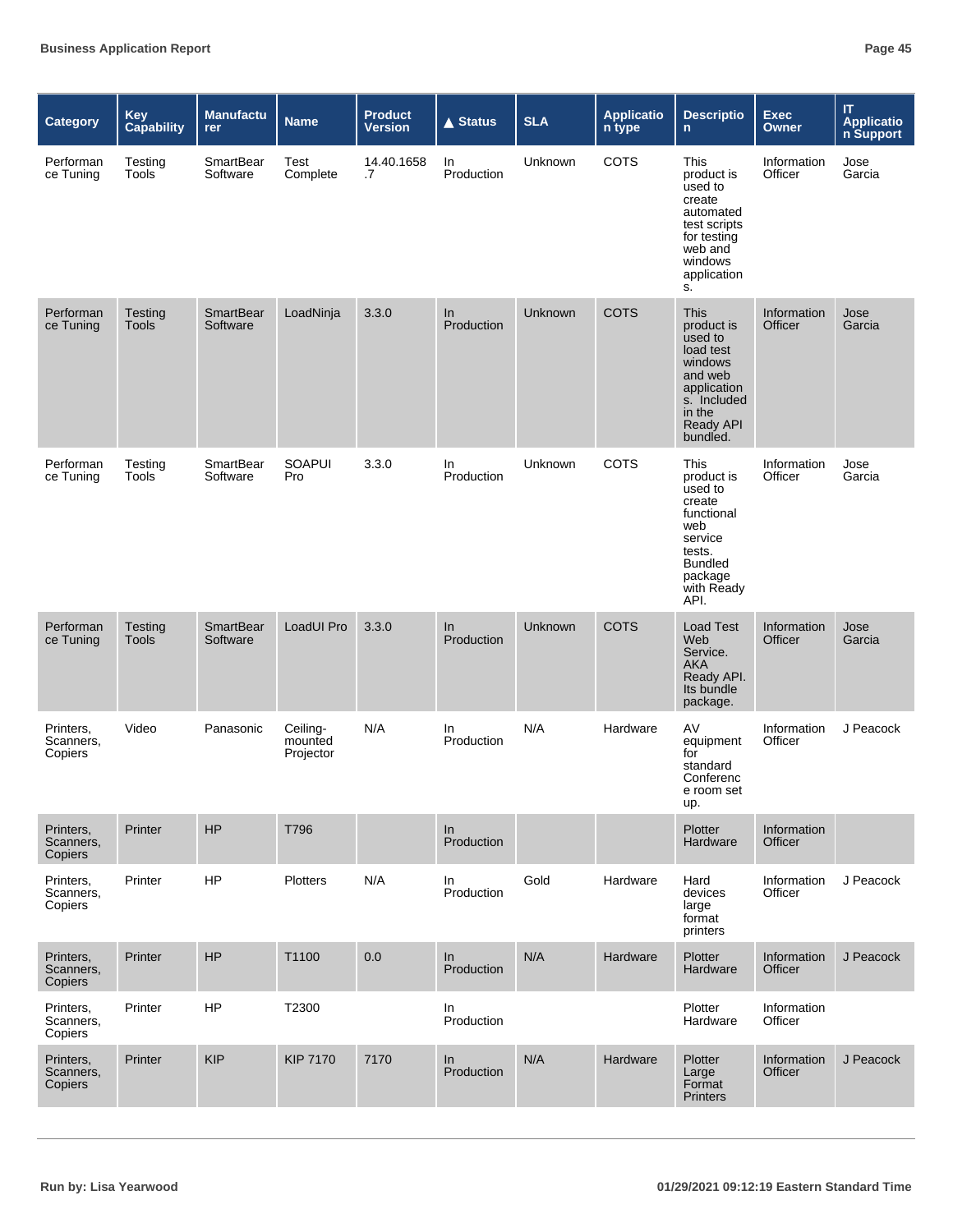| Category                                 | Key<br><b>Capability</b> | <b>Manufactu</b><br>rer      | <b>Name</b>                      | <b>Product</b><br><b>Version</b> | $\triangle$ Status | <b>SLA</b>     | <b>Applicatio</b><br>n type | <b>Descriptio</b><br>n.                                                                                                                         | <b>Exec</b><br><b>Owner</b> | IT<br><b>Applicatio</b><br>n Support |
|------------------------------------------|--------------------------|------------------------------|----------------------------------|----------------------------------|--------------------|----------------|-----------------------------|-------------------------------------------------------------------------------------------------------------------------------------------------|-----------------------------|--------------------------------------|
| Performan<br>ce Tuning                   | Testing<br>Tools         | SmartBear<br>Software        | Test<br>Complete                 | 14.40.1658<br>.7                 | In<br>Production   | Unknown        | COTS                        | This<br>product is<br>used to<br>create<br>automated<br>test scripts<br>for testing<br>web and<br>windows<br>application<br>S.                  | Information<br>Officer      | Jose<br>Garcia                       |
| Performan<br>ce Tuning                   | Testing<br><b>Tools</b>  | <b>SmartBear</b><br>Software | LoadNinja                        | 3.3.0                            | In<br>Production   | Unknown        | <b>COTS</b>                 | <b>This</b><br>product is<br>used to<br>load test<br>windows<br>and web<br>application<br>s. Included<br>in the<br><b>Ready API</b><br>bundled. | Information<br>Officer      | Jose<br>Garcia                       |
| Performan<br>ce Tuning                   | Testing<br><b>Tools</b>  | SmartBear<br>Software        | SOAPUI<br>Pro                    | 3.3.0                            | In<br>Production   | Unknown        | <b>COTS</b>                 | This<br>product is<br>used to<br>create<br>functional<br>web<br>service<br>tests.<br><b>Bundled</b><br>package<br>with Ready<br>API.            | Information<br>Officer      | Jose<br>Garcia                       |
| Performan<br>ce Tuning                   | Testing<br><b>Tools</b>  | <b>SmartBear</b><br>Software | LoadUI Pro                       | 3.3.0                            | In.<br>Production  | <b>Unknown</b> | <b>COTS</b>                 | <b>Load Test</b><br>Web<br>Service.<br><b>AKA</b><br>Ready API.<br>Its bundle<br>package.                                                       | Information<br>Officer      | Jose<br>Garcia                       |
| Printers,<br>Scanners,<br>Copiers        | Video                    | Panasonic                    | Ceiling-<br>mounted<br>Projector | N/A                              | In<br>Production   | N/A            | Hardware                    | AV<br>equipment<br>for<br>standard<br>Conferenc<br>e room set<br>up.                                                                            | Information<br>Officer      | J Peacock                            |
| Printers,<br>Scanners,<br><b>Copiers</b> | Printer                  | HP                           | T796                             |                                  | In<br>Production   |                |                             | Plotter<br>Hardware                                                                                                                             | Information<br>Officer      |                                      |
| Printers,<br>Scanners,<br>Copiers        | Printer                  | HP                           | <b>Plotters</b>                  | N/A                              | In<br>Production   | Gold           | Hardware                    | Hard<br>devices<br>large<br>format<br>printers                                                                                                  | Information<br>Officer      | J Peacock                            |
| Printers,<br>Scanners,<br>Copiers        | Printer                  | HP                           | T1100                            | $0.0\,$                          | In<br>Production   | N/A            | Hardware                    | Plotter<br>Hardware                                                                                                                             | Information<br>Officer      | J Peacock                            |
| Printers,<br>Scanners,<br>Copiers        | Printer                  | <b>HP</b>                    | T2300                            |                                  | In<br>Production   |                |                             | Plotter<br>Hardware                                                                                                                             | Information<br>Officer      |                                      |
| Printers,<br>Scanners,<br>Copiers        | Printer                  | <b>KIP</b>                   | <b>KIP 7170</b>                  | 7170                             | In<br>Production   | N/A            | Hardware                    | Plotter<br>Large<br>Format<br><b>Printers</b>                                                                                                   | Information<br>Officer      | J Peacock                            |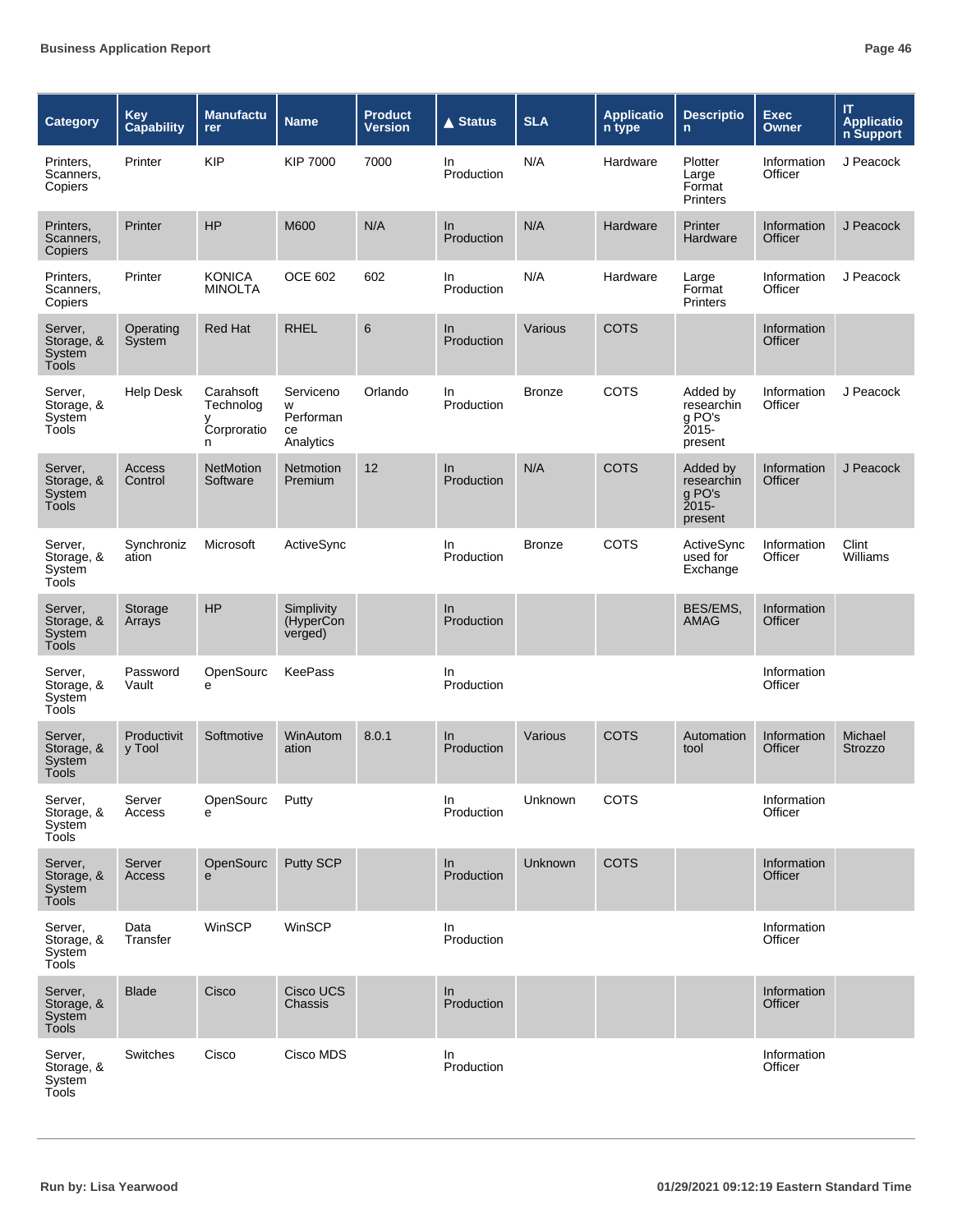| <b>Category</b>                                 | Key<br><b>Capability</b> | <b>Manufactu</b><br>rer                         | <b>Name</b>                                    | <b>Product</b><br><b>Version</b> | <b>▲ Status</b>     | <b>SLA</b>    | <b>Applicatio</b><br>n type | <b>Descriptio</b><br>$\mathsf{n}$                       | <b>Exec</b><br><b>Owner</b> | IT<br><b>Applicatio</b><br>n Support |
|-------------------------------------------------|--------------------------|-------------------------------------------------|------------------------------------------------|----------------------------------|---------------------|---------------|-----------------------------|---------------------------------------------------------|-----------------------------|--------------------------------------|
| Printers,<br>Scanners,<br>Copiers               | Printer                  | <b>KIP</b>                                      | <b>KIP 7000</b>                                | 7000                             | In.<br>Production   | N/A           | Hardware                    | Plotter<br>Large<br>Format<br><b>Printers</b>           | Information<br>Officer      | J Peacock                            |
| Printers,<br>Scanners,<br>Copiers               | Printer                  | HP                                              | M600                                           | N/A                              | In<br>Production    | N/A           | Hardware                    | Printer<br>Hardware                                     | Information<br>Officer      | J Peacock                            |
| Printers,<br>Scanners,<br>Copiers               | Printer                  | <b>KONICA</b><br><b>MINOLTA</b>                 | <b>OCE 602</b>                                 | 602                              | In<br>Production    | N/A           | Hardware                    | Large<br>Format<br><b>Printers</b>                      | Information<br>Officer      | J Peacock                            |
| Server,<br>Storage, &<br>System<br><b>Tools</b> | Operating<br>System      | <b>Red Hat</b>                                  | <b>RHEL</b>                                    | 6                                | In<br>Production    | Various       | <b>COTS</b>                 |                                                         | Information<br>Officer      |                                      |
| Server,<br>Storage, &<br>System<br>Tools        | <b>Help Desk</b>         | Carahsoft<br>Technolog<br>у<br>Corproratio<br>n | Serviceno<br>w<br>Performan<br>ce<br>Analytics | Orlando                          | In.<br>Production   | <b>Bronze</b> | <b>COTS</b>                 | Added by<br>researchin<br>g PO's<br>Ž015-<br>present    | Information<br>Officer      | J Peacock                            |
| Server,<br>Storage, &<br>System<br><b>Tools</b> | <b>Access</b><br>Control | <b>NetMotion</b><br>Software                    | Netmotion<br>Premium                           | 12                               | $\ln$<br>Production | N/A           | COTS                        | Added by<br>researchin<br>g PO's<br>$2015 -$<br>present | Information<br>Officer      | J Peacock                            |
| Server,<br>Storage, &<br>System<br>Tools        | Synchroniz<br>ation      | Microsoft                                       | ActiveSync                                     |                                  | In.<br>Production   | <b>Bronze</b> | <b>COTS</b>                 | ActiveSync<br>used for<br>Exchange                      | Information<br>Officer      | Clint<br>Williams                    |
| Server,<br>Storage, &<br>System<br><b>Tools</b> | Storage<br>Arrays        | <b>HP</b>                                       | Simplivity<br>(HyperCon<br>verged)             |                                  | In<br>Production    |               |                             | BES/EMS,<br>AMAG                                        | Information<br>Officer      |                                      |
| Server,<br>Storage, &<br>System<br>Tools        | Password<br>Vault        | OpenSourc<br>e                                  | <b>KeePass</b>                                 |                                  | In.<br>Production   |               |                             |                                                         | Information<br>Officer      |                                      |
| Server,<br>Storage, &<br>System<br>Tools        | Productivit<br>y Tool    | Softmotive                                      | WinAutom<br>ation                              | 8.0.1                            | In.<br>Production   | Various       | COTS                        | Automation<br>tool                                      | Information<br>Officer      | Michael<br>Strozzo                   |
| Server,<br>Storage, &<br>System<br>Tools        | Server<br>Access         | OpenSourc<br>e                                  | Putty                                          |                                  | In<br>Production    | Unknown       | COTS                        |                                                         | Information<br>Officer      |                                      |
| Server,<br>Storage, &<br>System<br>Tools        | Server<br>Access         | OpenSourc<br>$\mathbf{e}$                       | Putty SCP                                      |                                  | In<br>Production    | Unknown       | <b>COTS</b>                 |                                                         | Information<br>Officer      |                                      |
| Server,<br>Storage, &<br>System<br>Tools        | Data<br>Transfer         | WinSCP                                          | WinSCP                                         |                                  | In<br>Production    |               |                             |                                                         | Information<br>Officer      |                                      |
| Server,<br>Storage, &<br>System<br>Tools        | <b>Blade</b>             | Cisco                                           | Cisco UCS<br>Chassis                           |                                  | In<br>Production    |               |                             |                                                         | Information<br>Officer      |                                      |
| Server,<br>Storage, &<br>System<br>Tools        | Switches                 | Cisco                                           | Cisco MDS                                      |                                  | In<br>Production    |               |                             |                                                         | Information<br>Officer      |                                      |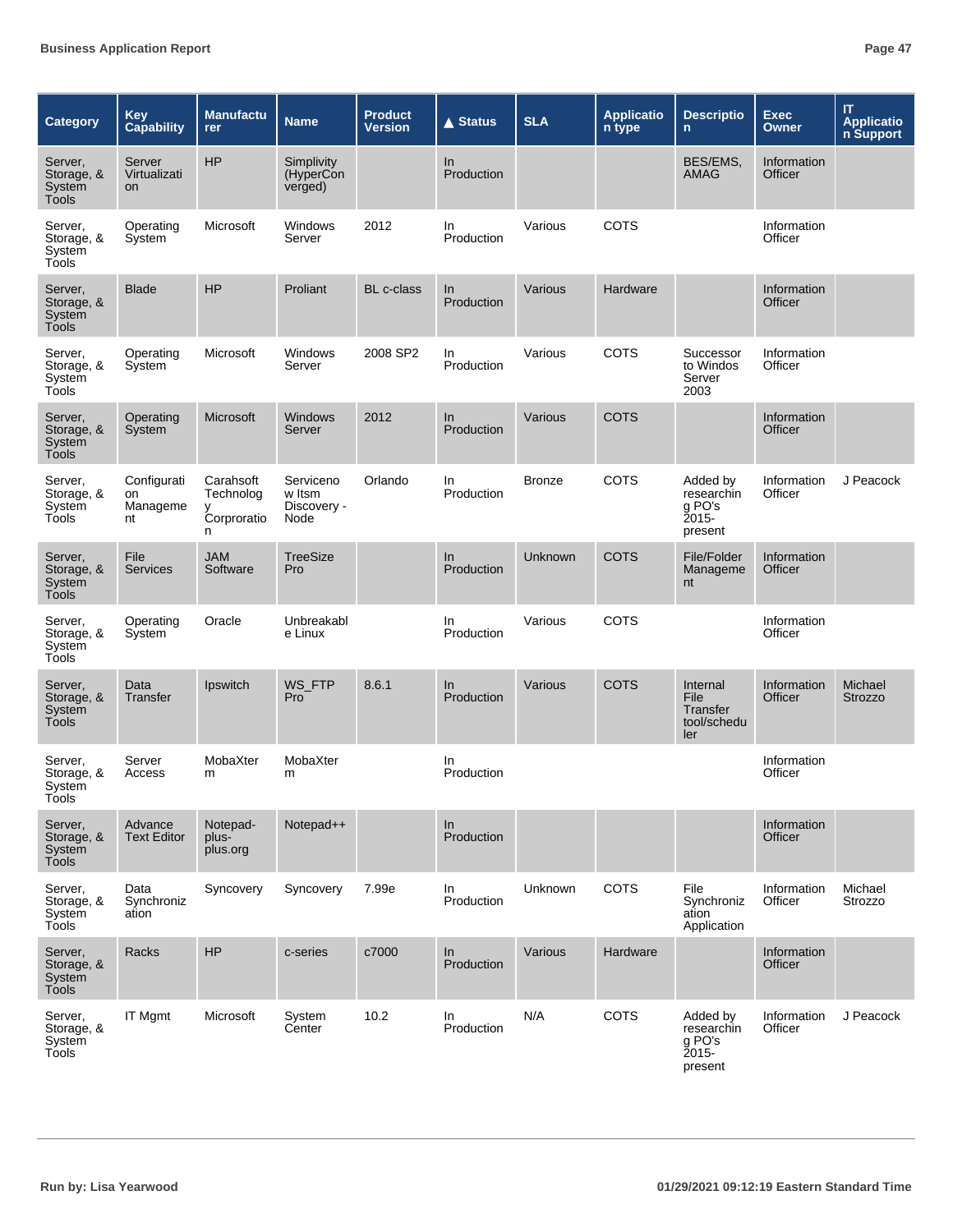| Category                                        | <b>Key</b><br><b>Capability</b>     | <b>Manufactu</b><br>rer                    | <b>Name</b>                                | <b>Product</b><br><b>Version</b> | <b>▲ Status</b>   | <b>SLA</b>    | <b>Applicatio</b><br>n type | <b>Descriptio</b><br>n.                                   | <b>Exec</b><br>Owner   | IT<br><b>Applicatio</b><br>n Support |
|-------------------------------------------------|-------------------------------------|--------------------------------------------|--------------------------------------------|----------------------------------|-------------------|---------------|-----------------------------|-----------------------------------------------------------|------------------------|--------------------------------------|
| Server,<br>Storage, &<br>System<br>Tools        | Server<br>Virtualizati<br><b>on</b> | HP                                         | Simplivity<br>(HyperCon<br>verged)         |                                  | In<br>Production  |               |                             | BES/EMS,<br><b>AMAG</b>                                   | Information<br>Officer |                                      |
| Server,<br>Storage, &<br>System<br>Tools        | Operating<br>System                 | Microsoft                                  | Windows<br>Server                          | 2012                             | In.<br>Production | Various       | COTS                        |                                                           | Information<br>Officer |                                      |
| Server,<br>Storage, &<br>System<br>Tools        | <b>Blade</b>                        | <b>HP</b>                                  | Proliant                                   | BL c-class                       | In<br>Production  | Various       | Hardware                    |                                                           | Information<br>Officer |                                      |
| Server,<br>Storage, &<br>System<br>Tools        | Operating<br>System                 | Microsoft                                  | Windows<br>Server                          | 2008 SP2                         | In<br>Production  | Various       | <b>COTS</b>                 | Successor<br>to Windos<br>Server<br>2003                  | Information<br>Officer |                                      |
| Server,<br>Storage, &<br>System<br><b>Tools</b> | Operating<br>System                 | <b>Microsoft</b>                           | <b>Windows</b><br>Server                   | 2012                             | ln<br>Production  | Various       | <b>COTS</b>                 |                                                           | Information<br>Officer |                                      |
| Server,<br>Storage, &<br>System<br>Tools        | Configurati<br>on<br>Manageme<br>nt | Carahsoft<br>Technolog<br>Corproratio<br>n | Serviceno<br>w Itsm<br>Discovery -<br>Node | Orlando                          | In<br>Production  | <b>Bronze</b> | <b>COTS</b>                 | Added by<br>researchin<br>g PO's<br>2015-<br>present      | Information<br>Officer | J Peacock                            |
| Server,<br>Storage, &<br>System<br><b>Tools</b> | File<br><b>Services</b>             | <b>JAM</b><br>Software                     | <b>TreeSize</b><br>Pro                     |                                  | In.<br>Production | Unknown       | <b>COTS</b>                 | File/Folder<br>Manageme<br>nt                             | Information<br>Officer |                                      |
| Server,<br>Storage, &<br>System<br>Tools        | Operating<br>System                 | Oracle                                     | Unbreakabl<br>e Linux                      |                                  | In.<br>Production | Various       | COTS                        |                                                           | Information<br>Officer |                                      |
| Server,<br>Storage, &<br>System<br>Tools        | Data<br>Transfer                    | Ipswitch                                   | WS_FTP<br>Pro                              | 8.6.1                            | In<br>Production  | Various       | <b>COTS</b>                 | Internal<br>File<br><b>Transfer</b><br>tool/schedu<br>ler | Information<br>Officer | Michael<br><b>Strozzo</b>            |
| Server,<br>Storage, &<br>System<br>Tools        | Server<br>Access                    | MobaXter<br>m                              | MobaXter<br>m                              |                                  | In<br>Production  |               |                             |                                                           | Information<br>Officer |                                      |
| Server,<br>Storage, &<br>System<br>Tools        | Advance<br><b>Text Editor</b>       | Notepad-<br>plus-<br>plus.org              | Notepad++                                  |                                  | In<br>Production  |               |                             |                                                           | Information<br>Officer |                                      |
| Server,<br>Storage, &<br>System<br>Tools        | Data<br>Synchroniz<br>ation         | Syncovery                                  | Syncovery                                  | 7.99e                            | In<br>Production  | Unknown       | <b>COTS</b>                 | File<br>Synchroniz<br>ation<br>Application                | Information<br>Officer | Michael<br>Strozzo                   |
| Server,<br>Storage, &<br>System<br>Tools        | Racks                               | <b>HP</b>                                  | c-series                                   | c7000                            | In<br>Production  | Various       | Hardware                    |                                                           | Information<br>Officer |                                      |
| Server,<br>Storage, &<br>System<br>Tools        | IT Mgmt                             | Microsoft                                  | System<br>Center                           | 10.2                             | In<br>Production  | N/A           | COTS                        | Added by<br>researchin<br>g PO's<br>Ž015-<br>present      | Information<br>Officer | J Peacock                            |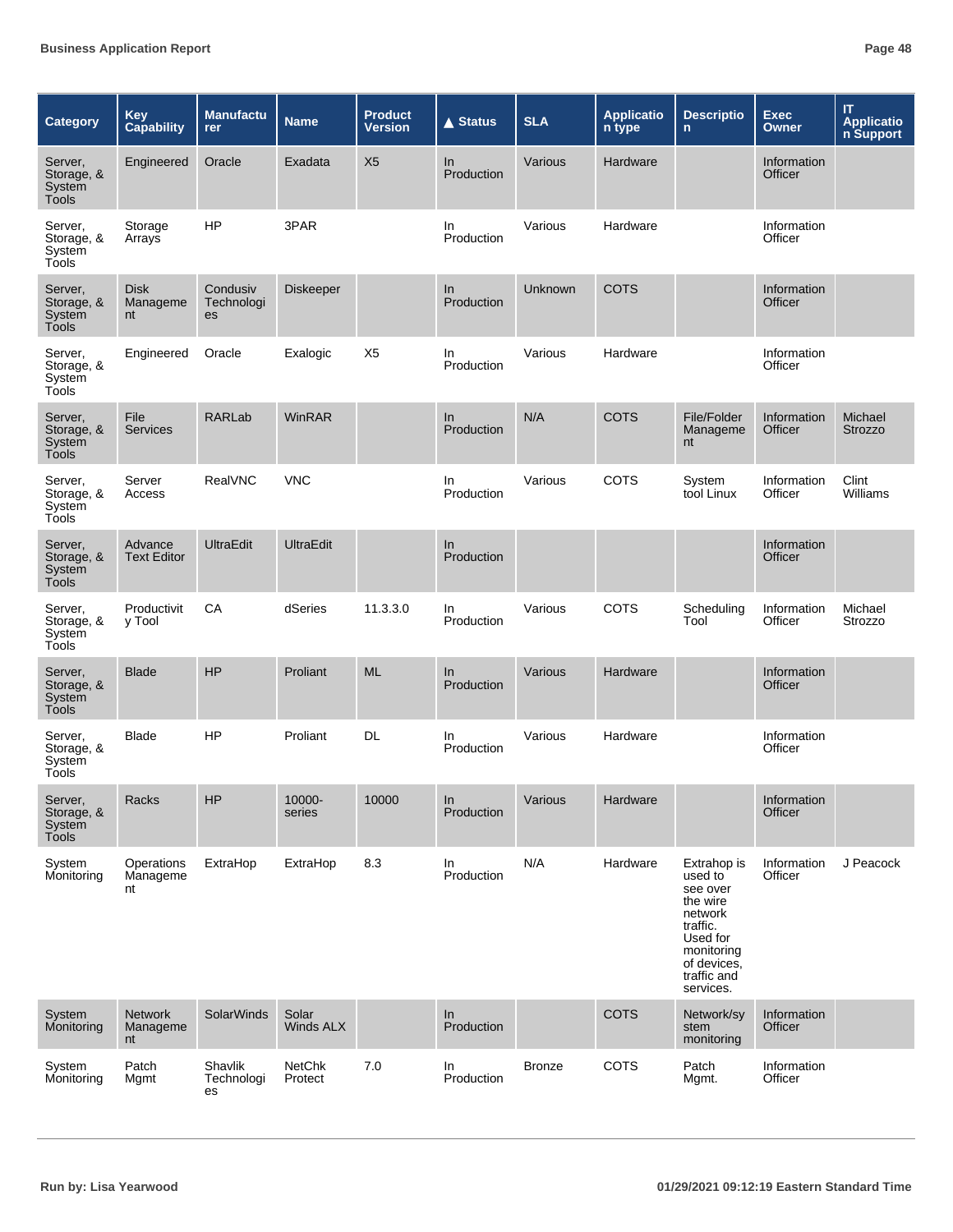| Category                                        | <b>Key</b><br><b>Capability</b>     | <b>Manufactu</b><br>rer      | <b>Name</b>              | <b>Product</b><br><b>Version</b> | ▲ Status          | <b>SLA</b>    | <b>Applicatio</b><br>n type | <b>Descriptio</b><br>$\mathsf{n}$                                                                                                          | <b>Exec</b><br>Owner          | $\mathsf{I}\mathsf{T}$<br><b>Applicatio</b><br>n Support |
|-------------------------------------------------|-------------------------------------|------------------------------|--------------------------|----------------------------------|-------------------|---------------|-----------------------------|--------------------------------------------------------------------------------------------------------------------------------------------|-------------------------------|----------------------------------------------------------|
| Server,<br>Storage, &<br>System<br><b>Tools</b> | Engineered                          | Oracle                       | Exadata                  | X <sub>5</sub>                   | In<br>Production  | Various       | Hardware                    |                                                                                                                                            | Information<br>Officer        |                                                          |
| Server,<br>Storage, &<br>System<br>Tools        | Storage<br>Arrays                   | <b>HP</b>                    | 3PAR                     |                                  | In.<br>Production | Various       | Hardware                    |                                                                                                                                            | Information<br>Officer        |                                                          |
| Server,<br>Storage, &<br>System<br><b>Tools</b> | <b>Disk</b><br>Manageme<br>nt       | Condusiv<br>Technologi<br>es | <b>Diskeeper</b>         |                                  | In.<br>Production | Unknown       | <b>COTS</b>                 |                                                                                                                                            | Information<br><b>Officer</b> |                                                          |
| Server,<br>Storage, &<br>System<br>Tools        | Engineered                          | Oracle                       | Exalogic                 | X <sub>5</sub>                   | In<br>Production  | Various       | Hardware                    |                                                                                                                                            | Information<br>Officer        |                                                          |
| Server,<br>Storage, &<br>System<br>Tools        | File<br><b>Services</b>             | RARLab                       | <b>WinRAR</b>            |                                  | In<br>Production  | N/A           | <b>COTS</b>                 | File/Folder<br>Manageme<br>nt                                                                                                              | Information<br>Officer        | Michael<br><b>Strozzo</b>                                |
| Server,<br>Storage, &<br>System<br>Tools        | Server<br>Access                    | RealVNC                      | <b>VNC</b>               |                                  | In.<br>Production | Various       | <b>COTS</b>                 | System<br>tool Linux                                                                                                                       | Information<br>Officer        | Clint<br>Williams                                        |
| Server,<br>Storage, &<br>System<br><b>Tools</b> | Advance<br><b>Text Editor</b>       | <b>UltraEdit</b>             | <b>UltraEdit</b>         |                                  | In<br>Production  |               |                             |                                                                                                                                            | Information<br>Officer        |                                                          |
| Server,<br>Storage, &<br>System<br>Tools        | Productivit<br>y Tool               | CA                           | dSeries                  | 11.3.3.0                         | In.<br>Production | Various       | <b>COTS</b>                 | Scheduling<br>Tool                                                                                                                         | Information<br>Officer        | Michael<br>Strozzo                                       |
| Server,<br>Storage, &<br>System<br><b>Tools</b> | <b>Blade</b>                        | <b>HP</b>                    | Proliant                 | <b>ML</b>                        | In.<br>Production | Various       | Hardware                    |                                                                                                                                            | Information<br>Officer        |                                                          |
| Server,<br>Storage, &<br>System<br>Tools        | <b>Blade</b>                        | HP                           | Proliant                 | DL                               | In<br>Production  | Various       | Hardware                    |                                                                                                                                            | Information<br>Officer        |                                                          |
| Server,<br>Storage, &<br>System<br>Tools        | Racks                               | HP                           | 10000-<br>series         | 10000                            | In<br>Production  | Various       | Hardware                    |                                                                                                                                            | Information<br>Officer        |                                                          |
| System<br>Monitoring                            | <b>Operations</b><br>Manageme<br>nt | ExtraHop                     | ExtraHop                 | 8.3                              | In<br>Production  | N/A           | Hardware                    | Extrahop is<br>used to<br>see over<br>the wire<br>network<br>traffic.<br>Used for<br>monitoring<br>of devices.<br>traffic and<br>services. | Information<br>Officer        | J Peacock                                                |
| System<br>Monitoring                            | <b>Network</b><br>Manageme<br>nt    | SolarWinds                   | Solar<br>Winds ALX       |                                  | In<br>Production  |               | <b>COTS</b>                 | Network/sy<br>stem<br>monitoring                                                                                                           | Information<br>Officer        |                                                          |
| System<br>Monitoring                            | Patch<br>Mgmt                       | Shavlik<br>Technologi<br>es  | <b>NetChk</b><br>Protect | 7.0                              | In<br>Production  | <b>Bronze</b> | COTS                        | Patch<br>Mgmt.                                                                                                                             | Information<br>Officer        |                                                          |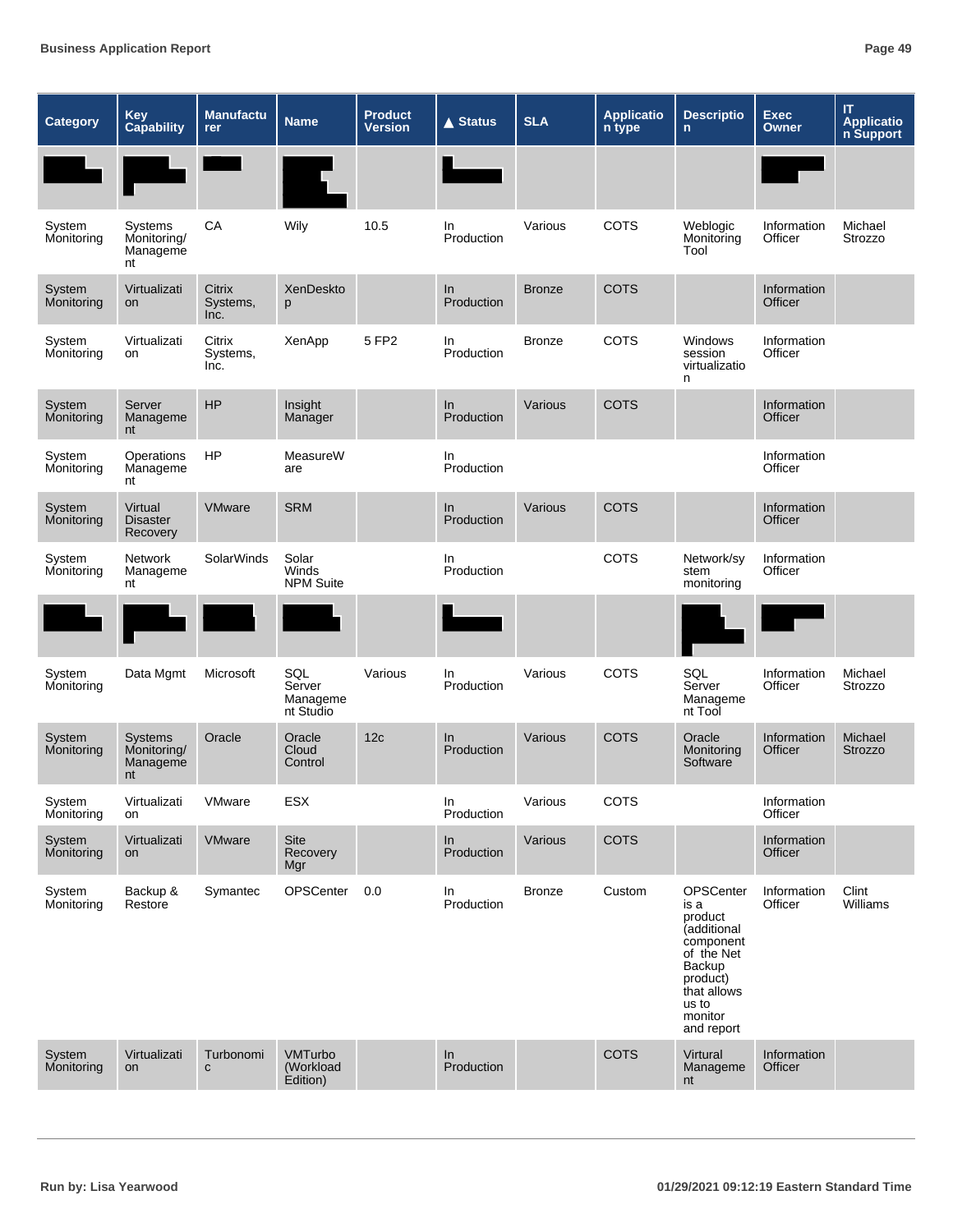| <b>Category</b>      | Key<br><b>Capability</b>                 | <b>Manufactu</b><br><b>rer</b>    | <b>Name</b>                            | <b>Product</b><br><b>Version</b> | <b>▲ Status</b>   | <b>SLA</b>    | <b>Applicatio</b><br>n type | <b>Descriptio</b><br>$\mathsf{n}$                                                                                                             | <b>Exec</b><br>Owner   | IT<br>Applicatio<br>n Support |
|----------------------|------------------------------------------|-----------------------------------|----------------------------------------|----------------------------------|-------------------|---------------|-----------------------------|-----------------------------------------------------------------------------------------------------------------------------------------------|------------------------|-------------------------------|
|                      |                                          |                                   |                                        |                                  |                   |               |                             |                                                                                                                                               |                        |                               |
| System<br>Monitoring | Systems<br>Monitoring/<br>Manageme<br>nt | CA                                | Wily                                   | 10.5                             | In.<br>Production | Various       | COTS                        | Weblogic<br>Monitoring<br>Tool                                                                                                                | Information<br>Officer | Michael<br>Strozzo            |
| System<br>Monitoring | Virtualizati<br>on                       | <b>Citrix</b><br>Systems,<br>Inc. | XenDeskto<br>p                         |                                  | In<br>Production  | <b>Bronze</b> | <b>COTS</b>                 |                                                                                                                                               | Information<br>Officer |                               |
| System<br>Monitoring | Virtualizati<br>on                       | Citrix<br>Systems,<br>Inc.        | XenApp                                 | 5 FP2                            | In<br>Production  | <b>Bronze</b> | COTS                        | <b>Windows</b><br>session<br>virtualizatio<br>n                                                                                               | Information<br>Officer |                               |
| System<br>Monitoring | Server<br>Manageme<br>nt                 | HP                                | Insight<br>Manager                     |                                  | In<br>Production  | Various       | <b>COTS</b>                 |                                                                                                                                               | Information<br>Officer |                               |
| System<br>Monitoring | Operations<br>Manageme<br>nt             | <b>HP</b>                         | MeasureW<br>are                        |                                  | In<br>Production  |               |                             |                                                                                                                                               | Information<br>Officer |                               |
| System<br>Monitoring | Virtual<br><b>Disaster</b><br>Recovery   | VMware                            | <b>SRM</b>                             |                                  | In<br>Production  | Various       | <b>COTS</b>                 |                                                                                                                                               | Information<br>Officer |                               |
| System<br>Monitoring | Network<br>Manageme<br>nt                | <b>SolarWinds</b>                 | Solar<br>Winds<br><b>NPM Suite</b>     |                                  | In<br>Production  |               | COTS                        | Network/sy<br>stem<br>monitoring                                                                                                              | Information<br>Officer |                               |
|                      |                                          |                                   |                                        |                                  |                   |               |                             |                                                                                                                                               |                        |                               |
| System<br>Monitoring | Data Mgmt                                | Microsoft                         | SQL<br>Server<br>Manageme<br>nt Studio | Various                          | In<br>Production  | Various       | COTS                        | SQL<br>Server<br>Manageme<br>nt Tool                                                                                                          | Information<br>Officer | Michael<br>Strozzo            |
| System<br>Monitoring | Systems<br>Monitoring/<br>Manageme<br>nt | Oracle                            | Oracle<br>Cloud<br>Control             | 12c                              | In<br>Production  | Various       | <b>COTS</b>                 | Oracle<br>Monitoring<br>Software                                                                                                              | Information<br>Officer | Michael<br><b>Strozzo</b>     |
| System<br>Monitoring | Virtualizati<br>on                       | VMware                            | ESX                                    |                                  | In<br>Production  | Various       | COTS                        |                                                                                                                                               | Information<br>Officer |                               |
| System<br>Monitoring | Virtualizati<br>on                       | <b>VMware</b>                     | Site<br>Recovery<br>Mgr                |                                  | In<br>Production  | Various       | COTS                        |                                                                                                                                               | Information<br>Officer |                               |
| System<br>Monitoring | Backup &<br>Restore                      | Symantec                          | OPSCenter                              | 0.0                              | In<br>Production  | <b>Bronze</b> | Custom                      | OPSCenter<br>is a<br>product<br>(additional<br>component<br>of the Net<br>Backup<br>product)<br>that allows<br>us to<br>monitor<br>and report | Information<br>Officer | Clint<br>Williams             |
| System<br>Monitoring | Virtualizati<br>on                       | Turbonomi<br>$\mathbf{C}$         | VMTurbo<br>(Workload<br>Edition)       |                                  | ln<br>Production  |               | COTS                        | Virtural<br>Manageme<br>nt                                                                                                                    | Information<br>Officer |                               |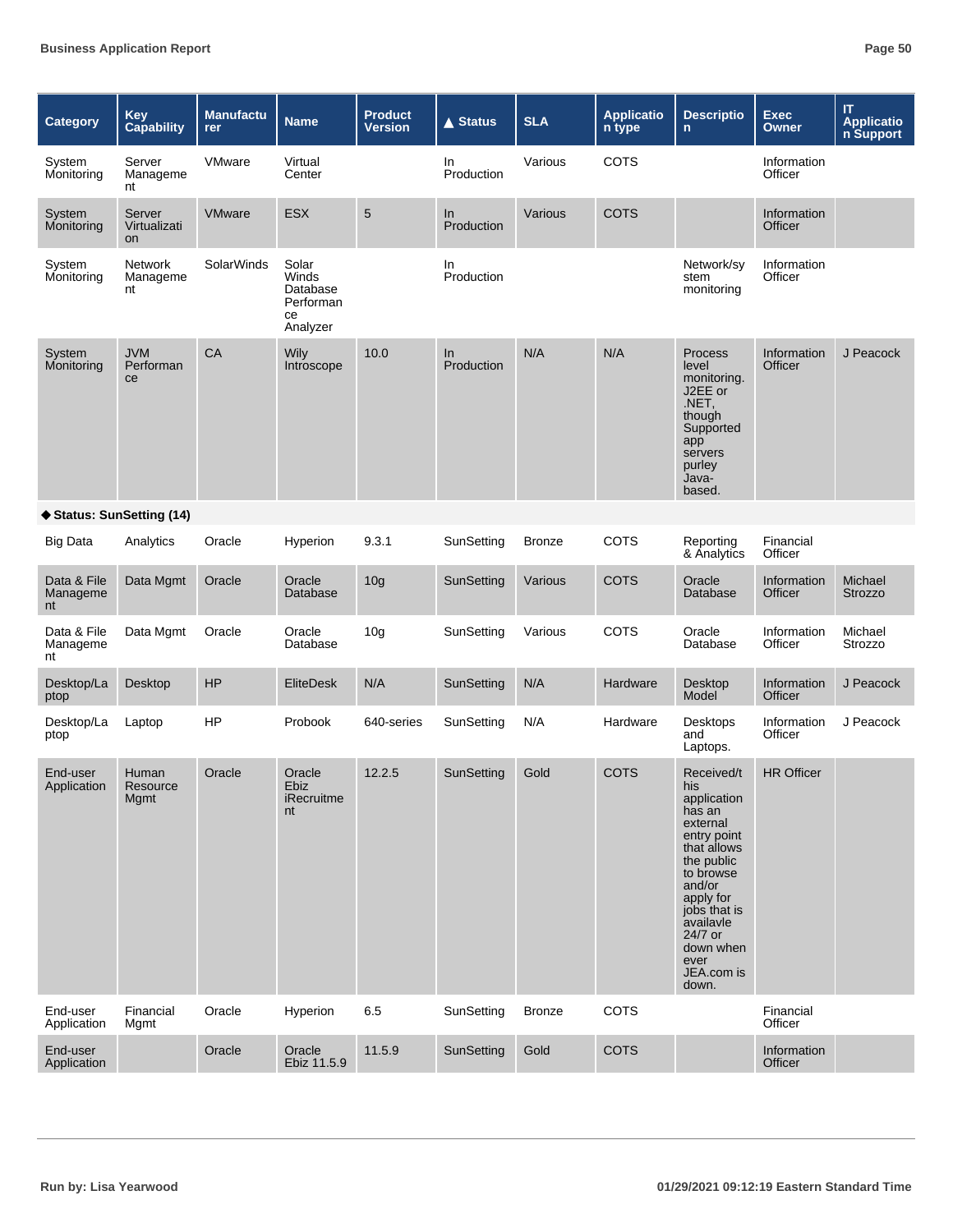| Category                      | <b>Key</b><br><b>Capability</b> | <b>Manufactu</b><br><b>rer</b> | <b>Name</b>                                               | <b>Product</b><br>Version | <b>▲ Status</b>  | <b>SLA</b>    | <b>Applicatio</b><br>n type | <b>Descriptio</b><br>$\mathsf{n}$                                                                                                                                                                                          | <b>Exec</b><br><b>Owner</b> | IT<br><b>Applicatio</b><br>n Support |
|-------------------------------|---------------------------------|--------------------------------|-----------------------------------------------------------|---------------------------|------------------|---------------|-----------------------------|----------------------------------------------------------------------------------------------------------------------------------------------------------------------------------------------------------------------------|-----------------------------|--------------------------------------|
| System<br>Monitoring          | Server<br>Manageme<br>nt        | VMware                         | Virtual<br>Center                                         |                           | In<br>Production | Various       | COTS                        |                                                                                                                                                                                                                            | Information<br>Officer      |                                      |
| System<br>Monitoring          | Server<br>Virtualizati<br>on    | <b>VMware</b>                  | <b>ESX</b>                                                | 5                         | In<br>Production | Various       | <b>COTS</b>                 |                                                                                                                                                                                                                            | Information<br>Officer      |                                      |
| System<br>Monitoring          | Network<br>Manageme<br>nt       | <b>SolarWinds</b>              | Solar<br>Winds<br>Database<br>Performan<br>ce<br>Analyzer |                           | In<br>Production |               |                             | Network/sy<br>stem<br>monitoring                                                                                                                                                                                           | Information<br>Officer      |                                      |
| System<br>Monitoring          | <b>JVM</b><br>Performan<br>ce   | CA                             | Wily<br>Introscope                                        | 10.0                      | In<br>Production | N/A           | N/A                         | <b>Process</b><br>level<br>monitoring.<br>J2EE or<br>.NET,<br>though<br>Supported<br>app<br>servers<br>purley<br>Java-<br>based.                                                                                           | Information<br>Officer      | J Peacock                            |
| ♦ Status: SunSetting (14)     |                                 |                                |                                                           |                           |                  |               |                             |                                                                                                                                                                                                                            |                             |                                      |
| <b>Big Data</b>               | Analytics                       | Oracle                         | Hyperion                                                  | 9.3.1                     | SunSetting       | <b>Bronze</b> | COTS                        | Reporting<br>& Analytics                                                                                                                                                                                                   | Financial<br>Officer        |                                      |
| Data & File<br>Manageme<br>nt | Data Mgmt                       | Oracle                         | Oracle<br>Database                                        | 10 <sub>g</sub>           | SunSetting       | Various       | <b>COTS</b>                 | Oracle<br>Database                                                                                                                                                                                                         | Information<br>Officer      | Michael<br><b>Strozzo</b>            |
| Data & File<br>Manageme<br>nt | Data Mgmt                       | Oracle                         | Oracle<br>Database                                        | 10 <sub>g</sub>           | SunSetting       | Various       | COTS                        | Oracle<br>Database                                                                                                                                                                                                         | Information<br>Officer      | Michael<br>Strozzo                   |
| Desktop/La<br>ptop            | Desktop                         | <b>HP</b>                      | <b>EliteDesk</b>                                          | N/A                       | SunSetting       | N/A           | Hardware                    | Desktop<br>Model                                                                                                                                                                                                           | Information<br>Officer      | J Peacock                            |
| Desktop/La<br>ptop            | Laptop                          | <b>HP</b>                      | Probook                                                   | 640-series                | SunSetting       | N/A           | Hardware                    | Desktops<br>and<br>Laptops.                                                                                                                                                                                                | Information<br>Officer      | J Peacock                            |
| End-user<br>Application       | Human<br>Resource<br>Mgmt       | Oracle                         | Oracle<br>Ebiz<br>iRecruitme<br>nt                        | 12.2.5                    | SunSetting       | Gold          | <b>COTS</b>                 | Received/t<br>his<br>application<br>has an<br>external<br>entry point<br>that allows<br>the public<br>to browse<br>and/or<br>apply for<br>jobs that is<br>availavle<br>24/7 or<br>down when<br>ever<br>JEA.com is<br>down. | <b>HR Officer</b>           |                                      |
| End-user<br>Application       | Financial<br>Mgmt               | Oracle                         | Hyperion                                                  | 6.5                       | SunSetting       | <b>Bronze</b> | COTS                        |                                                                                                                                                                                                                            | Financial<br>Officer        |                                      |
| End-user<br>Application       |                                 | Oracle                         | Oracle<br>Ebiz 11.5.9                                     | 11.5.9                    | SunSetting       | Gold          | COTS                        |                                                                                                                                                                                                                            | Information<br>Officer      |                                      |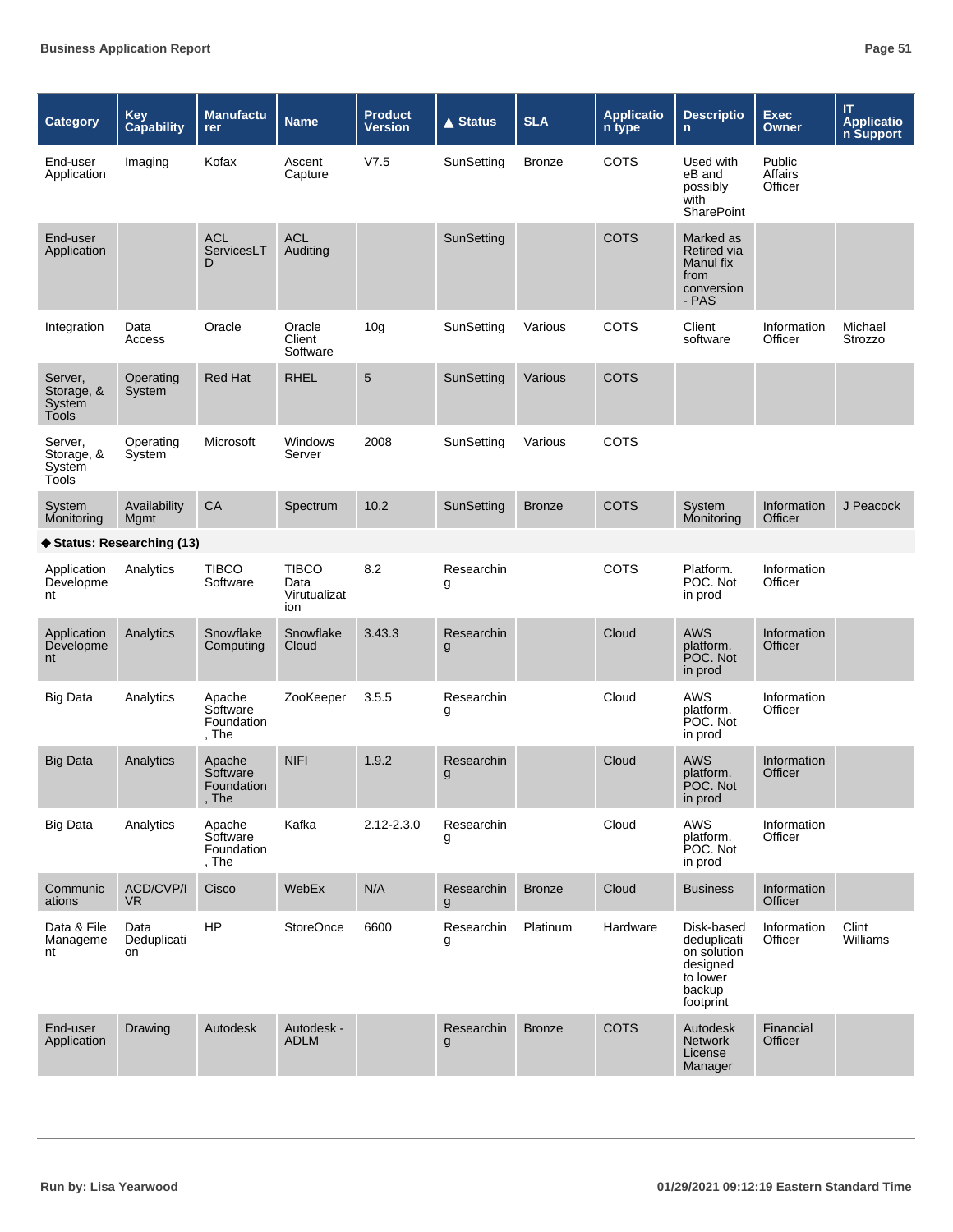| <b>Category</b>                          | <b>Key</b><br><b>Capability</b> | <b>Manufactu</b><br>rer                   | <b>Name</b>                          | <b>Product</b><br><b>Version</b> | <b>▲ Status</b> | <b>SLA</b>    | <b>Applicatio</b><br>n type | <b>Descriptio</b><br>$\mathsf{n}$                                                       | <b>Exec</b><br><b>Owner</b>  | IT.<br><b>Applicatio</b><br>n Support |
|------------------------------------------|---------------------------------|-------------------------------------------|--------------------------------------|----------------------------------|-----------------|---------------|-----------------------------|-----------------------------------------------------------------------------------------|------------------------------|---------------------------------------|
| End-user<br>Application                  | Imaging                         | Kofax                                     | Ascent<br>Capture                    | V7.5                             | SunSetting      | <b>Bronze</b> | <b>COTS</b>                 | Used with<br>eB and<br>possibly<br>with<br><b>SharePoint</b>                            | Public<br>Affairs<br>Officer |                                       |
| End-user<br>Application                  |                                 | ACL<br>ServicesLT<br>D                    | <b>ACL</b><br>Auditing               |                                  | SunSetting      |               | <b>COTS</b>                 | Marked as<br>Retired via<br>Manul fix<br>from<br>conversion<br>- PAS                    |                              |                                       |
| Integration                              | Data<br>Access                  | Oracle                                    | Oracle<br>Client<br>Software         | 10 <sub>q</sub>                  | SunSetting      | Various       | COTS                        | Client<br>software                                                                      | Information<br>Officer       | Michael<br>Strozzo                    |
| Server,<br>Storage, &<br>System<br>Tools | Operating<br>System             | Red Hat                                   | <b>RHEL</b>                          | $\sqrt{5}$                       | SunSetting      | Various       | <b>COTS</b>                 |                                                                                         |                              |                                       |
| Server,<br>Storage, &<br>System<br>Tools | Operating<br>System             | Microsoft                                 | <b>Windows</b><br>Server             | 2008                             | SunSetting      | Various       | COTS                        |                                                                                         |                              |                                       |
| System<br>Monitoring                     | Availability<br>Mgmt            | CA                                        | Spectrum                             | 10.2                             | SunSetting      | <b>Bronze</b> | <b>COTS</b>                 | System<br>Monitoring                                                                    | Information<br>Officer       | J Peacock                             |
| ♦ Status: Researching (13)               |                                 |                                           |                                      |                                  |                 |               |                             |                                                                                         |                              |                                       |
| Application<br>Developme<br>nt           | Analytics                       | <b>TIBCO</b><br>Software                  | TIBCO<br>Data<br>Virutualizat<br>ion | 8.2                              | Researchin<br>g |               | <b>COTS</b>                 | Platform.<br>POC. Not<br>in prod                                                        | Information<br>Officer       |                                       |
| Application<br>Developme<br>nt           | Analytics                       | Snowflake<br>Computing                    | Snowflake<br>Cloud                   | 3.43.3                           | Researchin<br>g |               | Cloud                       | <b>AWS</b><br>platform.<br>POC. Not<br>in prod                                          | Information<br>Officer       |                                       |
| <b>Big Data</b>                          | Analytics                       | Apache<br>Software<br>Foundation<br>, The | ZooKeeper                            | 3.5.5                            | Researchin<br>g |               | Cloud                       | AWS<br>platform.<br>POC. Not<br>in prod                                                 | Information<br>Officer       |                                       |
| <b>Big Data</b>                          | Analytics                       | Apache<br>Software<br>Foundation<br>, The | <b>NIFI</b>                          | 1.9.2                            | Researchin<br>g |               | Cloud                       | <b>AWS</b><br>platform.<br>POC. Not<br>in prod                                          | Information<br>Officer       |                                       |
| <b>Big Data</b>                          | Analytics                       | Apache<br>Software<br>Foundation<br>, The | Kafka                                | 2.12-2.3.0                       | Researchin<br>g |               | Cloud                       | AWS<br>platform.<br>POC. Not<br>in prod                                                 | Information<br>Officer       |                                       |
| Communic<br>ations                       | <b>ACD/CVP/I</b><br>VR.         | Cisco                                     | WebEx                                | N/A                              | Researchin<br>g | <b>Bronze</b> | Cloud                       | <b>Business</b>                                                                         | Information<br>Officer       |                                       |
| Data & File<br>Manageme<br>nt            | Data<br>Deduplicati<br>on       | <b>HP</b>                                 | <b>StoreOnce</b>                     | 6600                             | Researchin<br>g | Platinum      | Hardware                    | Disk-based<br>deduplicati<br>on solution<br>designed<br>to lower<br>backup<br>footprint | Information<br>Officer       | Clint<br>Williams                     |
| End-user<br>Application                  | Drawing                         | Autodesk                                  | Autodesk -<br><b>ADLM</b>            |                                  | Researchin<br>g | <b>Bronze</b> | <b>COTS</b>                 | Autodesk<br><b>Network</b><br>License<br>Manager                                        | Financial<br><b>Officer</b>  |                                       |